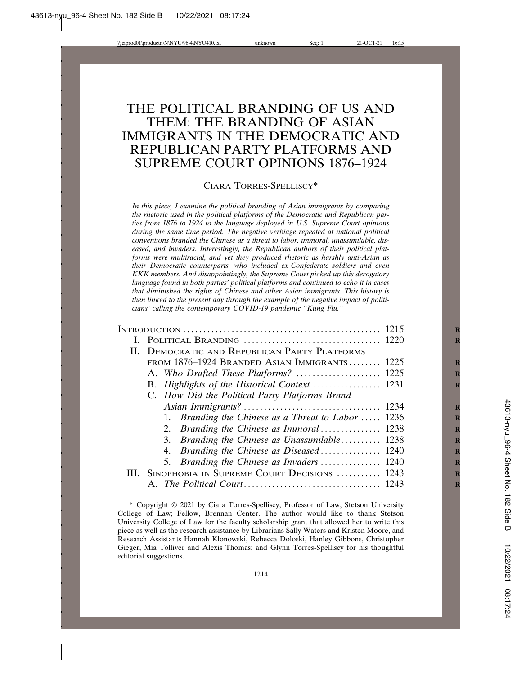# THE POLITICAL BRANDING OF US AND THEM: THE BRANDING OF ASIAN IMMIGRANTS IN THE DEMOCRATIC AND REPUBLICAN PARTY PLATFORMS AND SUPREME COURT OPINIONS 1876–1924

#### CIARA TORRES-SPELLISCY\*

*In this piece, I examine the political branding of Asian immigrants by comparing the rhetoric used in the political platforms of the Democratic and Republican parties from 1876 to 1924 to the language deployed in U.S. Supreme Court opinions during the same time period. The negative verbiage repeated at national political conventions branded the Chinese as a threat to labor, immoral, unassimilable, diseased, and invaders. Interestingly, the Republican authors of their political platforms were multiracial, and yet they produced rhetoric as harshly anti-Asian as their Democratic counterparts, who included ex-Confederate soldiers and even KKK members. And disappointingly, the Supreme Court picked up this derogatory language found in both parties' political platforms and continued to echo it in cases that diminished the rights of Chinese and other Asian immigrants. This history is then linked to the present day through the example of the negative impact of politicians' calling the contemporary COVID-19 pandemic "Kung Flu."*

| II. DEMOCRATIC AND REPUBLICAN PARTY PLATFORMS      |  |
|----------------------------------------------------|--|
| FROM 1876–1924 BRANDED ASIAN IMMIGRANTS 1225       |  |
|                                                    |  |
|                                                    |  |
| C. How Did the Political Party Platforms Brand     |  |
|                                                    |  |
| 1. Branding the Chinese as a Threat to Labor  1236 |  |
| 2. Branding the Chinese as Immoral 1238            |  |
| 3. Branding the Chinese as Unassimilable 1238      |  |
| 4. Branding the Chinese as Diseased 1240           |  |
| 5. Branding the Chinese as Invaders  1240          |  |
| III. SINOPHOBIA IN SUPREME COURT DECISIONS  1243   |  |
|                                                    |  |

<sup>\*</sup> Copyright © 2021 by Ciara Torres-Spelliscy, Professor of Law, Stetson University College of Law; Fellow, Brennan Center. The author would like to thank Stetson University College of Law for the faculty scholarship grant that allowed her to write this piece as well as the research assistance by Librarians Sally Waters and Kristen Moore, and Research Assistants Hannah Klonowski, Rebecca Doloski, Hanley Gibbons, Christopher Gieger, Mia Tolliver and Alexis Thomas; and Glynn Torres-Spelliscy for his thoughtful editorial suggestions.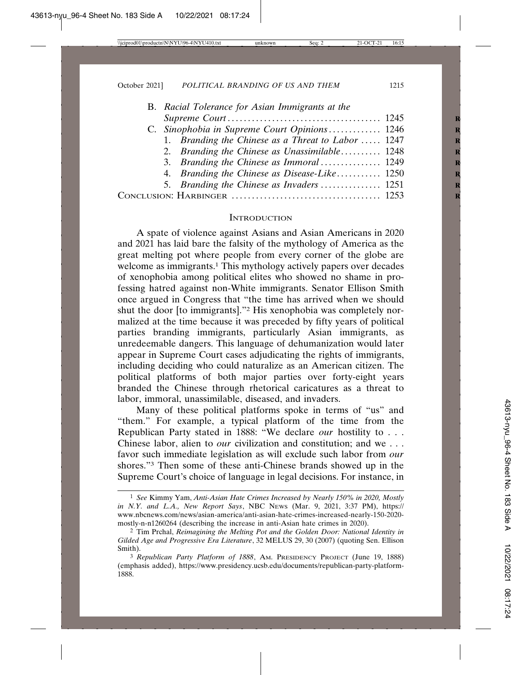| B. Racial Tolerance for Asian Immigrants at the    |
|----------------------------------------------------|
|                                                    |
| C. Sinophobia in Supreme Court Opinions 1246       |
| 1. Branding the Chinese as a Threat to Labor  1247 |
| 2. Branding the Chinese as Unassimilable 1248      |
| 3. Branding the Chinese as Immoral 1249            |
| 4. Branding the Chinese as Disease-Like 1250       |
| 5. Branding the Chinese as Invaders  1251          |
|                                                    |
|                                                    |

#### **INTRODUCTION**

A spate of violence against Asians and Asian Americans in 2020 and 2021 has laid bare the falsity of the mythology of America as the great melting pot where people from every corner of the globe are welcome as immigrants.<sup>1</sup> This mythology actively papers over decades of xenophobia among political elites who showed no shame in professing hatred against non-White immigrants. Senator Ellison Smith once argued in Congress that "the time has arrived when we should shut the door [to immigrants]."2 His xenophobia was completely normalized at the time because it was preceded by fifty years of political parties branding immigrants, particularly Asian immigrants, as unredeemable dangers. This language of dehumanization would later appear in Supreme Court cases adjudicating the rights of immigrants, including deciding who could naturalize as an American citizen. The political platforms of both major parties over forty-eight years branded the Chinese through rhetorical caricatures as a threat to labor, immoral, unassimilable, diseased, and invaders.

Many of these political platforms spoke in terms of "us" and "them." For example, a typical platform of the time from the Republican Party stated in 1888: "We declare *our* hostility to . . . Chinese labor, alien to *our* civilization and constitution; and we . . . favor such immediate legislation as will exclude such labor from *our* shores."3 Then some of these anti-Chinese brands showed up in the Supreme Court's choice of language in legal decisions. For instance, in

<sup>1</sup> *See* Kimmy Yam, *Anti-Asian Hate Crimes Increased by Nearly 150% in 2020, Mostly in N.Y. and L.A., New Report Says*, NBC NEWS (Mar. 9, 2021, 3:37 PM), https:// www.nbcnews.com/news/asian-america/anti-asian-hate-crimes-increased-nearly-150-2020 mostly-n-n1260264 (describing the increase in anti-Asian hate crimes in 2020).

<sup>2</sup> Tim Prchal, *Reimagining the Melting Pot and the Golden Door: National Identity in Gilded Age and Progressive Era Literature*, 32 MELUS 29, 30 (2007) (quoting Sen. Ellison Smith).

<sup>3</sup> *Republican Party Platform of 1888*, AM. PRESIDENCY PROJECT (June 19, 1888) (emphasis added), https://www.presidency.ucsb.edu/documents/republican-party-platform-1888.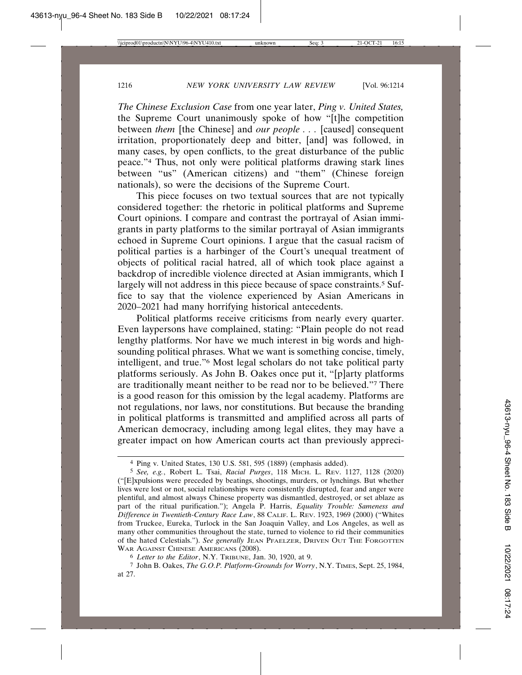*The Chinese Exclusion Case* from one year later, *Ping v. United States,* the Supreme Court unanimously spoke of how "[t]he competition between *them* [the Chinese] and *our people . . .* [caused] consequent irritation, proportionately deep and bitter, [and] was followed, in many cases, by open conflicts, to the great disturbance of the public peace."4 Thus, not only were political platforms drawing stark lines between "us" (American citizens) and "them" (Chinese foreign nationals), so were the decisions of the Supreme Court.

This piece focuses on two textual sources that are not typically considered together: the rhetoric in political platforms and Supreme Court opinions. I compare and contrast the portrayal of Asian immigrants in party platforms to the similar portrayal of Asian immigrants echoed in Supreme Court opinions. I argue that the casual racism of political parties is a harbinger of the Court's unequal treatment of objects of political racial hatred, all of which took place against a backdrop of incredible violence directed at Asian immigrants, which I largely will not address in this piece because of space constraints.<sup>5</sup> Suffice to say that the violence experienced by Asian Americans in 2020–2021 had many horrifying historical antecedents.

Political platforms receive criticisms from nearly every quarter. Even laypersons have complained, stating: "Plain people do not read lengthy platforms. Nor have we much interest in big words and highsounding political phrases. What we want is something concise, timely, intelligent, and true."6 Most legal scholars do not take political party platforms seriously. As John B. Oakes once put it, "[p]arty platforms are traditionally meant neither to be read nor to be believed."7 There is a good reason for this omission by the legal academy. Platforms are not regulations, nor laws, nor constitutions. But because the branding in political platforms is transmitted and amplified across all parts of American democracy, including among legal elites, they may have a greater impact on how American courts act than previously appreci-

<sup>4</sup> Ping v. United States, 130 U.S. 581, 595 (1889) (emphasis added).

<sup>5</sup> *See, e.g.*, Robert L. Tsai, *Racial Purges*, 118 MICH. L. REV. 1127, 1128 (2020) ("[E]xpulsions were preceded by beatings, shootings, murders, or lynchings. But whether lives were lost or not, social relationships were consistently disrupted, fear and anger were plentiful, and almost always Chinese property was dismantled, destroyed, or set ablaze as part of the ritual purification."); Angela P. Harris, *Equality Trouble: Sameness and Difference in Twentieth-Century Race Law*, 88 CALIF. L. REV. 1923, 1969 (2000) ("Whites from Truckee, Eureka, Turlock in the San Joaquin Valley, and Los Angeles, as well as many other communities throughout the state, turned to violence to rid their communities of the hated Celestials."). *See generally* JEAN PFAELZER, DRIVEN OUT THE FORGOTTEN WAR AGAINST CHINESE AMERICANS (2008).

<sup>6</sup> *Letter to the Editor*, N.Y. TRIBUNE, Jan. 30, 1920, at 9.

<sup>7</sup> John B. Oakes, *The G.O.P. Platform-Grounds for Worry*, N.Y. TIMES, Sept. 25, 1984, at 27.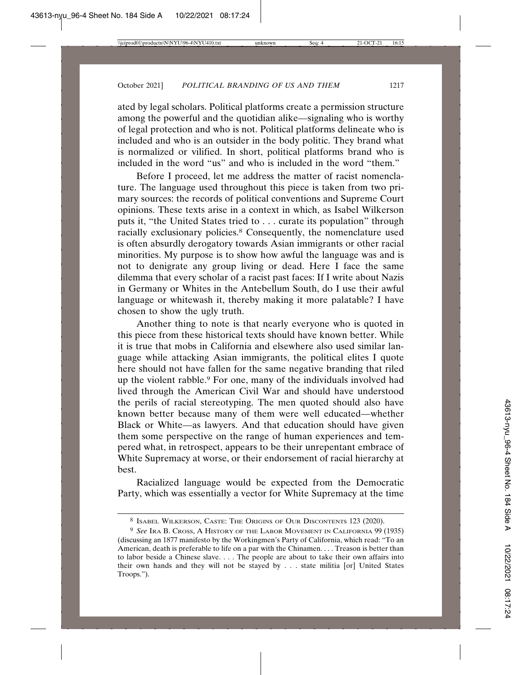ated by legal scholars. Political platforms create a permission structure among the powerful and the quotidian alike—signaling who is worthy of legal protection and who is not. Political platforms delineate who is included and who is an outsider in the body politic. They brand what is normalized or vilified. In short, political platforms brand who is included in the word "us" and who is included in the word "them."

Before I proceed, let me address the matter of racist nomenclature. The language used throughout this piece is taken from two primary sources: the records of political conventions and Supreme Court opinions. These texts arise in a context in which, as Isabel Wilkerson puts it, "the United States tried to . . . curate its population" through racially exclusionary policies.<sup>8</sup> Consequently, the nomenclature used is often absurdly derogatory towards Asian immigrants or other racial minorities. My purpose is to show how awful the language was and is not to denigrate any group living or dead. Here I face the same dilemma that every scholar of a racist past faces: If I write about Nazis in Germany or Whites in the Antebellum South, do I use their awful language or whitewash it, thereby making it more palatable? I have chosen to show the ugly truth.

Another thing to note is that nearly everyone who is quoted in this piece from these historical texts should have known better. While it is true that mobs in California and elsewhere also used similar language while attacking Asian immigrants, the political elites I quote here should not have fallen for the same negative branding that riled up the violent rabble.9 For one, many of the individuals involved had lived through the American Civil War and should have understood the perils of racial stereotyping. The men quoted should also have known better because many of them were well educated—whether Black or White—as lawyers. And that education should have given them some perspective on the range of human experiences and tempered what, in retrospect, appears to be their unrepentant embrace of White Supremacy at worse, or their endorsement of racial hierarchy at best.

Racialized language would be expected from the Democratic Party, which was essentially a vector for White Supremacy at the time

<sup>8</sup> ISABEL WILKERSON, CASTE: THE ORIGINS OF OUR DISCONTENTS 123 (2020).

<sup>9</sup> *See* IRA B. CROSS, A HISTORY OF THE LABOR MOVEMENT IN CALIFORNIA 99 (1935) (discussing an 1877 manifesto by the Workingmen's Party of California, which read: "To an American, death is preferable to life on a par with the Chinamen. . . . Treason is better than to labor beside a Chinese slave. . . . The people are about to take their own affairs into their own hands and they will not be stayed by . . . state militia [or] United States Troops.").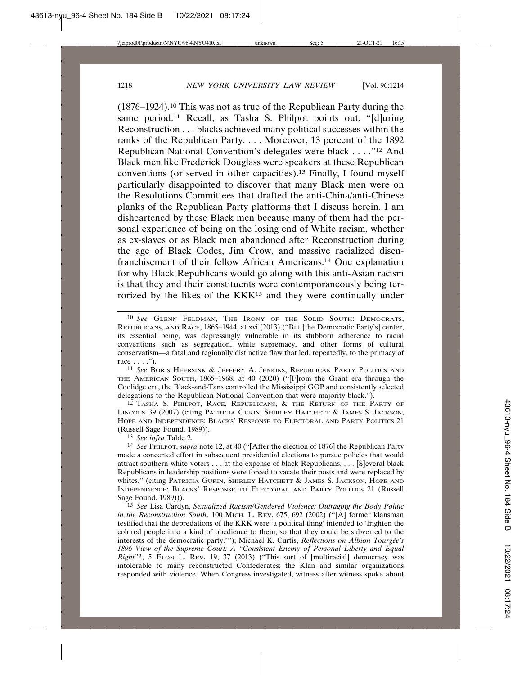$(1876-1924).$ <sup>10</sup> This was not as true of the Republican Party during the same period.11 Recall, as Tasha S. Philpot points out, "[d]uring Reconstruction . . . blacks achieved many political successes within the ranks of the Republican Party. . . . Moreover, 13 percent of the 1892 Republican National Convention's delegates were black . . . ."12 And Black men like Frederick Douglass were speakers at these Republican conventions (or served in other capacities).13 Finally, I found myself particularly disappointed to discover that many Black men were on the Resolutions Committees that drafted the anti-China/anti-Chinese planks of the Republican Party platforms that I discuss herein. I am disheartened by these Black men because many of them had the personal experience of being on the losing end of White racism, whether as ex-slaves or as Black men abandoned after Reconstruction during the age of Black Codes, Jim Crow, and massive racialized disenfranchisement of their fellow African Americans.14 One explanation for why Black Republicans would go along with this anti-Asian racism is that they and their constituents were contemporaneously being terrorized by the likes of the KKK15 and they were continually under

12 TASHA S. PHILPOT, RACE, REPUBLICANS, & THE RETURN OF THE PARTY OF LINCOLN 39 (2007) (citing PATRICIA GURIN, SHIRLEY HATCHETT & JAMES S. JACKSON, HOPE AND INDEPENDENCE: BLACKS' RESPONSE TO ELECTORAL AND PARTY POLITICS 21 (Russell Sage Found. 1989)).

13 *See infra* Table 2.

<sup>10</sup> *See* GLENN FELDMAN, THE IRONY OF THE SOLID SOUTH: DEMOCRATS, REPUBLICANS, AND RACE, 1865–1944, at xvi (2013) ("But [the Democratic Party's] center, its essential being, was depressingly vulnerable in its stubborn adherence to racial conventions such as segregation, white supremacy, and other forms of cultural conservatism—a fatal and regionally distinctive flaw that led, repeatedly, to the primacy of race . . . .").

<sup>11</sup> *See* BORIS HEERSINK & JEFFERY A. JENKINS, REPUBLICAN PARTY POLITICS AND THE AMERICAN SOUTH, 1865–1968, at 40 (2020) ("[F]rom the Grant era through the Coolidge era, the Black-and-Tans controlled the Mississippi GOP and consistently selected delegations to the Republican National Convention that were majority black.").

<sup>14</sup> *See* PHILPOT, *supra* note 12, at 40 ("[After the election of 1876] the Republican Party made a concerted effort in subsequent presidential elections to pursue policies that would attract southern white voters . . . at the expense of black Republicans. . . . [S]everal black Republicans in leadership positions were forced to vacate their posts and were replaced by whites." (citing PATRICIA GURIN, SHIRLEY HATCHETT & JAMES S. JACKSON, HOPE AND INDEPENDENCE: BLACKS' RESPONSE TO ELECTORAL AND PARTY POLITICS 21 (Russell Sage Found. 1989))).

<sup>15</sup> *See* Lisa Cardyn, *Sexualized Racism/Gendered Violence: Outraging the Body Politic in the Reconstruction South*, 100 MICH. L. REV. 675, 692 (2002) ("[A] former klansman testified that the depredations of the KKK were 'a political thing' intended to 'frighten the colored people into a kind of obedience to them, so that they could be subverted to the interests of the democratic party.'"); Michael K. Curtis, *Reflections on Albion Tourgée's 1896 View of the Supreme Court: A "Consistent Enemy of Personal Liberty and Equal Right"?*, 5 ELON L. REV. 19, 37 (2013) ("This sort of [multiracial] democracy was intolerable to many reconstructed Confederates; the Klan and similar organizations responded with violence. When Congress investigated, witness after witness spoke about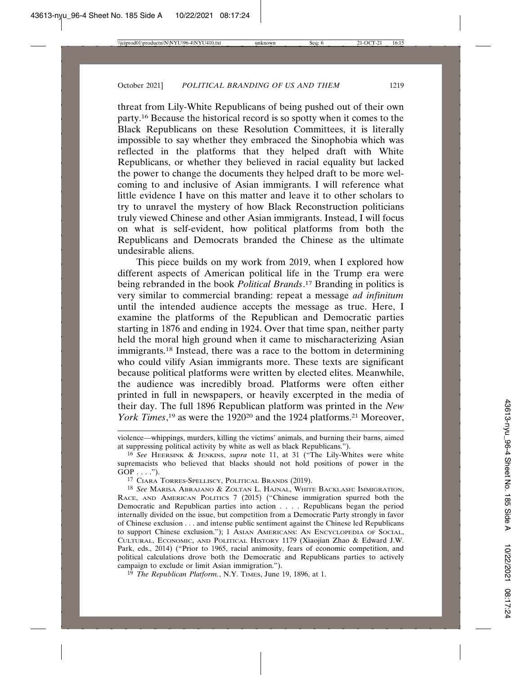threat from Lily-White Republicans of being pushed out of their own party.16 Because the historical record is so spotty when it comes to the Black Republicans on these Resolution Committees, it is literally impossible to say whether they embraced the Sinophobia which was reflected in the platforms that they helped draft with White Republicans, or whether they believed in racial equality but lacked the power to change the documents they helped draft to be more welcoming to and inclusive of Asian immigrants. I will reference what little evidence I have on this matter and leave it to other scholars to try to unravel the mystery of how Black Reconstruction politicians truly viewed Chinese and other Asian immigrants. Instead, I will focus on what is self-evident, how political platforms from both the Republicans and Democrats branded the Chinese as the ultimate undesirable aliens.

This piece builds on my work from 2019, when I explored how different aspects of American political life in the Trump era were being rebranded in the book *Political Brands*. 17 Branding in politics is very similar to commercial branding: repeat a message *ad infinitum* until the intended audience accepts the message as true. Here, I examine the platforms of the Republican and Democratic parties starting in 1876 and ending in 1924. Over that time span, neither party held the moral high ground when it came to mischaracterizing Asian immigrants.18 Instead, there was a race to the bottom in determining who could vilify Asian immigrants more. These texts are significant because political platforms were written by elected elites. Meanwhile, the audience was incredibly broad. Platforms were often either printed in full in newspapers, or heavily excerpted in the media of their day. The full 1896 Republican platform was printed in the *New* York Times,<sup>19</sup> as were the 1920<sup>20</sup> and the 1924 platforms.<sup>21</sup> Moreover,

violence—whippings, murders, killing the victims' animals, and burning their barns, aimed at suppressing political activity by white as well as black Republicans.").

<sup>16</sup> *See* HEERSINK & JENKINS, *supra* note 11, at 31 ("The Lily-Whites were white supremacists who believed that blacks should not hold positions of power in the  $GOP \ldots$ .").

<sup>17</sup> CIARA TORRES-SPELLISCY, POLITICAL BRANDS (2019).

<sup>18</sup> *See* MARISA ABRAJANO & ZOLTAN L. HAJNAL, WHITE BACKLASH: IMMIGRATION, RACE, AND AMERICAN POLITICS 7 (2015) ("Chinese immigration spurred both the Democratic and Republican parties into action . . . . Republicans began the period internally divided on the issue, but competition from a Democratic Party strongly in favor of Chinese exclusion . . . and intense public sentiment against the Chinese led Republicans to support Chinese exclusion."); 1 ASIAN AMERICANS: AN ENCYCLOPEDIA OF SOCIAL, CULTURAL, ECONOMIC, AND POLITICAL HISTORY 1179 (Xiaojian Zhao & Edward J.W. Park, eds., 2014) ("Prior to 1965, racial animosity, fears of economic competition, and political calculations drove both the Democratic and Republicans parties to actively campaign to exclude or limit Asian immigration.").

<sup>19</sup> *The Republican Platform.*, N.Y. TIMES, June 19, 1896, at 1.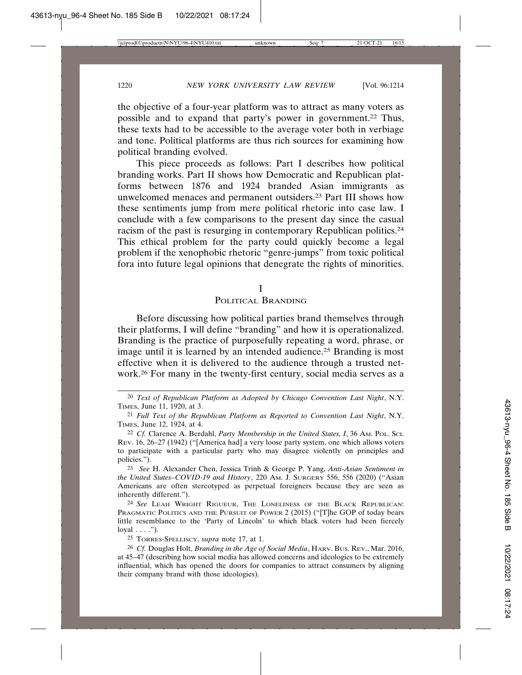the objective of a four-year platform was to attract as many voters as possible and to expand that party's power in government.22 Thus, these texts had to be accessible to the average voter both in verbiage and tone. Political platforms are thus rich sources for examining how political branding evolved.

This piece proceeds as follows: Part I describes how political branding works. Part II shows how Democratic and Republican platforms between 1876 and 1924 branded Asian immigrants as unwelcomed menaces and permanent outsiders.23 Part III shows how these sentiments jump from mere political rhetoric into case law. I conclude with a few comparisons to the present day since the casual racism of the past is resurging in contemporary Republican politics.24 This ethical problem for the party could quickly become a legal problem if the xenophobic rhetoric "genre-jumps" from toxic political fora into future legal opinions that denegrate the rights of minorities.

I

#### POLITICAL BRANDING

Before discussing how political parties brand themselves through their platforms, I will define "branding" and how it is operationalized. Branding is the practice of purposefully repeating a word, phrase, or image until it is learned by an intended audience.<sup>25</sup> Branding is most effective when it is delivered to the audience through a trusted network.26 For many in the twenty-first century, social media serves as a

23 *See* H. Alexander Chen, Jessica Trinh & George P. Yang, *Anti-Asian Sentiment in the United States–COVID-19 and History*, 220 AM. J. SURGERY 556, 556 (2020) ("Asian Americans are often stereotyped as perpetual foreigners because they are seen as inherently different.").

24 *See* LEAH WRIGHT RIGUEUR, THE LONELINESS OF THE BLACK REPUBLICAN: PRAGMATIC POLITICS AND THE PURSUIT OF POWER 2 (2015) ("[T]he GOP of today bears little resemblance to the 'Party of Lincoln' to which black voters had been fiercely  $\log{al} \ldots$  .").

25 TORRES-SPELLISCY, *supra* note 17, at 1.

26 *Cf.* Douglas Holt, *Branding in the Age of Social Media*, HARV. BUS. REV., Mar. 2016, at 45–47 (describing how social media has allowed concerns and ideologies to be extremely influential, which has opened the doors for companies to attract consumers by aligning their company brand with those ideologies).

<sup>20</sup> *Text of Republican Platform as Adopted by Chicago Convention Last Night*, N.Y. TIMES, June 11, 1920, at 3.

<sup>21</sup> *Full Text of the Republican Platform as Reported to Convention Last Night*, N.Y. TIMES, June 12, 1924, at 4.

<sup>22</sup> *Cf.* Clarence A. Berdahl, *Party Membership in the United States, I*, 36 AM. POL. SCI. REV. 16, 26–27 (1942) ("[America had] a very loose party system, one which allows voters to participate with a particular party who may disagree violently on principles and policies.").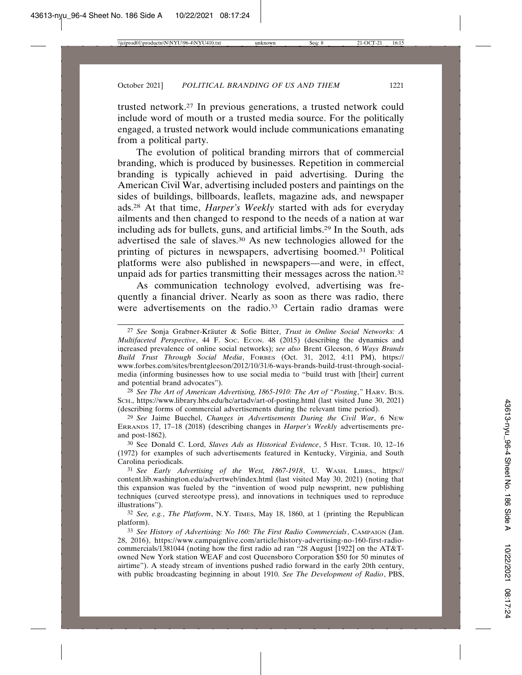trusted network.27 In previous generations, a trusted network could include word of mouth or a trusted media source. For the politically engaged, a trusted network would include communications emanating from a political party.

The evolution of political branding mirrors that of commercial branding, which is produced by businesses. Repetition in commercial branding is typically achieved in paid advertising. During the American Civil War, advertising included posters and paintings on the sides of buildings, billboards, leaflets, magazine ads, and newspaper ads.28 At that time, *Harper's Weekly* started with ads for everyday ailments and then changed to respond to the needs of a nation at war including ads for bullets, guns, and artificial limbs.29 In the South, ads advertised the sale of slaves.30 As new technologies allowed for the printing of pictures in newspapers, advertising boomed.31 Political platforms were also published in newspapers—and were, in effect, unpaid ads for parties transmitting their messages across the nation.<sup>32</sup>

As communication technology evolved, advertising was frequently a financial driver. Nearly as soon as there was radio, there were advertisements on the radio.<sup>33</sup> Certain radio dramas were

28 *See The Art of American Advertising, 1865-1910: The Art of "Posting*,*"* HARV. BUS. SCH., https://www.library.hbs.edu/hc/artadv/art-of-posting.html (last visited June 30, 2021) (describing forms of commercial advertisements during the relevant time period).

29 *See* Jaime Buechel, *Changes in Advertisements During the Civil War*, 6 NEW ERRANDS 17, 17–18 (2018) (describing changes in *Harper's Weekly* advertisements preand post-1862).

30 See Donald C. Lord, *Slaves Ads as Historical Evidence*, 5 HIST. TCHR. 10, 12–16 (1972) for examples of such advertisements featured in Kentucky, Virginia, and South Carolina periodicals.

31 *See Early Advertising of the West, 1867-1918*, U. WASH. LIBRS., https:// content.lib.washington.edu/advertweb/index.html (last visited May 30, 2021) (noting that this expansion was fueled by the "invention of wood pulp newsprint, new publishing techniques (curved stereotype press), and innovations in techniques used to reproduce illustrations").

32 *See, e.g.*, *The Platform*, N.Y. TIMES, May 18, 1860, at 1 (printing the Republican platform).

33 *See History of Advertising: No 160: The First Radio Commercials*, CAMPAIGN (Jan. 28, 2016), https://www.campaignlive.com/article/history-advertising-no-160-first-radiocommercials/1381044 (noting how the first radio ad ran "28 August [1922] on the AT&Towned New York station WEAF and cost Queensboro Corporation \$50 for 50 minutes of airtime"). A steady stream of inventions pushed radio forward in the early 20th century, with public broadcasting beginning in about 1910. *See The Development of Radio*, PBS,

<sup>&</sup>lt;sup>27</sup> See Sonja Grabner-Kräuter & Sofie Bitter, *Trust in Online Social Networks: A Multifaceted Perspective*, 44 F. SOC. ECON. 48 (2015) (describing the dynamics and increased prevalence of online social networks); *see also* Brent Gleeson, *6 Ways Brands Build Trust Through Social Media*, FORBES (Oct. 31, 2012, 4:11 PM), https:// www.forbes.com/sites/brentgleeson/2012/10/31/6-ways-brands-build-trust-through-socialmedia (informing businesses how to use social media to "build trust with [their] current and potential brand advocates").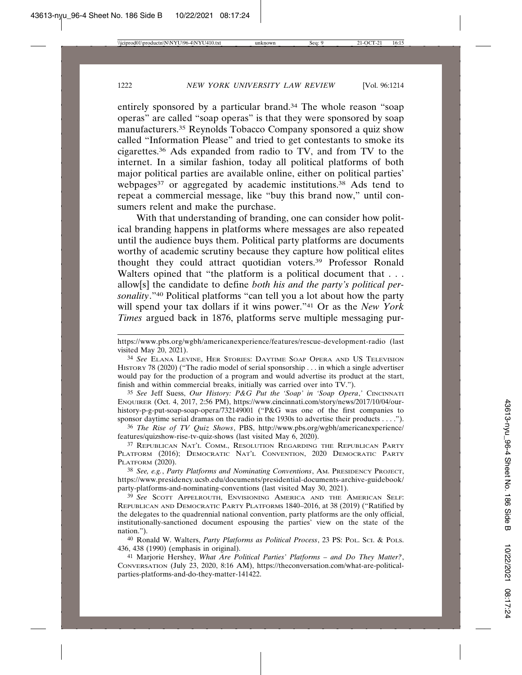entirely sponsored by a particular brand.34 The whole reason "soap operas" are called "soap operas" is that they were sponsored by soap manufacturers.35 Reynolds Tobacco Company sponsored a quiz show called "Information Please" and tried to get contestants to smoke its cigarettes.36 Ads expanded from radio to TV, and from TV to the internet. In a similar fashion, today all political platforms of both major political parties are available online, either on political parties' webpages<sup>37</sup> or aggregated by academic institutions.<sup>38</sup> Ads tend to repeat a commercial message, like "buy this brand now," until consumers relent and make the purchase.

With that understanding of branding, one can consider how political branding happens in platforms where messages are also repeated until the audience buys them. Political party platforms are documents worthy of academic scrutiny because they capture how political elites thought they could attract quotidian voters.39 Professor Ronald Walters opined that "the platform is a political document that . . . allow[s] the candidate to define *both his and the party's political personality*."40 Political platforms "can tell you a lot about how the party will spend your tax dollars if it wins power."41 Or as the *New York Times* argued back in 1876, platforms serve multiple messaging pur-

35 *See* Jeff Suess, *Our History: P&G Put the 'Soap' in 'Soap Opera*,*'* CINCINNATI ENQUIRER (Oct. 4, 2017, 2:56 PM), https://www.cincinnati.com/story/news/2017/10/04/ourhistory-p-g-put-soap-soap-opera/732149001 ("P&G was one of the first companies to sponsor daytime serial dramas on the radio in the 1930s to advertise their products . . . .").

36 *The Rise of TV Quiz Shows*, PBS, http://www.pbs.org/wgbh/americanexperience/ features/quizshow-rise-tv-quiz-shows (last visited May 6, 2020).

37 REPUBLICAN NAT'L COMM., RESOLUTION REGARDING THE REPUBLICAN PARTY PLATFORM (2016); DEMOCRATIC NAT'L CONVENTION, 2020 DEMOCRATIC PARTY PLATFORM (2020).

38 *See, e.g.*, *Party Platforms and Nominating Conventions*, AM. PRESIDENCY PROJECT, https://www.presidency.ucsb.edu/documents/presidential-documents-archive-guidebook/ party-platforms-and-nominating-conventions (last visited May 30, 2021).

39 *See* SCOTT APPELROUTH, ENVISIONING AMERICA AND THE AMERICAN SELF: REPUBLICAN AND DEMOCRATIC PARTY PLATFORMS 1840–2016, at 38 (2019) ("Ratified by the delegates to the quadrennial national convention, party platforms are the only official, institutionally-sanctioned document espousing the parties' view on the state of the nation.").

40 Ronald W. Walters, *Party Platforms as Political Process*, 23 PS: POL. SCI. & POLS. 436, 438 (1990) (emphasis in original).

41 Marjorie Hershey, *What Are Political Parties' Platforms – and Do They Matter?*, CONVERSATION (July 23, 2020, 8:16 AM), https://theconversation.com/what-are-politicalparties-platforms-and-do-they-matter-141422.

https://www.pbs.org/wgbh/americanexperience/features/rescue-development-radio (last visited May 20, 2021).

<sup>34</sup> *See* ELANA LEVINE, HER STORIES: DAYTIME SOAP OPERA AND US TELEVISION HISTORY 78 (2020) ("The radio model of serial sponsorship . . . in which a single advertiser would pay for the production of a program and would advertise its product at the start, finish and within commercial breaks, initially was carried over into TV.").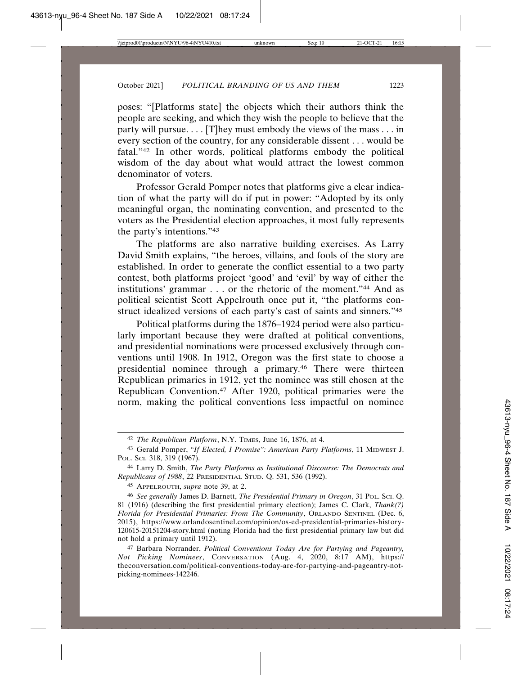poses: "[Platforms state] the objects which their authors think the people are seeking, and which they wish the people to believe that the party will pursue. . . . [T] hey must embody the views of the mass . . . in every section of the country, for any considerable dissent . . . would be fatal."42 In other words, political platforms embody the political wisdom of the day about what would attract the lowest common denominator of voters.

Professor Gerald Pomper notes that platforms give a clear indication of what the party will do if put in power: "Adopted by its only meaningful organ, the nominating convention, and presented to the voters as the Presidential election approaches, it most fully represents the party's intentions."43

The platforms are also narrative building exercises. As Larry David Smith explains, "the heroes, villains, and fools of the story are established. In order to generate the conflict essential to a two party contest, both platforms project 'good' and 'evil' by way of either the institutions' grammar . . . or the rhetoric of the moment."44 And as political scientist Scott Appelrouth once put it, "the platforms construct idealized versions of each party's cast of saints and sinners."45

Political platforms during the 1876–1924 period were also particularly important because they were drafted at political conventions, and presidential nominations were processed exclusively through conventions until 1908. In 1912, Oregon was the first state to choose a presidential nominee through a primary.46 There were thirteen Republican primaries in 1912, yet the nominee was still chosen at the Republican Convention.47 After 1920, political primaries were the norm, making the political conventions less impactful on nominee

45 APPELROUTH, *supra* note 39, at 2.

46 *See generally* James D. Barnett, *The Presidential Primary in Oregon*, 31 POL. SCI. Q. 81 (1916) (describing the first presidential primary election); James C. Clark, *Thank(?) Florida for Presidential Primaries: From The Community*, ORLANDO SENTINEL (Dec. 6, 2015), https://www.orlandosentinel.com/opinion/os-ed-presidential-primaries-history-120615-20151204-story.html (noting Florida had the first presidential primary law but did not hold a primary until 1912).

47 Barbara Norrander, *Political Conventions Today Are for Partying and Pageantry, Not Picking Nominees*, CONVERSATION (Aug. 4, 2020, 8:17 AM), https:// theconversation.com/political-conventions-today-are-for-partying-and-pageantry-notpicking-nominees-142246.

<sup>42</sup> *The Republican Platform*, N.Y. TIMES, June 16, 1876, at 4.

<sup>43</sup> Gerald Pomper, *"If Elected, I Promise": American Party Platforms*, 11 MIDWEST J. POL. SCI. 318, 319 (1967).

<sup>44</sup> Larry D. Smith, *The Party Platforms as Institutional Discourse: The Democrats and Republicans of 1988*, 22 PRESIDENTIAL STUD. Q. 531, 536 (1992).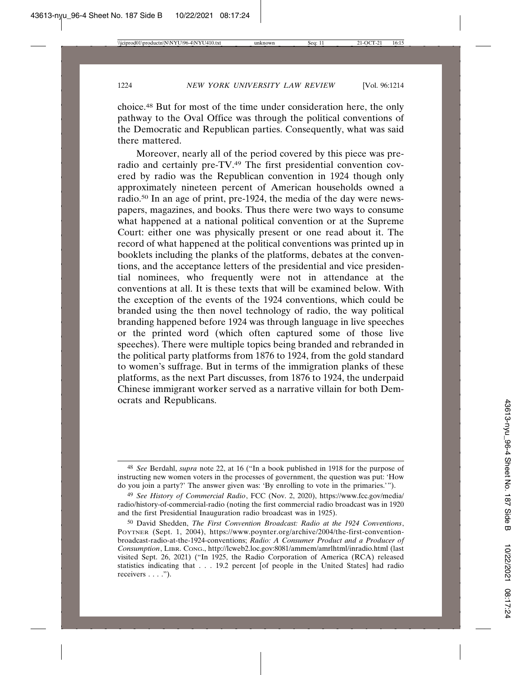choice.48 But for most of the time under consideration here, the only pathway to the Oval Office was through the political conventions of the Democratic and Republican parties. Consequently, what was said there mattered.

Moreover, nearly all of the period covered by this piece was preradio and certainly pre-TV.49 The first presidential convention covered by radio was the Republican convention in 1924 though only approximately nineteen percent of American households owned a radio.50 In an age of print, pre-1924, the media of the day were newspapers, magazines, and books. Thus there were two ways to consume what happened at a national political convention or at the Supreme Court: either one was physically present or one read about it. The record of what happened at the political conventions was printed up in booklets including the planks of the platforms, debates at the conventions, and the acceptance letters of the presidential and vice presidential nominees, who frequently were not in attendance at the conventions at all. It is these texts that will be examined below. With the exception of the events of the 1924 conventions, which could be branded using the then novel technology of radio, the way political branding happened before 1924 was through language in live speeches or the printed word (which often captured some of those live speeches). There were multiple topics being branded and rebranded in the political party platforms from 1876 to 1924, from the gold standard to women's suffrage. But in terms of the immigration planks of these platforms, as the next Part discusses, from 1876 to 1924, the underpaid Chinese immigrant worker served as a narrative villain for both Democrats and Republicans.

<sup>48</sup> *See* Berdahl, *supra* note 22, at 16 ("In a book published in 1918 for the purpose of instructing new women voters in the processes of government, the question was put: 'How do you join a party?' The answer given was: 'By enrolling to vote in the primaries.'").

<sup>49</sup> *See History of Commercial Radio*, FCC (Nov. 2, 2020), https://www.fcc.gov/media/ radio/history-of-commercial-radio (noting the first commercial radio broadcast was in 1920 and the first Presidential Inauguration radio broadcast was in 1925).

<sup>50</sup> David Shedden, *The First Convention Broadcast: Radio at the 1924 Conventions*, POYTNER (Sept. 1, 2004), https://www.poynter.org/archive/2004/the-first-conventionbroadcast-radio-at-the-1924-conventions; *Radio: A Consumer Product and a Producer of Consumption*, LIBR. CONG., http://lcweb2.loc.gov:8081/ammem/amrlhtml/inradio.html (last visited Sept. 26, 2021) ("In 1925, the Radio Corporation of America (RCA) released statistics indicating that . . . 19.2 percent [of people in the United States] had radio receivers . . . .").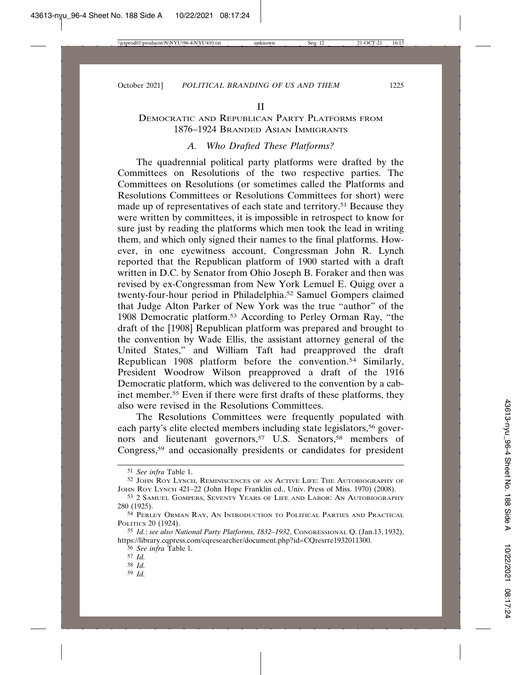# DEMOCRATIC AND REPUBLICAN PARTY PLATFORMS FROM 1876–1924 BRANDED ASIAN IMMIGRANTS

# *A. Who Drafted These Platforms?*

The quadrennial political party platforms were drafted by the Committees on Resolutions of the two respective parties. The Committees on Resolutions (or sometimes called the Platforms and Resolutions Committees or Resolutions Committees for short) were made up of representatives of each state and territory.51 Because they were written by committees, it is impossible in retrospect to know for sure just by reading the platforms which men took the lead in writing them, and which only signed their names to the final platforms. However, in one eyewitness account, Congressman John R. Lynch reported that the Republican platform of 1900 started with a draft written in D.C. by Senator from Ohio Joseph B. Foraker and then was revised by ex-Congressman from New York Lemuel E. Quigg over a twenty-four-hour period in Philadelphia.52 Samuel Gompers claimed that Judge Alton Parker of New York was the true "author" of the 1908 Democratic platform.53 According to Perley Orman Ray, "the draft of the [1908] Republican platform was prepared and brought to the convention by Wade Ellis, the assistant attorney general of the United States," and William Taft had preapproved the draft Republican 1908 platform before the convention.54 Similarly, President Woodrow Wilson preapproved a draft of the 1916 Democratic platform, which was delivered to the convention by a cabinet member.55 Even if there were first drafts of these platforms, they also were revised in the Resolutions Committees.

The Resolutions Committees were frequently populated with each party's elite elected members including state legislators,<sup>56</sup> governors and lieutenant governors,<sup>57</sup> U.S. Senators,<sup>58</sup> members of Congress,59 and occasionally presidents or candidates for president

- 58 *Id.*
- 59 *Id.*

<sup>51</sup> *See infra* Table 1.

<sup>52</sup> JOHN ROY LYNCH, REMINISCENCES OF AN ACTIVE LIFE: THE AUTOBIOGRAPHY OF JOHN ROY LYNCH 421–22 (John Hope Franklin ed., Univ. Press of Miss. 1970) (2008).

<sup>53</sup> 2 SAMUEL GOMPERS, SEVENTY YEARS OF LIFE AND LABOR: AN AUTOBIOGRAPHY 280 (1925).

<sup>54</sup> PERLEY ORMAN RAY, AN INTRODUCTION TO POLITICAL PARTIES AND PRACTICAL POLITICS 20 (1924).

<sup>55</sup> *Id.*; *see also National Party Platforms, 1832–1932*, CONGRESSIONAL Q. (Jan.13, 1932), https://library.cqpress.com/cqresearcher/document.php?id=CQresrre1932011300.

<sup>56</sup> *See infra* Table 1.

<sup>57</sup> *Id.*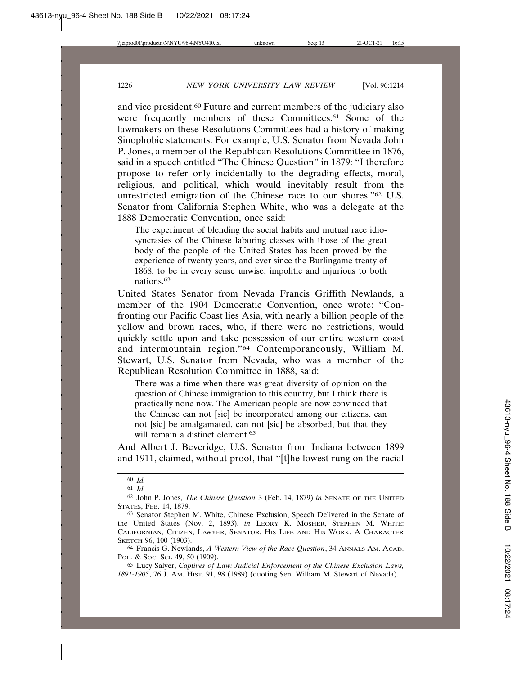and vice president.60 Future and current members of the judiciary also were frequently members of these Committees.<sup>61</sup> Some of the lawmakers on these Resolutions Committees had a history of making Sinophobic statements. For example, U.S. Senator from Nevada John P. Jones, a member of the Republican Resolutions Committee in 1876, said in a speech entitled "The Chinese Question" in 1879: "I therefore propose to refer only incidentally to the degrading effects, moral, religious, and political, which would inevitably result from the unrestricted emigration of the Chinese race to our shores."62 U.S. Senator from California Stephen White, who was a delegate at the 1888 Democratic Convention, once said:

The experiment of blending the social habits and mutual race idiosyncrasies of the Chinese laboring classes with those of the great body of the people of the United States has been proved by the experience of twenty years, and ever since the Burlingame treaty of 1868, to be in every sense unwise, impolitic and injurious to both nations<sup>63</sup>

United States Senator from Nevada Francis Griffith Newlands, a member of the 1904 Democratic Convention, once wrote: "Confronting our Pacific Coast lies Asia, with nearly a billion people of the yellow and brown races, who, if there were no restrictions, would quickly settle upon and take possession of our entire western coast and intermountain region."64 Contemporaneously, William M. Stewart, U.S. Senator from Nevada, who was a member of the Republican Resolution Committee in 1888, said:

There was a time when there was great diversity of opinion on the question of Chinese immigration to this country, but I think there is practically none now. The American people are now convinced that the Chinese can not [sic] be incorporated among our citizens, can not [sic] be amalgamated, can not [sic] be absorbed, but that they will remain a distinct element.<sup>65</sup>

And Albert J. Beveridge, U.S. Senator from Indiana between 1899 and 1911, claimed, without proof, that "[t]he lowest rung on the racial

65 Lucy Salyer, *Captives of Law: Judicial Enforcement of the Chinese Exclusion Laws, 1891-1905*, 76 J. AM. HIST. 91, 98 (1989) (quoting Sen. William M. Stewart of Nevada).

<sup>60</sup> *Id.*

<sup>61</sup> *Id.*

<sup>62</sup> John P. Jones, *The Chinese Question* 3 (Feb. 14, 1879) *in* SENATE OF THE UNITED STATES, FEB. 14, 1879.

<sup>63</sup> Senator Stephen M. White, Chinese Exclusion, Speech Delivered in the Senate of the United States (Nov. 2, 1893), *in* LEORY K. MOSHER, STEPHEN M. WHITE: CALIFORNIAN, CITIZEN, LAWYER, SENATOR. HIS LIFE AND HIS WORK. A CHARACTER SKETCH 96, 100 (1903).

<sup>64</sup> Francis G. Newlands, *A Western View of the Race Question*, 34 ANNALS AM. ACAD. POL. & SOC. SCI. 49, 50 (1909).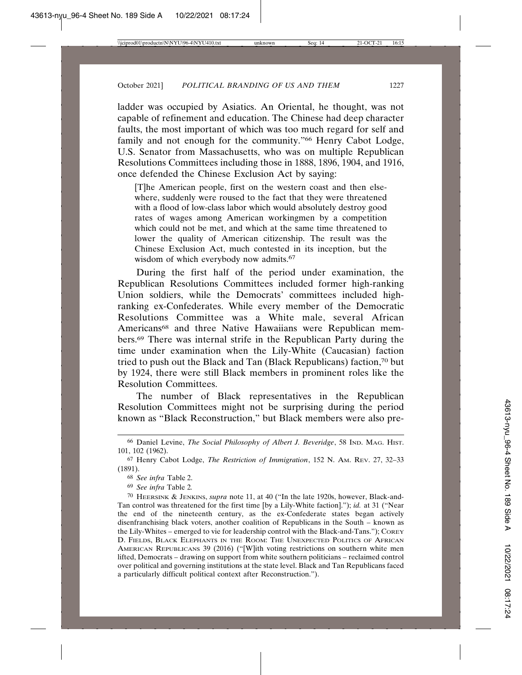ladder was occupied by Asiatics. An Oriental, he thought, was not capable of refinement and education. The Chinese had deep character faults, the most important of which was too much regard for self and family and not enough for the community."<sup>66</sup> Henry Cabot Lodge, U.S. Senator from Massachusetts, who was on multiple Republican Resolutions Committees including those in 1888, 1896, 1904, and 1916, once defended the Chinese Exclusion Act by saying:

[T]he American people, first on the western coast and then elsewhere, suddenly were roused to the fact that they were threatened with a flood of low-class labor which would absolutely destroy good rates of wages among American workingmen by a competition which could not be met, and which at the same time threatened to lower the quality of American citizenship. The result was the Chinese Exclusion Act, much contested in its inception, but the wisdom of which everybody now admits.<sup>67</sup>

During the first half of the period under examination, the Republican Resolutions Committees included former high-ranking Union soldiers, while the Democrats' committees included highranking ex-Confederates. While every member of the Democratic Resolutions Committee was a White male, several African Americans<sup>68</sup> and three Native Hawaiians were Republican members.69 There was internal strife in the Republican Party during the time under examination when the Lily-White (Caucasian) faction tried to push out the Black and Tan (Black Republicans) faction,70 but by 1924, there were still Black members in prominent roles like the Resolution Committees.

The number of Black representatives in the Republican Resolution Committees might not be surprising during the period known as "Black Reconstruction," but Black members were also pre-

<sup>66</sup> Daniel Levine, *The Social Philosophy of Albert J. Beveridge*, 58 IND. MAG. HIST. 101, 102 (1962).

<sup>67</sup> Henry Cabot Lodge, *The Restriction of Immigration*, 152 N. AM. REV. 27, 32–33 (1891).

<sup>68</sup> *See infra* Table 2.

<sup>69</sup> *See infra* Table 2*.*

<sup>70</sup> HEERSINK & JENKINS, *supra* note 11, at 40 ("In the late 1920s, however, Black-and-Tan control was threatened for the first time [by a Lily-White faction]."); *id.* at 31 ("Near the end of the nineteenth century, as the ex-Confederate states began actively disenfranchising black voters, another coalition of Republicans in the South – known as the Lily-Whites – emerged to vie for leadership control with the Black-and-Tans."); COREY D. FIELDS, BLACK ELEPHANTS IN THE ROOM: THE UNEXPECTED POLITICS OF AFRICAN AMERICAN REPUBLICANS 39 (2016) ("[W]ith voting restrictions on southern white men lifted, Democrats – drawing on support from white southern politicians – reclaimed control over political and governing institutions at the state level. Black and Tan Republicans faced a particularly difficult political context after Reconstruction.").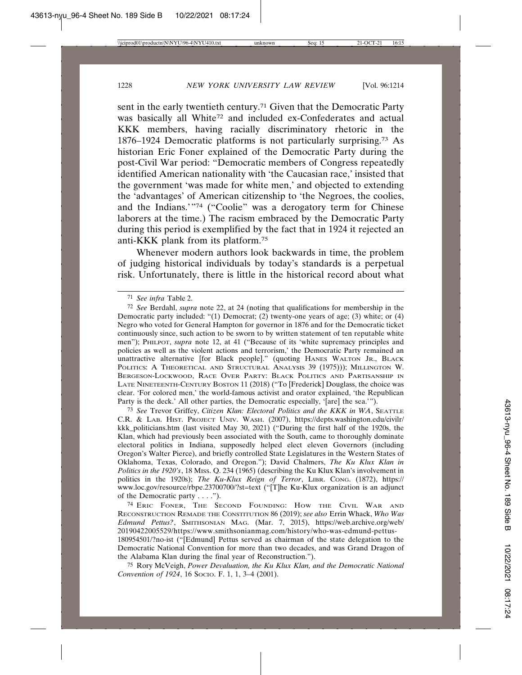sent in the early twentieth century.71 Given that the Democratic Party was basically all White<sup>72</sup> and included ex-Confederates and actual KKK members, having racially discriminatory rhetoric in the 1876–1924 Democratic platforms is not particularly surprising.73 As historian Eric Foner explained of the Democratic Party during the post-Civil War period: "Democratic members of Congress repeatedly identified American nationality with 'the Caucasian race,' insisted that the government 'was made for white men,' and objected to extending the 'advantages' of American citizenship to 'the Negroes, the coolies, and the Indians.'"74 ("Coolie" was a derogatory term for Chinese laborers at the time.) The racism embraced by the Democratic Party during this period is exemplified by the fact that in 1924 it rejected an anti-KKK plank from its platform.75

Whenever modern authors look backwards in time, the problem of judging historical individuals by today's standards is a perpetual risk. Unfortunately, there is little in the historical record about what

73 *See* Trevor Griffey, *Citizen Klan: Electoral Politics and the KKK in WA*, SEATTLE C.R. & LAB. HIST. PROJECT UNIV. WASH. (2007), https://depts.washington.edu/civilr/ kkk\_politicians.htm (last visited May 30, 2021) ("During the first half of the 1920s, the Klan, which had previously been associated with the South, came to thoroughly dominate electoral politics in Indiana, supposedly helped elect eleven Governors (including Oregon's Walter Pierce), and briefly controlled State Legislatures in the Western States of Oklahoma, Texas, Colorado, and Oregon."); David Chalmers, *The Ku Klux Klan in Politics in the 1920's*, 18 MISS. Q. 234 (1965) (describing the Ku Klux Klan's involvement in politics in the 1920s); *The Ku-Klux Reign of Terror*, LIBR. CONG. (1872), https:// www.loc.gov/resource/rbpe.23700700/?st=text ("[T]he Ku-Klux organization is an adjunct of the Democratic party . . . .").

74 ERIC FONER, THE SECOND FOUNDING: HOW THE CIVIL WAR AND RECONSTRUCTION REMADE THE CONSTITUTION 86 (2019); *see also* Errin Whack, *Who Was Edmund Pettus?*, SMITHSONIAN MAG. (Mar. 7, 2015), https://web.archive.org/web/ 20190422005529/https://www.smithsonianmag.com/history/who-was-edmund-pettus-180954501/?no-ist ("[Edmund] Pettus served as chairman of the state delegation to the Democratic National Convention for more than two decades, and was Grand Dragon of

the Alabama Klan during the final year of Reconstruction."). 75 Rory McVeigh, *Power Devaluation, the Ku Klux Klan, and the Democratic National Convention of 1924*, 16 Socio. F. 1, 1, 3-4 (2001).

<sup>71</sup> *See infra* Table 2.

<sup>72</sup> *See* Berdahl, *supra* note 22, at 24 (noting that qualifications for membership in the Democratic party included: "(1) Democrat; (2) twenty-one years of age; (3) white; or (4) Negro who voted for General Hampton for governor in 1876 and for the Democratic ticket continuously since, such action to be sworn to by written statement of ten reputable white men"); PHILPOT, *supra* note 12, at 41 ("Because of its 'white supremacy principles and policies as well as the violent actions and terrorism,' the Democratic Party remained an unattractive alternative [for Black people]." (quoting HANES WALTON JR., BLACK POLITICS: A THEORETICAL AND STRUCTURAL ANALYSIS 39 (1975))); MILLINGTON W. BERGESON-LOCKWOOD, RACE OVER PARTY: BLACK POLITICS AND PARTISANSHIP IN LATE NINETEENTH-CENTURY BOSTON 11 (2018) ("To [Frederick] Douglass, the choice was clear. 'For colored men,' the world-famous activist and orator explained, 'the Republican Party is the deck.' All other parties, the Democratic especially, '[are] the sea.'").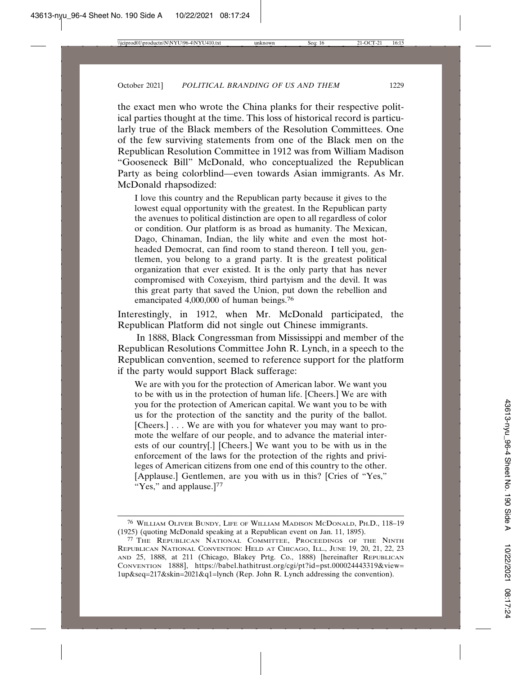the exact men who wrote the China planks for their respective political parties thought at the time. This loss of historical record is particularly true of the Black members of the Resolution Committees. One of the few surviving statements from one of the Black men on the Republican Resolution Committee in 1912 was from William Madison "Gooseneck Bill" McDonald, who conceptualized the Republican Party as being colorblind—even towards Asian immigrants. As Mr. McDonald rhapsodized:

I love this country and the Republican party because it gives to the lowest equal opportunity with the greatest. In the Republican party the avenues to political distinction are open to all regardless of color or condition. Our platform is as broad as humanity. The Mexican, Dago, Chinaman, Indian, the lily white and even the most hotheaded Democrat, can find room to stand thereon. I tell you, gentlemen, you belong to a grand party. It is the greatest political organization that ever existed. It is the only party that has never compromised with Coxeyism, third partyism and the devil. It was this great party that saved the Union, put down the rebellion and emancipated 4,000,000 of human beings.76

Interestingly, in 1912, when Mr. McDonald participated, the Republican Platform did not single out Chinese immigrants.

In 1888, Black Congressman from Mississippi and member of the Republican Resolutions Committee John R. Lynch, in a speech to the Republican convention, seemed to reference support for the platform if the party would support Black sufferage:

We are with you for the protection of American labor. We want you to be with us in the protection of human life. [Cheers.] We are with you for the protection of American capital. We want you to be with us for the protection of the sanctity and the purity of the ballot. [Cheers.] . . . We are with you for whatever you may want to promote the welfare of our people, and to advance the material interests of our country[.] [Cheers.] We want you to be with us in the enforcement of the laws for the protection of the rights and privileges of American citizens from one end of this country to the other. [Applause.] Gentlemen, are you with us in this? [Cries of "Yes," "Yes," and applause.]<sup>77</sup>

<sup>76</sup> WILLIAM OLIVER BUNDY, LIFE OF WILLIAM MADISON MCDONALD, PH.D., 118–19 (1925) (quoting McDonald speaking at a Republican event on Jan. 11, 1895).

<sup>77</sup> THE REPUBLICAN NATIONAL COMMITTEE, PROCEEDINGS OF THE NINTH REPUBLICAN NATIONAL CONVENTION: HELD AT CHICAGO, ILL., JUNE 19, 20, 21, 22, 23 AND 25, 1888, at 211 (Chicago, Blakey Prtg. Co., 1888) [hereinafter REPUBLICAN CONVENTION 1888], https://babel.hathitrust.org/cgi/pt?id=pst.000024443319&view= 1up&seq=217&skin=2021&q1=lynch (Rep. John R. Lynch addressing the convention).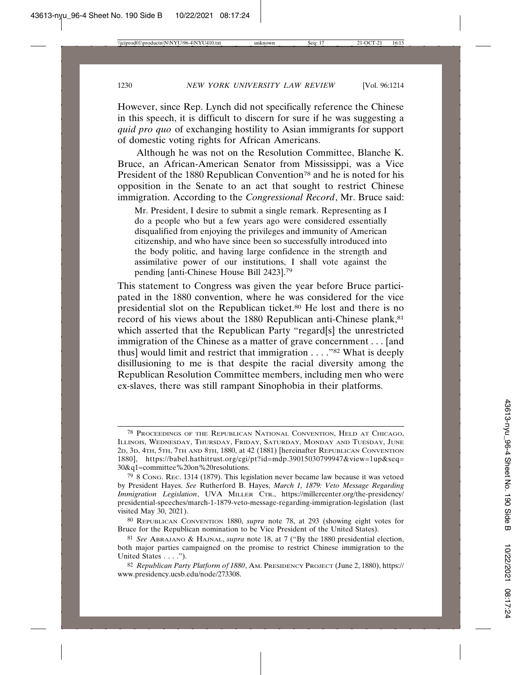However, since Rep. Lynch did not specifically reference the Chinese in this speech, it is difficult to discern for sure if he was suggesting a *quid pro quo* of exchanging hostility to Asian immigrants for support of domestic voting rights for African Americans.

Although he was not on the Resolution Committee, Blanche K. Bruce, an African-American Senator from Mississippi, was a Vice President of the 1880 Republican Convention<sup>78</sup> and he is noted for his opposition in the Senate to an act that sought to restrict Chinese immigration. According to the *Congressional Record*, Mr. Bruce said:

Mr. President, I desire to submit a single remark. Representing as I do a people who but a few years ago were considered essentially disqualified from enjoying the privileges and immunity of American citizenship, and who have since been so successfully introduced into the body politic, and having large confidence in the strength and assimilative power of our institutions, I shall vote against the pending [anti-Chinese House Bill 2423].79

This statement to Congress was given the year before Bruce participated in the 1880 convention, where he was considered for the vice presidential slot on the Republican ticket.80 He lost and there is no record of his views about the 1880 Republican anti-Chinese plank, 81 which asserted that the Republican Party "regard[s] the unrestricted immigration of the Chinese as a matter of grave concernment . . . [and thus] would limit and restrict that immigration . . . ."82 What is deeply disillusioning to me is that despite the racial diversity among the Republican Resolution Committee members, including men who were ex-slaves, there was still rampant Sinophobia in their platforms.

<sup>78</sup> PROCEEDINGS OF THE REPUBLICAN NATIONAL CONVENTION, HELD AT CHICAGO, ILLINOIS, WEDNESDAY, THURSDAY, FRIDAY, SATURDAY, MONDAY AND TUESDAY, JUNE 2D, 3D, 4TH, 5TH, 7TH AND 8TH, 1880, at 42 (1881) [hereinafter REPUBLICAN CONVENTION 1880], https://babel.hathitrust.org/cgi/pt?id=mdp.39015030799947&view=1up&seq= 30&q1=committee%20on%20resolutions.

<sup>79</sup> 8 CONG. REC. 1314 (1879). This legislation never became law because it was vetoed by President Hayes. *See* Rutherford B. Hayes, *March 1, 1879: Veto Message Regarding Immigration Legislation*, UVA MILLER CTR., https://millercenter.org/the-presidency/ presidential-speeches/march-1-1879-veto-message-regarding-immigration-legislation (last visited May 30, 2021).

<sup>80</sup> REPUBLICAN CONVENTION 1880, *supra* note 78, at 293 (showing eight votes for Bruce for the Republican nomination to be Vice President of the United States).

<sup>81</sup> *See* ABRAJANO & HAJNAL, *supra* note 18, at 7 ("By the 1880 presidential election, both major parties campaigned on the promise to restrict Chinese immigration to the United States . . . .").

<sup>82</sup> *Republican Party Platform of 1880*, AM. PRESIDENCY PROJECT (June 2, 1880), https:// www.presidency.ucsb.edu/node/273308.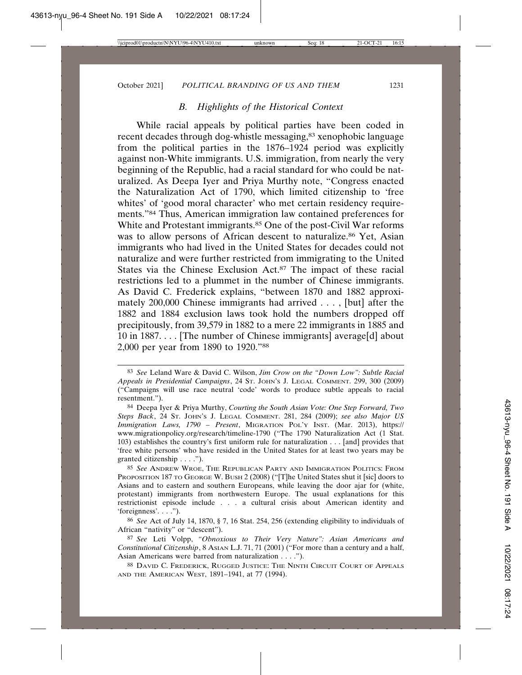# *B. Highlights of the Historical Context*

While racial appeals by political parties have been coded in recent decades through dog-whistle messaging,<sup>83</sup> xenophobic language from the political parties in the 1876–1924 period was explicitly against non-White immigrants. U.S. immigration, from nearly the very beginning of the Republic, had a racial standard for who could be naturalized. As Deepa Iyer and Priya Murthy note, "Congress enacted the Naturalization Act of 1790, which limited citizenship to 'free whites' of 'good moral character' who met certain residency requirements."84 Thus, American immigration law contained preferences for White and Protestant immigrants.<sup>85</sup> One of the post-Civil War reforms was to allow persons of African descent to naturalize.<sup>86</sup> Yet, Asian immigrants who had lived in the United States for decades could not naturalize and were further restricted from immigrating to the United States via the Chinese Exclusion Act.87 The impact of these racial restrictions led to a plummet in the number of Chinese immigrants. As David C. Frederick explains, "between 1870 and 1882 approximately 200,000 Chinese immigrants had arrived . . . , [but] after the 1882 and 1884 exclusion laws took hold the numbers dropped off precipitously, from 39,579 in 1882 to a mere 22 immigrants in 1885 and 10 in 1887. . . . [The number of Chinese immigrants] average[d] about 2,000 per year from 1890 to 1920."88

<sup>83</sup> *See* Leland Ware & David C. Wilson, *Jim Crow on the "Down Low": Subtle Racial Appeals in Presidential Campaigns*, 24 ST. JOHN'S J. LEGAL COMMENT. 299, 300 (2009) ("Campaigns will use race neutral 'code' words to produce subtle appeals to racial resentment.").

<sup>84</sup> Deepa Iyer & Priya Murthy, *Courting the South Asian Vote: One Step Forward, Two Steps Back*, 24 ST. JOHN'S J. LEGAL COMMENT. 281, 284 (2009); *see also Major US Immigration Laws, 1790 – Present*, MIGRATION POL'Y INST. (Mar. 2013), https:// www.migrationpolicy.org/research/timeline-1790 ("The 1790 Naturalization Act (1 Stat. 103) establishes the country's first uniform rule for naturalization . . . [and] provides that 'free white persons' who have resided in the United States for at least two years may be granted citizenship . . . .").

<sup>85</sup> *See* ANDREW WROE, THE REPUBLICAN PARTY AND IMMIGRATION POLITICS: FROM PROPOSITION 187 TO GEORGE W. BUSH 2 (2008) ("[T]he United States shut it [sic] doors to Asians and to eastern and southern Europeans, while leaving the door ajar for (white, protestant) immigrants from northwestern Europe. The usual explanations for this restrictionist episode include . . . a cultural crisis about American identity and 'foreignness'. . . .").

<sup>86</sup> *See* Act of July 14, 1870, § 7, 16 Stat. 254, 256 (extending eligibility to individuals of African "nativity" or "descent").

<sup>87</sup> *See* Leti Volpp, *"Obnoxious to Their Very Nature": Asian Americans and Constitutional Citizenship*, 8 ASIAN L.J. 71, 71 (2001) ("For more than a century and a half, Asian Americans were barred from naturalization . . . .").

<sup>88</sup> DAVID C. FREDERICK, RUGGED JUSTICE: THE NINTH CIRCUIT COURT OF APPEALS AND THE AMERICAN WEST, 1891–1941, at 77 (1994).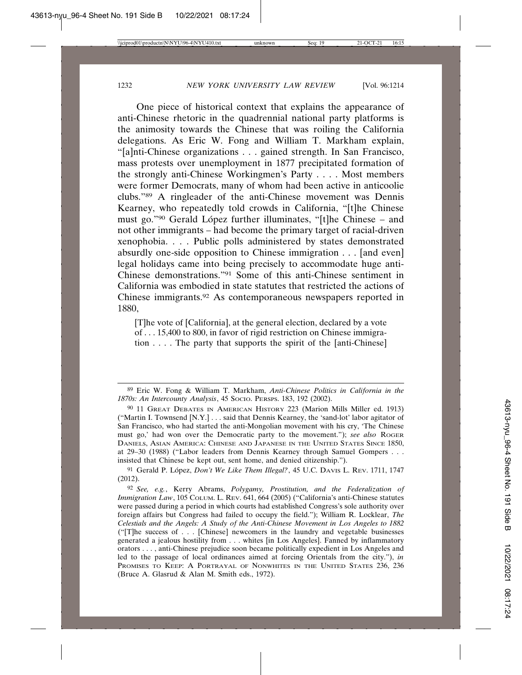One piece of historical context that explains the appearance of anti-Chinese rhetoric in the quadrennial national party platforms is the animosity towards the Chinese that was roiling the California delegations. As Eric W. Fong and William T. Markham explain, "[a]nti-Chinese organizations . . . gained strength. In San Francisco, mass protests over unemployment in 1877 precipitated formation of the strongly anti-Chinese Workingmen's Party . . . . Most members were former Democrats, many of whom had been active in anticoolie clubs."89 A ringleader of the anti-Chinese movement was Dennis Kearney, who repeatedly told crowds in California, "[t]he Chinese must go."<sup>90</sup> Gerald López further illuminates, "[t]he Chinese – and not other immigrants – had become the primary target of racial-driven xenophobia. . . . Public polls administered by states demonstrated absurdly one-side opposition to Chinese immigration . . . [and even] legal holidays came into being precisely to accommodate huge anti-Chinese demonstrations."91 Some of this anti-Chinese sentiment in California was embodied in state statutes that restricted the actions of Chinese immigrants.92 As contemporaneous newspapers reported in 1880,

[T]he vote of [California], at the general election, declared by a vote of . . . 15,400 to 800, in favor of rigid restriction on Chinese immigration  $\ldots$ . The party that supports the spirit of the [anti-Chinese]

<sup>89</sup> Eric W. Fong & William T. Markham, *Anti-Chinese Politics in California in the 1870s: An Intercounty Analysis*, 45 SOCIO. PERSPS. 183, 192 (2002).

<sup>90</sup> 11 GREAT DEBATES IN AMERICAN HISTORY 223 (Marion Mills Miller ed. 1913) ("Martin I. Townsend [N.Y.] . . . said that Dennis Kearney, the 'sand-lot' labor agitator of San Francisco, who had started the anti-Mongolian movement with his cry, 'The Chinese must go,' had won over the Democratic party to the movement."); *see also* ROGER DANIELS, ASIAN AMERICA: CHINESE AND JAPANESE IN THE UNITED STATES SINCE 1850, at 29–30 (1988) ("Labor leaders from Dennis Kearney through Samuel Gompers . . . insisted that Chinese be kept out, sent home, and denied citizenship.").

<sup>&</sup>lt;sup>91</sup> Gerald P. López, *Don't We Like Them Illegal?*, 45 U.C. DAVIS L. REV. 1711, 1747 (2012).

<sup>92</sup> *See, e.g.*, Kerry Abrams, *Polygamy, Prostitution, and the Federalization of Immigration Law*, 105 COLUM. L. REV. 641, 664 (2005) ("California's anti-Chinese statutes were passed during a period in which courts had established Congress's sole authority over foreign affairs but Congress had failed to occupy the field."); William R. Locklear, *The Celestials and the Angels: A Study of the Anti-Chinese Movement in Los Angeles to 1882* ("[T]he success of . . . [Chinese] newcomers in the laundry and vegetable businesses generated a jealous hostility from . . . whites [in Los Angeles]. Fanned by inflammatory orators . . . , anti-Chinese prejudice soon became politically expedient in Los Angeles and led to the passage of local ordinances aimed at forcing Orientals from the city."), *in* PROMISES TO KEEP: A PORTRAYAL OF NONWHITES IN THE UNITED STATES 236, 236 (Bruce A. Glasrud & Alan M. Smith eds., 1972).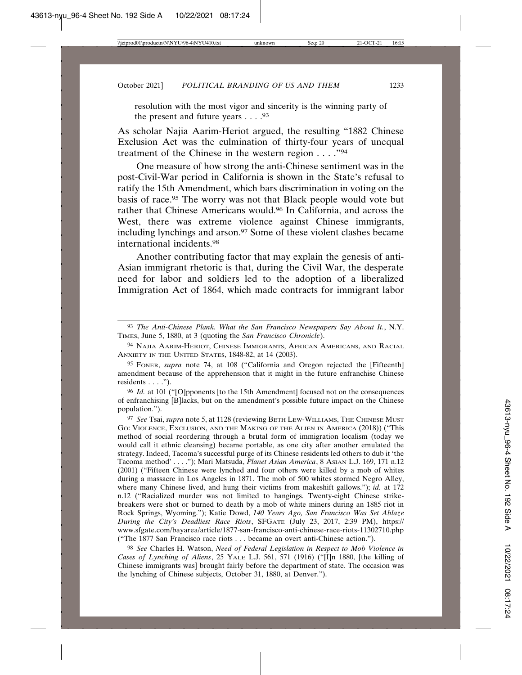resolution with the most vigor and sincerity is the winning party of the present and future years  $\dots$ . <sup>93</sup>

As scholar Najia Aarim-Heriot argued, the resulting "1882 Chinese Exclusion Act was the culmination of thirty-four years of unequal treatment of the Chinese in the western region . . . ."94

One measure of how strong the anti-Chinese sentiment was in the post-Civil-War period in California is shown in the State's refusal to ratify the 15th Amendment, which bars discrimination in voting on the basis of race.95 The worry was not that Black people would vote but rather that Chinese Americans would.96 In California, and across the West, there was extreme violence against Chinese immigrants, including lynchings and arson.<sup>97</sup> Some of these violent clashes became international incidents.98

Another contributing factor that may explain the genesis of anti-Asian immigrant rhetoric is that, during the Civil War, the desperate need for labor and soldiers led to the adoption of a liberalized Immigration Act of 1864, which made contracts for immigrant labor

97 *See* Tsai, *supra* note 5, at 1128 (reviewing BETH LEW-WILLIAMS, THE CHINESE MUST GO: VIOLENCE, EXCLUSION, AND THE MAKING OF THE ALIEN IN AMERICA (2018)) ("This method of social reordering through a brutal form of immigration localism (today we would call it ethnic cleansing) became portable, as one city after another emulated the strategy. Indeed, Tacoma's successful purge of its Chinese residents led others to dub it 'the Tacoma method' . . . ."); Mari Matsuda, *Planet Asian America*, 8 ASIAN L.J. 169, 171 n.12 (2001) ("Fifteen Chinese were lynched and four others were killed by a mob of whites during a massacre in Los Angeles in 1871. The mob of 500 whites stormed Negro Alley, where many Chinese lived, and hung their victims from makeshift gallows."); *id.* at 172 n.12 ("Racialized murder was not limited to hangings. Twenty-eight Chinese strikebreakers were shot or burned to death by a mob of white miners during an 1885 riot in Rock Springs, Wyoming."); Katie Dowd, *140 Years Ago, San Francisco Was Set Ablaze During the City's Deadliest Race Riots*, SFGATE (July 23, 2017, 2:39 PM), https:// www.sfgate.com/bayarea/article/1877-san-francisco-anti-chinese-race-riots-11302710.php ("The 1877 San Francisco race riots . . . became an overt anti-Chinese action.").

98 *See* Charles H. Watson, *Need of Federal Legislation in Respect to Mob Violence in Cases of Lynching of Aliens*, 25 YALE L.J. 561, 571 (1916) ("[I]n 1880, [the killing of Chinese immigrants was] brought fairly before the department of state. The occasion was the lynching of Chinese subjects, October 31, 1880, at Denver.").

<sup>93</sup> *The Anti-Chinese Plank. What the San Francisco Newspapers Say About It.*, N.Y. TIMES, June 5, 1880, at 3 (quoting the *San Francisco Chronicle*).

<sup>94</sup> NAJIA AARIM-HERIOT, CHINESE IMMIGRANTS, AFRICAN AMERICANS, AND RACIAL ANXIETY IN THE UNITED STATES, 1848-82, at 14 (2003).

<sup>95</sup> FONER, *supra* note 74, at 108 ("California and Oregon rejected the [Fifteenth] amendment because of the apprehension that it might in the future enfranchise Chinese residents  $\dots$ .").

<sup>96</sup> *Id.* at 101 ("[O]pponents [to the 15th Amendment] focused not on the consequences of enfranchising [B]lacks, but on the amendment's possible future impact on the Chinese population.").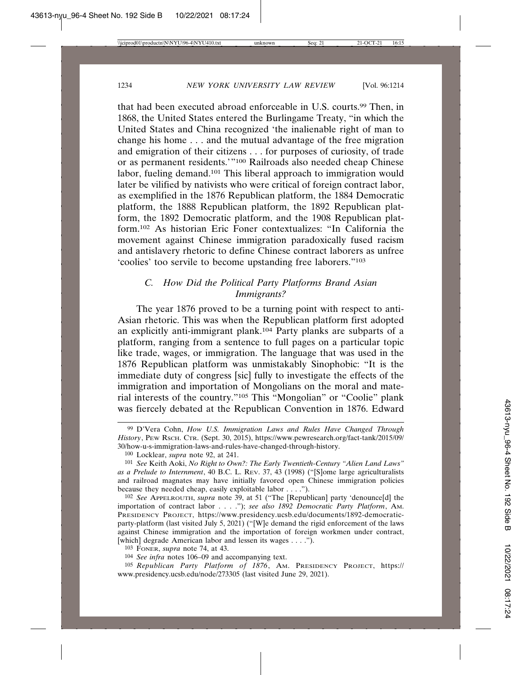that had been executed abroad enforceable in U.S. courts.99 Then, in 1868, the United States entered the Burlingame Treaty, "in which the United States and China recognized 'the inalienable right of man to change his home . . . and the mutual advantage of the free migration and emigration of their citizens . . . for purposes of curiosity, of trade or as permanent residents.'"100 Railroads also needed cheap Chinese labor, fueling demand.101 This liberal approach to immigration would later be vilified by nativists who were critical of foreign contract labor, as exemplified in the 1876 Republican platform, the 1884 Democratic platform, the 1888 Republican platform, the 1892 Republican platform, the 1892 Democratic platform, and the 1908 Republican platform.102 As historian Eric Foner contextualizes: "In California the movement against Chinese immigration paradoxically fused racism and antislavery rhetoric to define Chinese contract laborers as unfree 'coolies' too servile to become upstanding free laborers."103

# *C. How Did the Political Party Platforms Brand Asian Immigrants?*

The year 1876 proved to be a turning point with respect to anti-Asian rhetoric. This was when the Republican platform first adopted an explicitly anti-immigrant plank.104 Party planks are subparts of a platform, ranging from a sentence to full pages on a particular topic like trade, wages, or immigration. The language that was used in the 1876 Republican platform was unmistakably Sinophobic: "It is the immediate duty of congress [sic] fully to investigate the effects of the immigration and importation of Mongolians on the moral and material interests of the country."105 This "Mongolian" or "Coolie" plank was fiercely debated at the Republican Convention in 1876. Edward

102 *See* APPELROUTH, *supra* note 39, at 51 ("The [Republican] party 'denounce[d] the importation of contract labor . . . ."); *see also 1892 Democratic Party Platform*, AM. PRESIDENCY PROJECT, https://www.presidency.ucsb.edu/documents/1892-democraticparty-platform (last visited July 5, 2021) ("[W]e demand the rigid enforcement of the laws against Chinese immigration and the importation of foreign workmen under contract, [which] degrade American labor and lessen its wages . . . .").

105 *Republican Party Platform of 1876*, AM. PRESIDENCY PROJECT, https:// www.presidency.ucsb.edu/node/273305 (last visited June 29, 2021).

<sup>99</sup> D'Vera Cohn, *How U.S. Immigration Laws and Rules Have Changed Through History*, PEW RSCH. CTR. (Sept. 30, 2015), https://www.pewresearch.org/fact-tank/2015/09/ 30/how-u-s-immigration-laws-and-rules-have-changed-through-history.

<sup>100</sup> Locklear, *supra* note 92, at 241.

<sup>101</sup> *See* Keith Aoki, *No Right to Own?: The Early Twentieth-Century "Alien Land Laws" as a Prelude to Internment*, 40 B.C. L. REV. 37, 43 (1998) ("[S]ome large agriculturalists and railroad magnates may have initially favored open Chinese immigration policies because they needed cheap, easily exploitable labor . . . .").

<sup>103</sup> FONER, *supra* note 74, at 43.

<sup>104</sup> *See infra* notes 106–09 and accompanying text.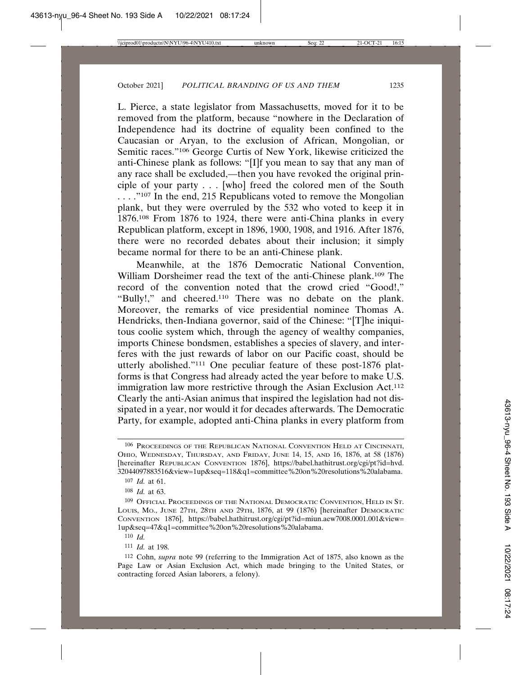L. Pierce, a state legislator from Massachusetts, moved for it to be removed from the platform, because "nowhere in the Declaration of Independence had its doctrine of equality been confined to the Caucasian or Aryan, to the exclusion of African, Mongolian, or Semitic races."106 George Curtis of New York, likewise criticized the anti-Chinese plank as follows: "[I]f you mean to say that any man of any race shall be excluded,—then you have revoked the original principle of your party . . . [who] freed the colored men of the South ...."<sup>107</sup> In the end, 215 Republicans voted to remove the Mongolian plank, but they were overruled by the 532 who voted to keep it in 1876.108 From 1876 to 1924, there were anti-China planks in every Republican platform, except in 1896, 1900, 1908, and 1916. After 1876, there were no recorded debates about their inclusion; it simply became normal for there to be an anti-Chinese plank.

Meanwhile, at the 1876 Democratic National Convention, William Dorsheimer read the text of the anti-Chinese plank.109 The record of the convention noted that the crowd cried "Good!," "Bully!," and cheered.110 There was no debate on the plank. Moreover, the remarks of vice presidential nominee Thomas A. Hendricks, then-Indiana governor, said of the Chinese: "[T]he iniquitous coolie system which, through the agency of wealthy companies, imports Chinese bondsmen, establishes a species of slavery, and interferes with the just rewards of labor on our Pacific coast, should be utterly abolished."111 One peculiar feature of these post-1876 platforms is that Congress had already acted the year before to make U.S. immigration law more restrictive through the Asian Exclusion Act.<sup>112</sup> Clearly the anti-Asian animus that inspired the legislation had not dissipated in a year, nor would it for decades afterwards. The Democratic Party, for example, adopted anti-China planks in every platform from

<sup>106</sup> PROCEEDINGS OF THE REPUBLICAN NATIONAL CONVENTION HELD AT CINCINNATI, OHIO, WEDNESDAY, THURSDAY, AND FRIDAY, JUNE 14, 15, AND 16, 1876, at 58 (1876) [hereinafter REPUBLICAN CONVENTION 1876], https://babel.hathitrust.org/cgi/pt?id=hvd. 32044097883516&view=1up&seq=118&q1=committee%20on%20resolutions%20alabama.

<sup>107</sup> *Id.* at 61.

<sup>108</sup> *Id.* at 63.

<sup>109</sup> OFFICIAL PROCEEDINGS OF THE NATIONAL DEMOCRATIC CONVENTION, HELD IN ST. LOUIS, MO., JUNE 27TH, 28TH AND 29TH, 1876, at 99 (1876) [hereinafter DEMOCRATIC CONVENTION 1876], https://babel.hathitrust.org/cgi/pt?id=miun.aew7008.0001.001&view= 1up&seq=47&q1=committee%20on%20resolutions%20alabama.

<sup>110</sup> *Id.*

<sup>111</sup> *Id.* at 198.

<sup>112</sup> Cohn, *supra* note 99 (referring to the Immigration Act of 1875, also known as the Page Law or Asian Exclusion Act, which made bringing to the United States, or contracting forced Asian laborers, a felony).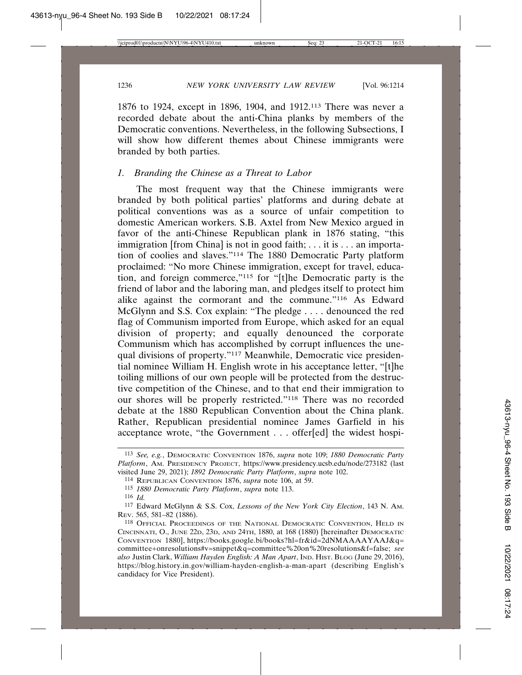1876 to 1924, except in 1896, 1904, and 1912.113 There was never a recorded debate about the anti-China planks by members of the Democratic conventions. Nevertheless, in the following Subsections, I will show how different themes about Chinese immigrants were branded by both parties.

# *1. Branding the Chinese as a Threat to Labor*

The most frequent way that the Chinese immigrants were branded by both political parties' platforms and during debate at political conventions was as a source of unfair competition to domestic American workers. S.B. Axtel from New Mexico argued in favor of the anti-Chinese Republican plank in 1876 stating, "this immigration [from China] is not in good faith; . . . it is . . . an importation of coolies and slaves."114 The 1880 Democratic Party platform proclaimed: "No more Chinese immigration, except for travel, education, and foreign commerce,"115 for "[t]he Democratic party is the friend of labor and the laboring man, and pledges itself to protect him alike against the cormorant and the commune."116 As Edward McGlynn and S.S. Cox explain: "The pledge . . . . denounced the red flag of Communism imported from Europe, which asked for an equal division of property; and equally denounced the corporate Communism which has accomplished by corrupt influences the unequal divisions of property."117 Meanwhile, Democratic vice presidential nominee William H. English wrote in his acceptance letter, "[t]he toiling millions of our own people will be protected from the destructive competition of the Chinese, and to that end their immigration to our shores will be properly restricted."118 There was no recorded debate at the 1880 Republican Convention about the China plank. Rather, Republican presidential nominee James Garfield in his acceptance wrote, "the Government . . . offer[ed] the widest hospi-

<sup>113</sup> *See, e.g.*, DEMOCRATIC CONVENTION 1876, *supra* note 109; *1880 Democratic Party Platform*, AM. PRESIDENCY PROJECT, https://www.presidency.ucsb.edu/node/273182 (last visited June 29, 2021); *1892 Democratic Party Platform*, *supra* note 102.

<sup>114</sup> REPUBLICAN CONVENTION 1876, *supra* note 106, at 59.

<sup>115</sup> *1880 Democratic Party Platform*, *supra* note 113.

<sup>116</sup> *Id.*

<sup>117</sup> Edward McGlynn & S.S. Cox, *Lessons of the New York City Election*, 143 N. AM. REV. 565, 581–82 (1886).

<sup>118</sup> OFFICIAL PROCEEDINGS OF THE NATIONAL DEMOCRATIC CONVENTION, HELD IN CINCINNATI, O., JUNE 22D, 23D, AND 24TH, 1880, at 168 (1880) [hereinafter DEMOCRATIC CONVENTION 1880], https://books.google.bi/books?hl=fr&id=2dNMAAAAYAAJ&q= committee+onresolutions#v=snippet&q=committee%20on%20resolutions&f=false; *see also* Justin Clark, *William Hayden English: A Man Apart*, IND. HIST. BLOG (June 29, 2016), https://blog.history.in.gov/william-hayden-english-a-man-apart (describing English's candidacy for Vice President).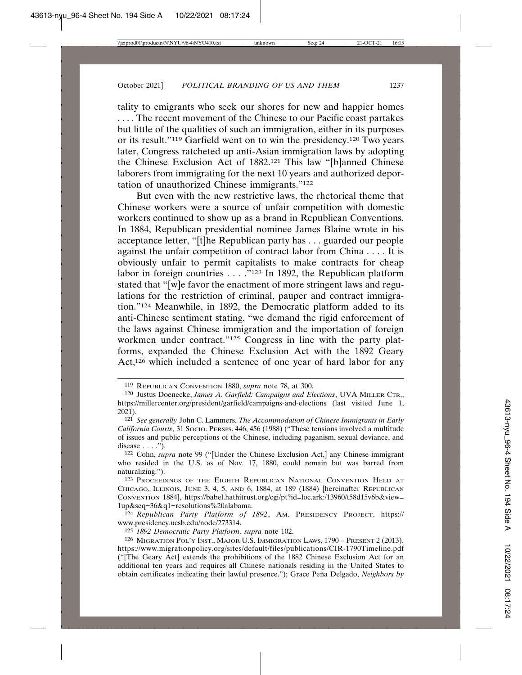tality to emigrants who seek our shores for new and happier homes . . . . The recent movement of the Chinese to our Pacific coast partakes but little of the qualities of such an immigration, either in its purposes or its result."119 Garfield went on to win the presidency.120 Two years later, Congress ratcheted up anti-Asian immigration laws by adopting the Chinese Exclusion Act of 1882.121 This law "[b]anned Chinese laborers from immigrating for the next 10 years and authorized deportation of unauthorized Chinese immigrants."122

But even with the new restrictive laws, the rhetorical theme that Chinese workers were a source of unfair competition with domestic workers continued to show up as a brand in Republican Conventions. In 1884, Republican presidential nominee James Blaine wrote in his acceptance letter, "[t]he Republican party has . . . guarded our people against the unfair competition of contract labor from China . . . . It is obviously unfair to permit capitalists to make contracts for cheap labor in foreign countries . . . ."123 In 1892, the Republican platform stated that "[w]e favor the enactment of more stringent laws and regulations for the restriction of criminal, pauper and contract immigration."124 Meanwhile, in 1892, the Democratic platform added to its anti-Chinese sentiment stating, "we demand the rigid enforcement of the laws against Chinese immigration and the importation of foreign workmen under contract."125 Congress in line with the party platforms, expanded the Chinese Exclusion Act with the 1892 Geary Act,<sup>126</sup> which included a sentence of one year of hard labor for any

<sup>119</sup> REPUBLICAN CONVENTION 1880, *supra* note 78, at 300.

<sup>120</sup> Justus Doenecke, *James A. Garfield: Campaigns and Elections*, UVA MILLER CTR., https://millercenter.org/president/garfield/campaigns-and-elections (last visited June 1, 2021).

<sup>121</sup> *See generally* John C. Lammers, *The Accommodation of Chinese Immigrants in Early California Courts*, 31 SOCIO. PERSPS. 446, 456 (1988) ("These tensions involved a multitude of issues and public perceptions of the Chinese, including paganism, sexual deviance, and disease  $\ldots$ .").

<sup>122</sup> Cohn, *supra* note 99 ("[Under the Chinese Exclusion Act,] any Chinese immigrant who resided in the U.S. as of Nov. 17, 1880, could remain but was barred from naturalizing.").

<sup>123</sup> PROCEEDINGS OF THE EIGHTH REPUBLICAN NATIONAL CONVENTION HELD AT CHICAGO, ILLINOIS, JUNE 3, 4, 5, AND 6, 1884, at 189 (1884) [hereinafter REPUBLICAN CONVENTION 1884], https://babel.hathitrust.org/cgi/pt?id=loc.ark:/13960/t58d15v6b&view= 1up&seq=36&q1=resolutions%20alabama.

<sup>124</sup> *Republican Party Platform of 1892*, AM. PRESIDENCY PROJECT, https:// www.presidency.ucsb.edu/node/273314.

<sup>125</sup> *1892 Democratic Party Platform*, *supra* note 102.

<sup>126</sup> MIGRATION POL'Y INST., MAJOR U.S. IMMIGRATION LAWS, 1790 – PRESENT 2 (2013), https://www.migrationpolicy.org/sites/default/files/publications/CIR-1790Timeline.pdf ("[The Geary Act] extends the prohibitions of the 1882 Chinese Exclusion Act for an additional ten years and requires all Chinese nationals residing in the United States to obtain certificates indicating their lawful presence."); Grace Peña Delgado, *Neighbors by*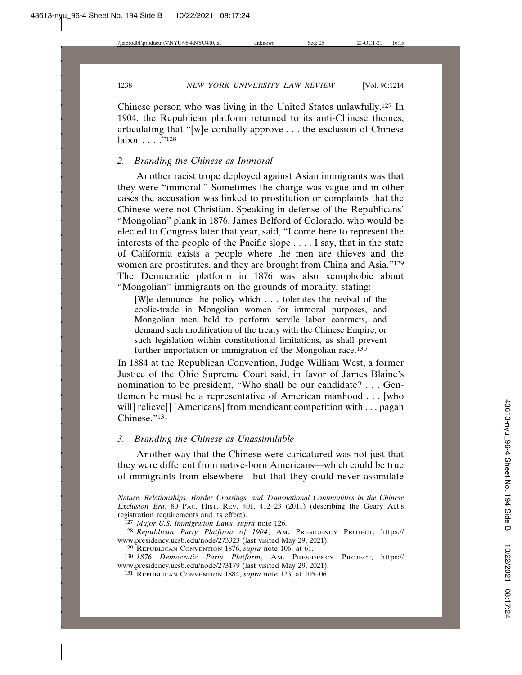Chinese person who was living in the United States unlawfully.127 In 1904, the Republican platform returned to its anti-Chinese themes, articulating that "[w]e cordially approve . . . the exclusion of Chinese labor . . . . "<sup>128</sup>

### *2. Branding the Chinese as Immoral*

Another racist trope deployed against Asian immigrants was that they were "immoral." Sometimes the charge was vague and in other cases the accusation was linked to prostitution or complaints that the Chinese were not Christian. Speaking in defense of the Republicans' "Mongolian" plank in 1876, James Belford of Colorado, who would be elected to Congress later that year, said, "I come here to represent the interests of the people of the Pacific slope . . . . I say, that in the state of California exists a people where the men are thieves and the women are prostitutes, and they are brought from China and Asia."129 The Democratic platform in 1876 was also xenophobic about "Mongolian" immigrants on the grounds of morality, stating:

[W]e denounce the policy which . . . tolerates the revival of the coolie-trade in Mongolian women for immoral purposes, and Mongolian men held to perform servile labor contracts, and demand such modification of the treaty with the Chinese Empire, or such legislation within constitutional limitations, as shall prevent further importation or immigration of the Mongolian race.<sup>130</sup>

In 1884 at the Republican Convention, Judge William West, a former Justice of the Ohio Supreme Court said, in favor of James Blaine's nomination to be president, "Who shall be our candidate? . . . Gentlemen he must be a representative of American manhood . . . [who will] relieve[] [Americans] from mendicant competition with . . . pagan Chinese."131

# *3. Branding the Chinese as Unassimilable*

Another way that the Chinese were caricatured was not just that they were different from native-born Americans—which could be true of immigrants from elsewhere—but that they could never assimilate

*Nature: Relationships, Border Crossings, and Transnational Communities in the Chinese Exclusion Era*, 80 PAC. HIST. REV. 401, 412–23 (2011) (describing the Geary Act's registration requirements and its effect).

<sup>127</sup> *Major U.S. Immigration Laws*, *supra* note 126.

<sup>128</sup> *Republican Party Platform of 1904*, AM. PRESIDENCY PROJECT, https:// www.presidency.ucsb.edu/node/273323 (last visited May 29, 2021).

<sup>129</sup> REPUBLICAN CONVENTION 1876, *supra* note 106, at 61.

<sup>130</sup> *1876 Democratic Party Platform*, AM. PRESIDENCY PROJECT, https:// www.presidency.ucsb.edu/node/273179 (last visited May 29, 2021).

<sup>131</sup> REPUBLICAN CONVENTION 1884, *supra* note 123, at 105–06.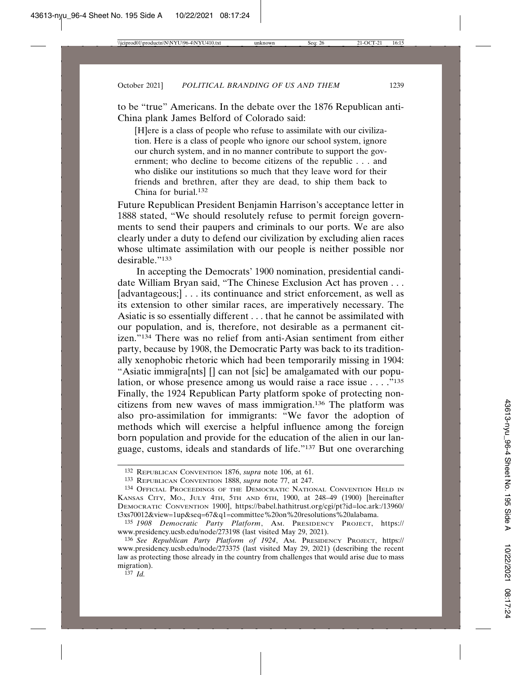to be "true" Americans. In the debate over the 1876 Republican anti-China plank James Belford of Colorado said:

[H]ere is a class of people who refuse to assimilate with our civilization. Here is a class of people who ignore our school system, ignore our church system, and in no manner contribute to support the government; who decline to become citizens of the republic . . . and who dislike our institutions so much that they leave word for their friends and brethren, after they are dead, to ship them back to China for burial.132

Future Republican President Benjamin Harrison's acceptance letter in 1888 stated, "We should resolutely refuse to permit foreign governments to send their paupers and criminals to our ports. We are also clearly under a duty to defend our civilization by excluding alien races whose ultimate assimilation with our people is neither possible nor desirable."133

In accepting the Democrats' 1900 nomination, presidential candidate William Bryan said, "The Chinese Exclusion Act has proven . . . [advantageous;] . . . its continuance and strict enforcement, as well as its extension to other similar races, are imperatively necessary. The Asiatic is so essentially different . . . that he cannot be assimilated with our population, and is, therefore, not desirable as a permanent citizen."134 There was no relief from anti-Asian sentiment from either party, because by 1908, the Democratic Party was back to its traditionally xenophobic rhetoric which had been temporarily missing in 1904: "Asiatic immigra[nts] [] can not [sic] be amalgamated with our population, or whose presence among us would raise a race issue  $\dots$ ."<sup>135</sup> Finally, the 1924 Republican Party platform spoke of protecting noncitizens from new waves of mass immigration.136 The platform was also pro-assimilation for immigrants: "We favor the adoption of methods which will exercise a helpful influence among the foreign born population and provide for the education of the alien in our language, customs, ideals and standards of life."137 But one overarching

<sup>132</sup> REPUBLICAN CONVENTION 1876, *supra* note 106, at 61.

<sup>133</sup> REPUBLICAN CONVENTION 1888, *supra* note 77, at 247.

<sup>134</sup> OFFICIAL PROCEEDINGS OF THE DEMOCRATIC NATIONAL CONVENTION HELD IN KANSAS CITY, MO., JULY 4TH, 5TH AND 6TH, 1900, at 248–49 (1900) [hereinafter DEMOCRATIC CONVENTION 1900], https://babel.hathitrust.org/cgi/pt?id=loc.ark:/13960/ t3xs70012&view=1up&seq=67&q1=committee%20on%20resolutions%20alabama.

<sup>135</sup> *1908 Democratic Party Platform*, AM. PRESIDENCY PROJECT, https:// www.presidency.ucsb.edu/node/273198 (last visited May 29, 2021).

<sup>136</sup> *See Republican Party Platform of 1924*, AM. PRESIDENCY PROJECT, https:// www.presidency.ucsb.edu/node/273375 (last visited May 29, 2021) (describing the recent law as protecting those already in the country from challenges that would arise due to mass migration).

<sup>137</sup> *Id.*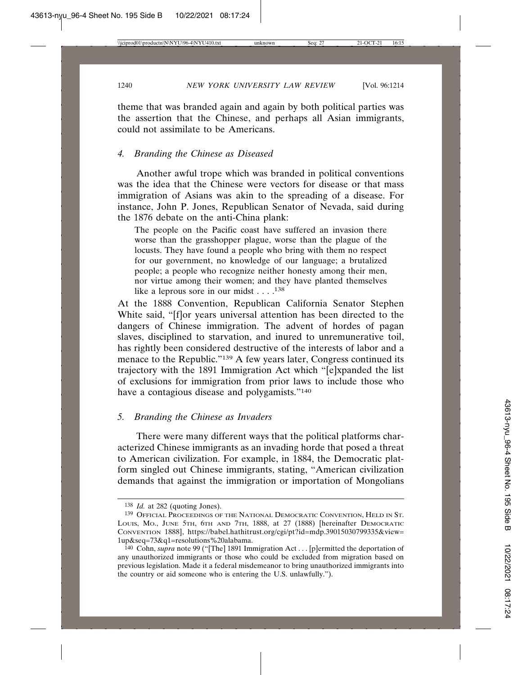theme that was branded again and again by both political parties was the assertion that the Chinese, and perhaps all Asian immigrants, could not assimilate to be Americans.

#### *4. Branding the Chinese as Diseased*

Another awful trope which was branded in political conventions was the idea that the Chinese were vectors for disease or that mass immigration of Asians was akin to the spreading of a disease. For instance, John P. Jones, Republican Senator of Nevada, said during the 1876 debate on the anti-China plank:

The people on the Pacific coast have suffered an invasion there worse than the grasshopper plague, worse than the plague of the locusts. They have found a people who bring with them no respect for our government, no knowledge of our language; a brutalized people; a people who recognize neither honesty among their men, nor virtue among their women; and they have planted themselves like a leprous sore in our midst  $\dots$ .<sup>138</sup>

At the 1888 Convention, Republican California Senator Stephen White said, "[f]or years universal attention has been directed to the dangers of Chinese immigration. The advent of hordes of pagan slaves, disciplined to starvation, and inured to unremunerative toil, has rightly been considered destructive of the interests of labor and a menace to the Republic."139 A few years later, Congress continued its trajectory with the 1891 Immigration Act which "[e]xpanded the list of exclusions for immigration from prior laws to include those who have a contagious disease and polygamists."140

# *5. Branding the Chinese as Invaders*

There were many different ways that the political platforms characterized Chinese immigrants as an invading horde that posed a threat to American civilization. For example, in 1884, the Democratic platform singled out Chinese immigrants, stating, "American civilization demands that against the immigration or importation of Mongolians

<sup>138</sup> *Id.* at 282 (quoting Jones).

<sup>139</sup> OFFICIAL PROCEEDINGS OF THE NATIONAL DEMOCRATIC CONVENTION, HELD IN ST. LOUIS, MO., JUNE 5TH, 6TH AND 7TH, 1888, at 27 (1888) [hereinafter DEMOCRATIC CONVENTION 1888], https://babel.hathitrust.org/cgi/pt?id=mdp.39015030799335&view= 1up&seq=73&q1=resolutions%20alabama.

<sup>140</sup> Cohn, *supra* note 99 ("[The] 1891 Immigration Act . . . [p]ermitted the deportation of any unauthorized immigrants or those who could be excluded from migration based on previous legislation. Made it a federal misdemeanor to bring unauthorized immigrants into the country or aid someone who is entering the U.S. unlawfully.").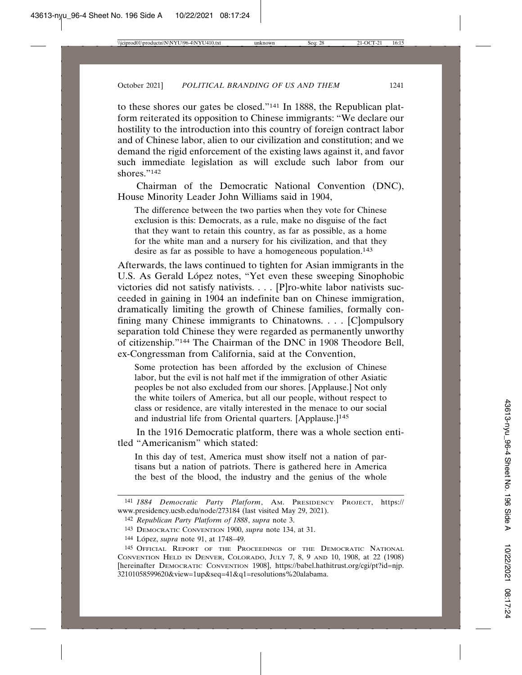to these shores our gates be closed."141 In 1888, the Republican platform reiterated its opposition to Chinese immigrants: "We declare our hostility to the introduction into this country of foreign contract labor and of Chinese labor, alien to our civilization and constitution; and we demand the rigid enforcement of the existing laws against it, and favor such immediate legislation as will exclude such labor from our shores."142

Chairman of the Democratic National Convention (DNC), House Minority Leader John Williams said in 1904,

The difference between the two parties when they vote for Chinese exclusion is this: Democrats, as a rule, make no disguise of the fact that they want to retain this country, as far as possible, as a home for the white man and a nursery for his civilization, and that they desire as far as possible to have a homogeneous population.<sup>143</sup>

Afterwards, the laws continued to tighten for Asian immigrants in the U.S. As Gerald López notes, "Yet even these sweeping Sinophobic victories did not satisfy nativists. . . . [P]ro-white labor nativists succeeded in gaining in 1904 an indefinite ban on Chinese immigration, dramatically limiting the growth of Chinese families, formally confining many Chinese immigrants to Chinatowns. . . . [C]ompulsory separation told Chinese they were regarded as permanently unworthy of citizenship."144 The Chairman of the DNC in 1908 Theodore Bell, ex-Congressman from California, said at the Convention,

Some protection has been afforded by the exclusion of Chinese labor, but the evil is not half met if the immigration of other Asiatic peoples be not also excluded from our shores. [Applause.] Not only the white toilers of America, but all our people, without respect to class or residence, are vitally interested in the menace to our social and industrial life from Oriental quarters. [Applause.]<sup>145</sup>

In the 1916 Democratic platform, there was a whole section entitled "Americanism" which stated:

In this day of test, America must show itself not a nation of partisans but a nation of patriots. There is gathered here in America the best of the blood, the industry and the genius of the whole

<sup>141</sup> *1884 Democratic Party Platform*, AM. PRESIDENCY PROJECT, https:// www.presidency.ucsb.edu/node/273184 (last visited May 29, 2021).

<sup>142</sup> *Republican Party Platform of 1888*, *supra* note 3.

<sup>143</sup> DEMOCRATIC CONVENTION 1900, *supra* note 134, at 31.

<sup>144</sup> López, *supra* note 91, at 1748–49.

<sup>145</sup> OFFICIAL REPORT OF THE PROCEEDINGS OF THE DEMOCRATIC NATIONAL CONVENTION HELD IN DENVER, COLORADO, JULY 7, 8, 9 AND 10, 1908, at 22 (1908) [hereinafter DEMOCRATIC CONVENTION 1908], https://babel.hathitrust.org/cgi/pt?id=njp. 32101058599620&view=1up&seq=41&q1=resolutions%20alabama.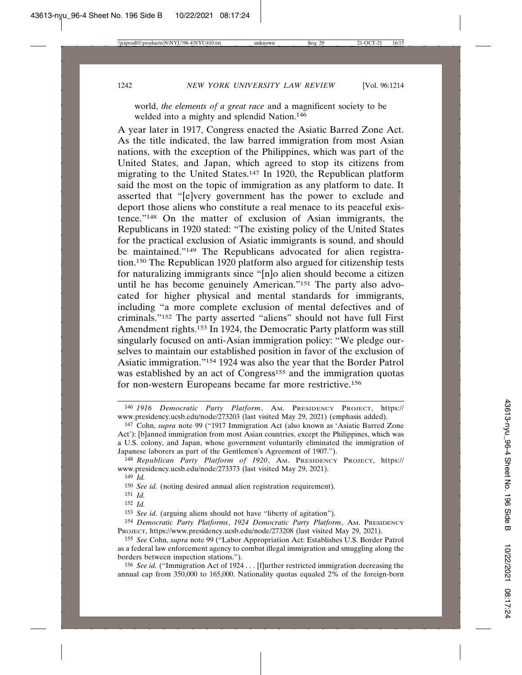world, *the elements of a great race* and a magnificent society to be welded into a mighty and splendid Nation.<sup>146</sup>

A year later in 1917, Congress enacted the Asiatic Barred Zone Act. As the title indicated, the law barred immigration from most Asian nations, with the exception of the Philippines, which was part of the United States, and Japan, which agreed to stop its citizens from migrating to the United States.147 In 1920, the Republican platform said the most on the topic of immigration as any platform to date. It asserted that "[e]very government has the power to exclude and deport those aliens who constitute a real menace to its peaceful existence."148 On the matter of exclusion of Asian immigrants, the Republicans in 1920 stated: "The existing policy of the United States for the practical exclusion of Asiatic immigrants is sound, and should be maintained."<sup>149</sup> The Republicans advocated for alien registration.150 The Republican 1920 platform also argued for citizenship tests for naturalizing immigrants since "[n]o alien should become a citizen until he has become genuinely American."151 The party also advocated for higher physical and mental standards for immigrants, including "a more complete exclusion of mental defectives and of criminals."152 The party asserted "aliens" should not have full First Amendment rights.153 In 1924, the Democratic Party platform was still singularly focused on anti-Asian immigration policy: "We pledge ourselves to maintain our established position in favor of the exclusion of Asiatic immigration."154 1924 was also the year that the Border Patrol was established by an act of Congress<sup>155</sup> and the immigration quotas for non-western Europeans became far more restrictive.156

<sup>146</sup> *1916 Democratic Party Platform*, AM. PRESIDENCY PROJECT, https:// www.presidency.ucsb.edu/node/273203 (last visited May 29, 2021) (emphasis added).

<sup>147</sup> Cohn, *supra* note 99 ("1917 Immigration Act (also known as 'Asiatic Barred Zone Act'): [b]anned immigration from most Asian countries, except the Philippines, which was a U.S. colony, and Japan, whose government voluntarily eliminated the immigration of Japanese laborers as part of the Gentlemen's Agreement of 1907.").

<sup>148</sup> *Republican Party Platform of 1920*, AM. PRESIDENCY PROJECT, https:// www.presidency.ucsb.edu/node/273373 (last visited May 29, 2021).

<sup>149</sup> *Id.*

<sup>150</sup> *See id.* (noting desired annual alien registration requirement).

<sup>151</sup> *Id.*

<sup>152</sup> *Id.*

<sup>153</sup> *See id.* (arguing aliens should not have "liberty of agitation").

<sup>154</sup> *Democratic Party Platforms*, *1924 Democratic Party Platform*, AM. PRESIDENCY PROJECT, https://www.presidency.ucsb.edu/node/273208 (last visited May 29, 2021).

<sup>155</sup> *See* Cohn, *supra* note 99 ("Labor Appropriation Act: Establishes U.S. Border Patrol as a federal law enforcement agency to combat illegal immigration and smuggling along the borders between inspection stations.").

<sup>156</sup> *See id.* ("Immigration Act of 1924 . . . [f]urther restricted immigration decreasing the annual cap from 350,000 to 165,000. Nationality quotas equaled 2% of the foreign-born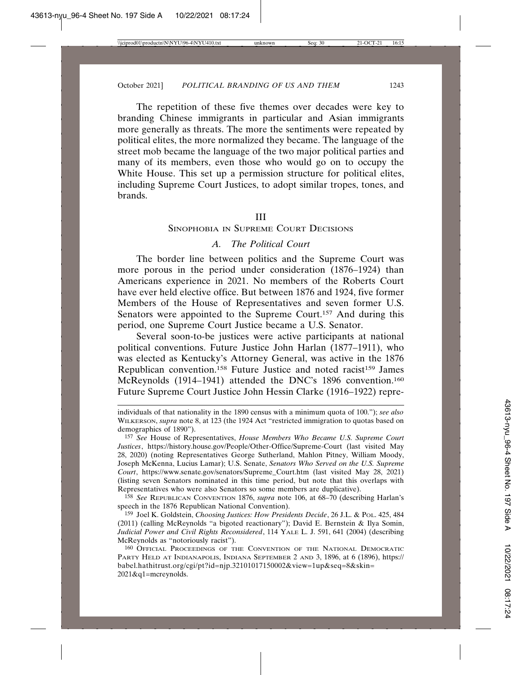The repetition of these five themes over decades were key to branding Chinese immigrants in particular and Asian immigrants more generally as threats. The more the sentiments were repeated by political elites, the more normalized they became. The language of the street mob became the language of the two major political parties and many of its members, even those who would go on to occupy the White House. This set up a permission structure for political elites, including Supreme Court Justices, to adopt similar tropes, tones, and brands.

#### III

# SINOPHOBIA IN SUPREME COURT DECISIONS

### *A. The Political Court*

The border line between politics and the Supreme Court was more porous in the period under consideration (1876–1924) than Americans experience in 2021. No members of the Roberts Court have ever held elective office. But between 1876 and 1924, five former Members of the House of Representatives and seven former U.S. Senators were appointed to the Supreme Court.<sup>157</sup> And during this period, one Supreme Court Justice became a U.S. Senator.

Several soon-to-be justices were active participants at national political conventions. Future Justice John Harlan (1877–1911), who was elected as Kentucky's Attorney General, was active in the 1876 Republican convention.<sup>158</sup> Future Justice and noted racist<sup>159</sup> James McReynolds (1914–1941) attended the DNC's 1896 convention.160 Future Supreme Court Justice John Hessin Clarke (1916–1922) repre-

158 *See* REPUBLICAN CONVENTION 1876, *supra* note 106, at 68–70 (describing Harlan's speech in the 1876 Republican National Convention).

159 Joel K. Goldstein, *Choosing Justices: How Presidents Decide*, 26 J.L. & POL. 425, 484 (2011) (calling McReynolds "a bigoted reactionary"); David E. Bernstein & Ilya Somin, *Judicial Power and Civil Rights Reconsidered*, 114 YALE L. J. 591, 641 (2004) (describing McReynolds as "notoriously racist").

160 OFFICIAL PROCEEDINGS OF THE CONVENTION OF THE NATIONAL DEMOCRATIC PARTY HELD AT INDIANAPOLIS, INDIANA SEPTEMBER 2 AND 3, 1896, at 6 (1896), https:// babel.hathitrust.org/cgi/pt?id=njp.32101017150002&view=1up&seq=8&skin= 2021&q1=mcreynolds.

individuals of that nationality in the 1890 census with a minimum quota of 100."); *see also* WILKERSON, *supra* note 8, at 123 (the 1924 Act "restricted immigration to quotas based on demographics of 1890").

<sup>157</sup> *See* House of Representatives, *House Members Who Became U.S. Supreme Court Justices*, https://history.house.gov/People/Other-Office/Supreme-Court (last visited May 28, 2020) (noting Representatives George Sutherland, Mahlon Pitney, William Moody, Joseph McKenna, Lucius Lamar); U.S. Senate, *Senators Who Served on the U.S. Supreme Court*, https://www.senate.gov/senators/Supreme\_Court.htm (last visited May 28, 2021) (listing seven Senators nominated in this time period, but note that this overlaps with Representatives who were also Senators so some members are duplicative).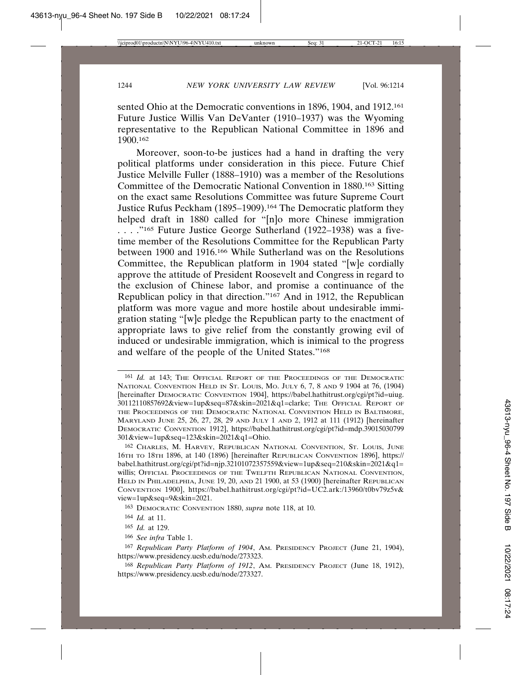sented Ohio at the Democratic conventions in 1896, 1904, and 1912.<sup>161</sup> Future Justice Willis Van DeVanter (1910–1937) was the Wyoming representative to the Republican National Committee in 1896 and 1900.162

Moreover, soon-to-be justices had a hand in drafting the very political platforms under consideration in this piece. Future Chief Justice Melville Fuller (1888–1910) was a member of the Resolutions Committee of the Democratic National Convention in 1880.163 Sitting on the exact same Resolutions Committee was future Supreme Court Justice Rufus Peckham (1895–1909).164 The Democratic platform they helped draft in 1880 called for "[n]o more Chinese immigration . . . ."165 Future Justice George Sutherland (1922–1938) was a fivetime member of the Resolutions Committee for the Republican Party between 1900 and 1916.166 While Sutherland was on the Resolutions Committee, the Republican platform in 1904 stated "[w]e cordially approve the attitude of President Roosevelt and Congress in regard to the exclusion of Chinese labor, and promise a continuance of the Republican policy in that direction."167 And in 1912, the Republican platform was more vague and more hostile about undesirable immigration stating "[w]e pledge the Republican party to the enactment of appropriate laws to give relief from the constantly growing evil of induced or undesirable immigration, which is inimical to the progress and welfare of the people of the United States."168

<sup>161</sup> *Id.* at 143; THE OFFICIAL REPORT OF THE PROCEEDINGS OF THE DEMOCRATIC NATIONAL CONVENTION HELD IN ST. LOUIS, MO. JULY 6, 7, 8 AND 9 1904 at 76, (1904) [hereinafter DEMOCRATIC CONVENTION 1904], https://babel.hathitrust.org/cgi/pt?id=uiug. 30112110857692&view=1up&seq=87&skin=2021&q1=clarke; THE OFFICIAL REPORT OF THE PROCEEDINGS OF THE DEMOCRATIC NATIONAL CONVENTION HELD IN BALTIMORE, MARYLAND JUNE 25, 26, 27, 28, 29 AND JULY 1 AND 2, 1912 at 111 (1912) [hereinafter DEMOCRATIC CONVENTION 1912], https://babel.hathitrust.org/cgi/pt?id=mdp.39015030799 301&view=1up&seq=123&skin=2021&q1=Ohio.

<sup>162</sup> CHARLES, M. HARVEY, REPUBLICAN NATIONAL CONVENTION, ST. LOUIS, JUNE 16TH TO 18TH 1896, at 140 (1896) [hereinafter REPUBLICAN CONVENTION 1896], https:// babel.hathitrust.org/cgi/pt?id=njp.32101072357559&view=1up&seq=210&skin=2021&q1= willis; OFFICIAL PROCEEDINGS OF THE TWELFTH REPUBLICAN NATIONAL CONVENTION, HELD IN PHILADELPHIA, JUNE 19, 20, AND 21 1900, at 53 (1900) [hereinafter REPUBLICAN CONVENTION 1900], https://babel.hathitrust.org/cgi/pt?id=UC2.ark:/13960/t0bv79z5v& view=1up&seq=9&skin=2021.

<sup>163</sup> DEMOCRATIC CONVENTION 1880, *supra* note 118, at 10.

<sup>164</sup> *Id.* at 11.

<sup>165</sup> *Id.* at 129.

<sup>166</sup> *See infra* Table 1.

<sup>167</sup> *Republican Party Platform of 1904*, AM. PRESIDENCY PROJECT (June 21, 1904), https://www.presidency.ucsb.edu/node/273323.

<sup>168</sup> *Republican Party Platform of 1912*, AM. PRESIDENCY PROJECT (June 18, 1912), https://www.presidency.ucsb.edu/node/273327.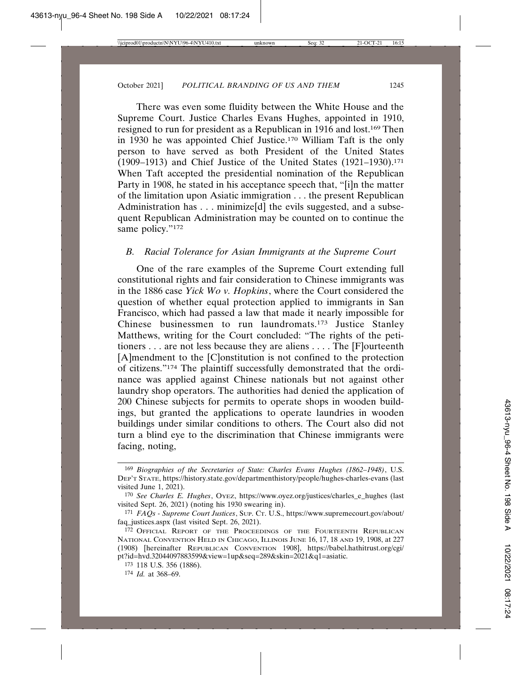There was even some fluidity between the White House and the Supreme Court. Justice Charles Evans Hughes, appointed in 1910, resigned to run for president as a Republican in 1916 and lost.169 Then in 1930 he was appointed Chief Justice.170 William Taft is the only person to have served as both President of the United States (1909–1913) and Chief Justice of the United States  $(1921–1930).<sup>171</sup>$ When Taft accepted the presidential nomination of the Republican Party in 1908, he stated in his acceptance speech that, "[i]n the matter of the limitation upon Asiatic immigration . . . the present Republican Administration has  $\dots$  minimize[d] the evils suggested, and a subsequent Republican Administration may be counted on to continue the same policy."<sup>172</sup>

# *B. Racial Tolerance for Asian Immigrants at the Supreme Court*

One of the rare examples of the Supreme Court extending full constitutional rights and fair consideration to Chinese immigrants was in the 1886 case *Yick Wo v. Hopkins*, where the Court considered the question of whether equal protection applied to immigrants in San Francisco, which had passed a law that made it nearly impossible for Chinese businessmen to run laundromats.173 Justice Stanley Matthews, writing for the Court concluded: "The rights of the petitioners . . . are not less because they are aliens . . . . The [F]ourteenth [A]mendment to the [C]onstitution is not confined to the protection of citizens."174 The plaintiff successfully demonstrated that the ordinance was applied against Chinese nationals but not against other laundry shop operators. The authorities had denied the application of 200 Chinese subjects for permits to operate shops in wooden buildings, but granted the applications to operate laundries in wooden buildings under similar conditions to others. The Court also did not turn a blind eye to the discrimination that Chinese immigrants were facing, noting,

<sup>169</sup> *Biographies of the Secretaries of State: Charles Evans Hughes (1862–1948)*, U.S. DEP'T STATE, https://history.state.gov/departmenthistory/people/hughes-charles-evans (last visited June 1, 2021).

<sup>170</sup> *See Charles E. Hughes*, OYEZ, https://www.oyez.org/justices/charles\_e\_hughes (last visited Sept. 26, 2021) (noting his 1930 swearing in).

<sup>171</sup> *FAQs - Supreme Court Justices*, SUP. CT. U.S., https://www.supremecourt.gov/about/ faq\_justices.aspx (last visited Sept. 26, 2021).

<sup>172</sup> OFFICIAL REPORT OF THE PROCEEDINGS OF THE FOURTEENTH REPUBLICAN NATIONAL CONVENTION HELD IN CHICAGO, ILLINOIS JUNE 16, 17, 18 AND 19, 1908, at 227 (1908) [hereinafter REPUBLICAN CONVENTION 1908], https://babel.hathitrust.org/cgi/ pt?id=hvd.32044097883599&view=1up&seq=289&skin=2021&q1=asiatic.

<sup>173</sup> 118 U.S. 356 (1886).

<sup>174</sup> *Id.* at 368–69.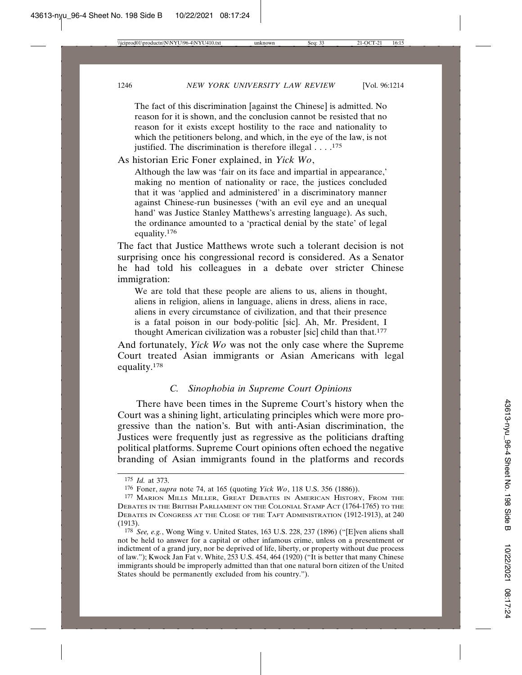The fact of this discrimination [against the Chinese] is admitted. No reason for it is shown, and the conclusion cannot be resisted that no reason for it exists except hostility to the race and nationality to which the petitioners belong, and which, in the eye of the law, is not justified. The discrimination is therefore illegal  $\dots$ .<sup>175</sup>

As historian Eric Foner explained, in *Yick Wo*,

Although the law was 'fair on its face and impartial in appearance,' making no mention of nationality or race, the justices concluded that it was 'applied and administered' in a discriminatory manner against Chinese-run businesses ('with an evil eye and an unequal hand' was Justice Stanley Matthews's arresting language). As such, the ordinance amounted to a 'practical denial by the state' of legal equality.<sup>176</sup>

The fact that Justice Matthews wrote such a tolerant decision is not surprising once his congressional record is considered. As a Senator he had told his colleagues in a debate over stricter Chinese immigration:

We are told that these people are aliens to us, aliens in thought, aliens in religion, aliens in language, aliens in dress, aliens in race, aliens in every circumstance of civilization, and that their presence is a fatal poison in our body-politic [sic]. Ah, Mr. President, I thought American civilization was a robuster [sic] child than that.177

And fortunately, *Yick Wo* was not the only case where the Supreme Court treated Asian immigrants or Asian Americans with legal equality.178

# *C. Sinophobia in Supreme Court Opinions*

There have been times in the Supreme Court's history when the Court was a shining light, articulating principles which were more progressive than the nation's. But with anti-Asian discrimination, the Justices were frequently just as regressive as the politicians drafting political platforms. Supreme Court opinions often echoed the negative branding of Asian immigrants found in the platforms and records

<sup>175</sup> *Id.* at 373.

<sup>176</sup> Foner, *supra* note 74, at 165 (quoting *Yick Wo*, 118 U.S. 356 (1886)).

<sup>177</sup> MARION MILLS MILLER, GREAT DEBATES IN AMERICAN HISTORY, FROM THE DEBATES IN THE BRITISH PARLIAMENT ON THE COLONIAL STAMP ACT (1764-1765) TO THE DEBATES IN CONGRESS AT THE CLOSE OF THE TAFT ADMINISTRATION (1912-1913), at 240 (1913).

<sup>178</sup> *See, e.g.*, Wong Wing v. United States, 163 U.S. 228, 237 (1896) ("[E]ven aliens shall not be held to answer for a capital or other infamous crime, unless on a presentment or indictment of a grand jury, nor be deprived of life, liberty, or property without due process of law."); Kwock Jan Fat v. White, 253 U.S. 454, 464 (1920) ("It is better that many Chinese immigrants should be improperly admitted than that one natural born citizen of the United States should be permanently excluded from his country.").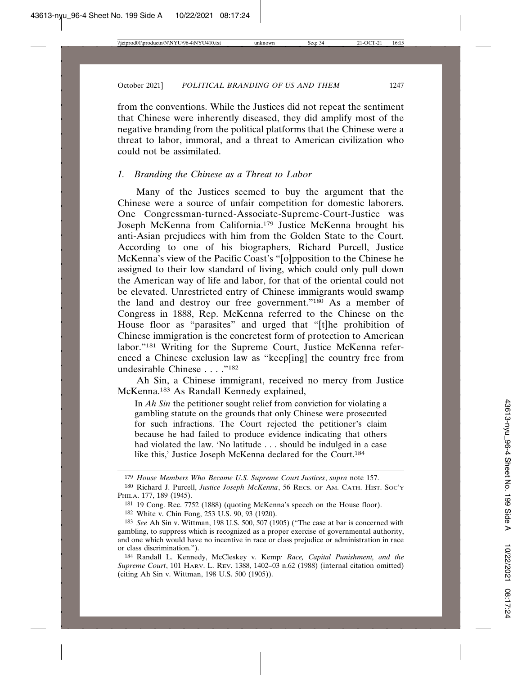from the conventions. While the Justices did not repeat the sentiment that Chinese were inherently diseased, they did amplify most of the negative branding from the political platforms that the Chinese were a threat to labor, immoral, and a threat to American civilization who could not be assimilated.

### *1. Branding the Chinese as a Threat to Labor*

Many of the Justices seemed to buy the argument that the Chinese were a source of unfair competition for domestic laborers. One Congressman-turned-Associate-Supreme-Court-Justice was Joseph McKenna from California.179 Justice McKenna brought his anti-Asian prejudices with him from the Golden State to the Court. According to one of his biographers, Richard Purcell, Justice McKenna's view of the Pacific Coast's "[o]pposition to the Chinese he assigned to their low standard of living, which could only pull down the American way of life and labor, for that of the oriental could not be elevated. Unrestricted entry of Chinese immigrants would swamp the land and destroy our free government."180 As a member of Congress in 1888, Rep. McKenna referred to the Chinese on the House floor as "parasites" and urged that "[t]he prohibition of Chinese immigration is the concretest form of protection to American labor."181 Writing for the Supreme Court, Justice McKenna referenced a Chinese exclusion law as "keep[ing] the country free from undesirable Chinese . . . . "<sup>182</sup>

Ah Sin, a Chinese immigrant, received no mercy from Justice McKenna.183 As Randall Kennedy explained,

In *Ah Sin* the petitioner sought relief from conviction for violating a gambling statute on the grounds that only Chinese were prosecuted for such infractions. The Court rejected the petitioner's claim because he had failed to produce evidence indicating that others had violated the law. 'No latitude . . . should be indulged in a case like this,' Justice Joseph McKenna declared for the Court.184

<sup>179</sup> *House Members Who Became U.S. Supreme Court Justices*, *supra* note 157. 180 Richard J. Purcell, *Justice Joseph McKenna*, 56 RECS. OF AM. CATH. HIST. SOC'Y PHILA. 177, 189 (1945).

<sup>181</sup> 19 Cong. Rec. 7752 (1888) (quoting McKenna's speech on the House floor).

<sup>182</sup> White v. Chin Fong, 253 U.S. 90, 93 (1920).

<sup>183</sup> *See* Ah Sin v. Wittman, 198 U.S. 500, 507 (1905) ("The case at bar is concerned with gambling, to suppress which is recognized as a proper exercise of governmental authority, and one which would have no incentive in race or class prejudice or administration in race or class discrimination.").

<sup>184</sup> Randall L. Kennedy, McCleskey v. Kemp*: Race, Capital Punishment, and the Supreme Court*, 101 HARV. L. REV. 1388, 1402–03 n.62 (1988) (internal citation omitted) (citing Ah Sin v. Wittman, 198 U.S. 500 (1905)).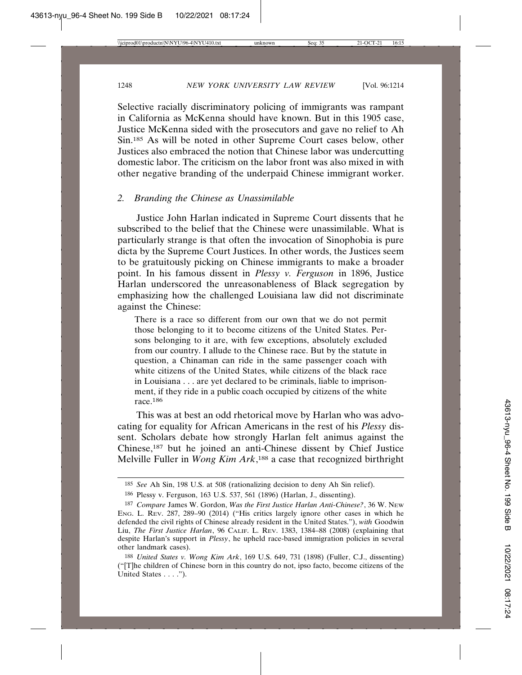Selective racially discriminatory policing of immigrants was rampant in California as McKenna should have known. But in this 1905 case, Justice McKenna sided with the prosecutors and gave no relief to Ah Sin.185 As will be noted in other Supreme Court cases below, other Justices also embraced the notion that Chinese labor was undercutting domestic labor. The criticism on the labor front was also mixed in with other negative branding of the underpaid Chinese immigrant worker.

# *2. Branding the Chinese as Unassimilable*

Justice John Harlan indicated in Supreme Court dissents that he subscribed to the belief that the Chinese were unassimilable. What is particularly strange is that often the invocation of Sinophobia is pure dicta by the Supreme Court Justices. In other words, the Justices seem to be gratuitously picking on Chinese immigrants to make a broader point. In his famous dissent in *Plessy v. Ferguson* in 1896, Justice Harlan underscored the unreasonableness of Black segregation by emphasizing how the challenged Louisiana law did not discriminate against the Chinese:

There is a race so different from our own that we do not permit those belonging to it to become citizens of the United States. Persons belonging to it are, with few exceptions, absolutely excluded from our country. I allude to the Chinese race. But by the statute in question, a Chinaman can ride in the same passenger coach with white citizens of the United States, while citizens of the black race in Louisiana . . . are yet declared to be criminals, liable to imprisonment, if they ride in a public coach occupied by citizens of the white race.<sup>186</sup>

This was at best an odd rhetorical move by Harlan who was advocating for equality for African Americans in the rest of his *Plessy* dissent. Scholars debate how strongly Harlan felt animus against the Chinese,187 but he joined an anti-Chinese dissent by Chief Justice Melville Fuller in *Wong Kim Ark*, 188 a case that recognized birthright

<sup>185</sup> *See* Ah Sin, 198 U.S. at 508 (rationalizing decision to deny Ah Sin relief).

<sup>186</sup> Plessy v. Ferguson, 163 U.S. 537, 561 (1896) (Harlan, J., dissenting).

<sup>187</sup> *Compare* James W. Gordon, *Was the First Justice Harlan Anti-Chinese?*, 36 W. NEW ENG. L. REV. 287, 289–90 (2014) ("His critics largely ignore other cases in which he defended the civil rights of Chinese already resident in the United States."), *with* Goodwin Liu, *The First Justice Harlan*, 96 CALIF. L. REV. 1383, 1384–88 (2008) (explaining that despite Harlan's support in *Plessy*, he upheld race-based immigration policies in several other landmark cases).

<sup>188</sup> *United States v. Wong Kim Ark*, 169 U.S. 649, 731 (1898) (Fuller, C.J., dissenting) ("[T]he children of Chinese born in this country do not, ipso facto, become citizens of the United States . . . .").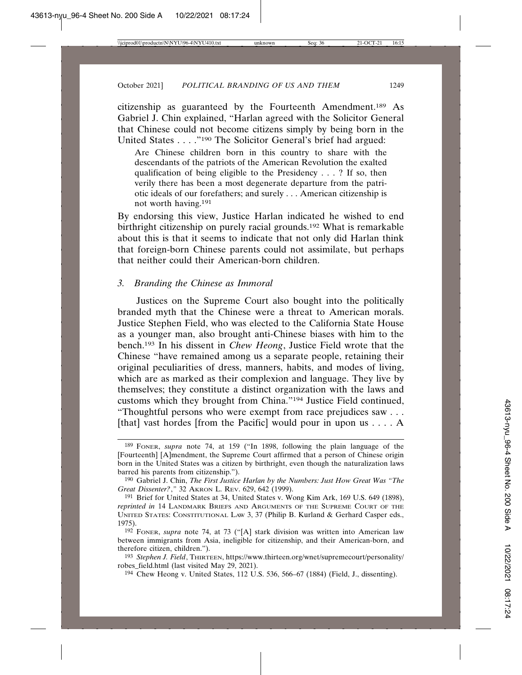citizenship as guaranteed by the Fourteenth Amendment.189 As Gabriel J. Chin explained, "Harlan agreed with the Solicitor General that Chinese could not become citizens simply by being born in the United States . . . ."190 The Solicitor General's brief had argued:

Are Chinese children born in this country to share with the descendants of the patriots of the American Revolution the exalted qualification of being eligible to the Presidency . . . ? If so, then verily there has been a most degenerate departure from the patriotic ideals of our forefathers; and surely . . . American citizenship is not worth having.191

By endorsing this view, Justice Harlan indicated he wished to end birthright citizenship on purely racial grounds.192 What is remarkable about this is that it seems to indicate that not only did Harlan think that foreign-born Chinese parents could not assimilate, but perhaps that neither could their American-born children.

#### *3. Branding the Chinese as Immoral*

Justices on the Supreme Court also bought into the politically branded myth that the Chinese were a threat to American morals. Justice Stephen Field, who was elected to the California State House as a younger man, also brought anti-Chinese biases with him to the bench.193 In his dissent in *Chew Heong*, Justice Field wrote that the Chinese "have remained among us a separate people, retaining their original peculiarities of dress, manners, habits, and modes of living, which are as marked as their complexion and language. They live by themselves; they constitute a distinct organization with the laws and customs which they brought from China."194 Justice Field continued, "Thoughtful persons who were exempt from race prejudices saw . . . [that] vast hordes [from the Pacific] would pour in upon us . . . . A

194 Chew Heong v. United States, 112 U.S. 536, 566–67 (1884) (Field, J., dissenting).

<sup>189</sup> FONER, *supra* note 74, at 159 ("In 1898, following the plain language of the [Fourteenth] [A]mendment, the Supreme Court affirmed that a person of Chinese origin born in the United States was a citizen by birthright, even though the naturalization laws barred his parents from citizenship.").

<sup>190</sup> Gabriel J. Chin, *The First Justice Harlan by the Numbers: Just How Great Was "The Great Dissenter?*,*"* 32 AKRON L. REV. 629, 642 (1999).

<sup>191</sup> Brief for United States at 34, United States v. Wong Kim Ark, 169 U.S. 649 (1898), *reprinted in* 14 LANDMARK BRIEFS AND ARGUMENTS OF THE SUPREME COURT OF THE UNITED STATES: CONSTITUTIONAL LAW 3, 37 (Philip B. Kurland & Gerhard Casper eds., 1975).

<sup>192</sup> FONER, *supra* note 74, at 73 ("[A] stark division was written into American law between immigrants from Asia, ineligible for citizenship, and their American-born, and therefore citizen, children.").

<sup>193</sup> *Stephen J. Field*, THIRTEEN, https://www.thirteen.org/wnet/supremecourt/personality/ robes\_field.html (last visited May 29, 2021).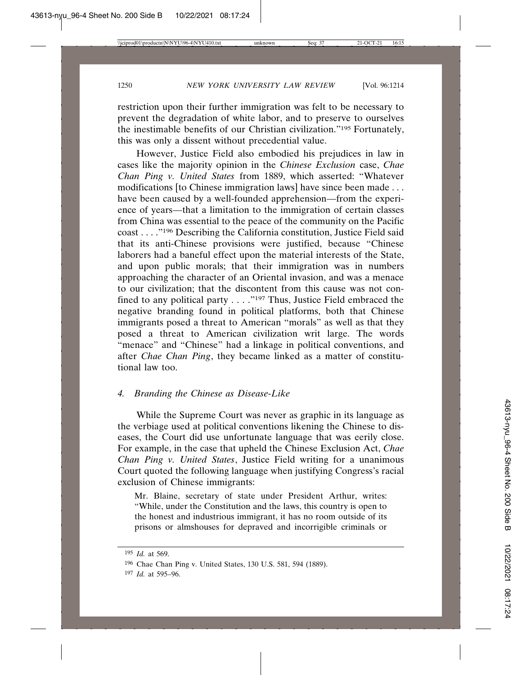restriction upon their further immigration was felt to be necessary to prevent the degradation of white labor, and to preserve to ourselves the inestimable benefits of our Christian civilization."195 Fortunately, this was only a dissent without precedential value.

However, Justice Field also embodied his prejudices in law in cases like the majority opinion in the *Chinese Exclusion* case, *Chae Chan Ping v. United States* from 1889, which asserted: "Whatever modifications [to Chinese immigration laws] have since been made . . . have been caused by a well-founded apprehension—from the experience of years—that a limitation to the immigration of certain classes from China was essential to the peace of the community on the Pacific coast . . . ."196 Describing the California constitution, Justice Field said that its anti-Chinese provisions were justified, because "Chinese laborers had a baneful effect upon the material interests of the State, and upon public morals; that their immigration was in numbers approaching the character of an Oriental invasion, and was a menace to our civilization; that the discontent from this cause was not confined to any political party . . . ."197 Thus, Justice Field embraced the negative branding found in political platforms, both that Chinese immigrants posed a threat to American "morals" as well as that they posed a threat to American civilization writ large. The words "menace" and "Chinese" had a linkage in political conventions, and after *Chae Chan Ping*, they became linked as a matter of constitutional law too.

# *4. Branding the Chinese as Disease-Like*

While the Supreme Court was never as graphic in its language as the verbiage used at political conventions likening the Chinese to diseases, the Court did use unfortunate language that was eerily close. For example, in the case that upheld the Chinese Exclusion Act, *Chae Chan Ping v. United States*, Justice Field writing for a unanimous Court quoted the following language when justifying Congress's racial exclusion of Chinese immigrants:

Mr. Blaine, secretary of state under President Arthur, writes: "While, under the Constitution and the laws, this country is open to the honest and industrious immigrant, it has no room outside of its prisons or almshouses for depraved and incorrigible criminals or

<sup>195</sup> *Id.* at 569.

<sup>196</sup> Chae Chan Ping v. United States, 130 U.S. 581, 594 (1889).

<sup>197</sup> *Id.* at 595–96.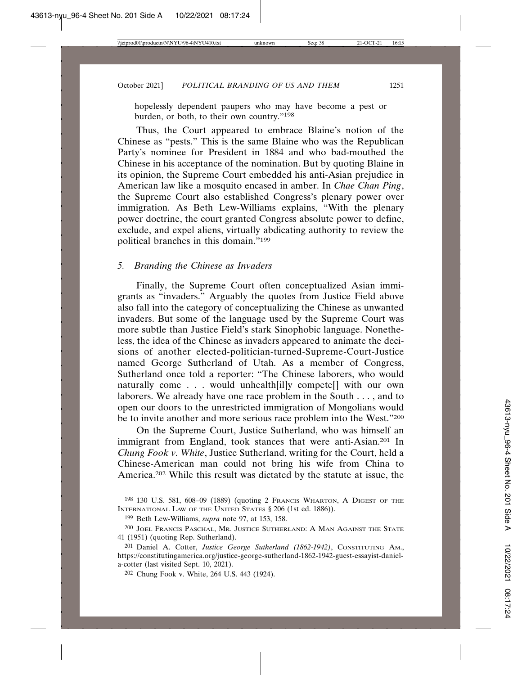hopelessly dependent paupers who may have become a pest or burden, or both, to their own country."198

Thus, the Court appeared to embrace Blaine's notion of the Chinese as "pests." This is the same Blaine who was the Republican Party's nominee for President in 1884 and who bad-mouthed the Chinese in his acceptance of the nomination. But by quoting Blaine in its opinion, the Supreme Court embedded his anti-Asian prejudice in American law like a mosquito encased in amber. In *Chae Chan Ping*, the Supreme Court also established Congress's plenary power over immigration. As Beth Lew-Williams explains, "With the plenary power doctrine, the court granted Congress absolute power to define, exclude, and expel aliens, virtually abdicating authority to review the political branches in this domain."199

#### *5. Branding the Chinese as Invaders*

Finally, the Supreme Court often conceptualized Asian immigrants as "invaders." Arguably the quotes from Justice Field above also fall into the category of conceptualizing the Chinese as unwanted invaders. But some of the language used by the Supreme Court was more subtle than Justice Field's stark Sinophobic language. Nonetheless, the idea of the Chinese as invaders appeared to animate the decisions of another elected-politician-turned-Supreme-Court-Justice named George Sutherland of Utah. As a member of Congress, Sutherland once told a reporter: "The Chinese laborers, who would naturally come . . . would unhealth[il]y compete[] with our own laborers. We already have one race problem in the South . . . , and to open our doors to the unrestricted immigration of Mongolians would be to invite another and more serious race problem into the West."200

On the Supreme Court, Justice Sutherland, who was himself an immigrant from England, took stances that were anti-Asian.<sup>201</sup> In *Chung Fook v. White*, Justice Sutherland, writing for the Court, held a Chinese-American man could not bring his wife from China to America.202 While this result was dictated by the statute at issue, the

202 Chung Fook v. White, 264 U.S. 443 (1924).

<sup>198</sup> 130 U.S. 581, 608–09 (1889) (quoting 2 FRANCIS WHARTON, A DIGEST OF THE INTERNATIONAL LAW OF THE UNITED STATES § 206 (1st ed. 1886)).

<sup>199</sup> Beth Lew-Williams, *supra* note 97, at 153, 158.

<sup>200</sup> JOEL FRANCIS PASCHAL, MR. JUSTICE SUTHERLAND: A MAN AGAINST THE STATE 41 (1951) (quoting Rep. Sutherland).

<sup>201</sup> Daniel A. Cotter, *Justice George Sutherland (1862-1942)*, CONSTITUTING AM., https://constitutingamerica.org/justice-george-sutherland-1862-1942-guest-essayist-daniela-cotter (last visited Sept. 10, 2021).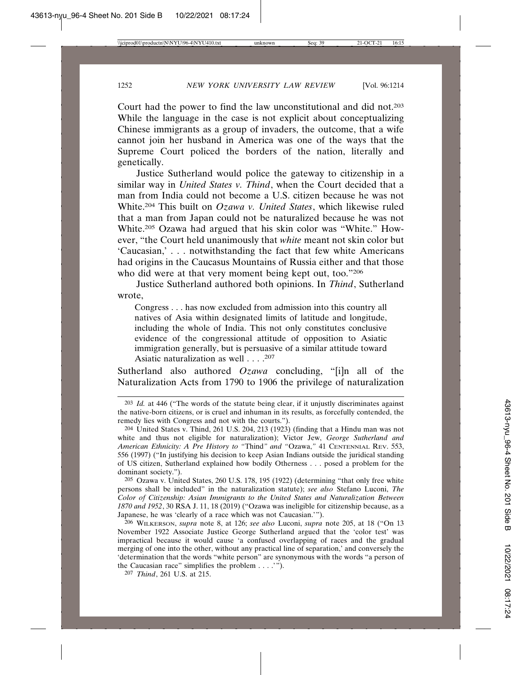Court had the power to find the law unconstitutional and did not.203 While the language in the case is not explicit about conceptualizing Chinese immigrants as a group of invaders, the outcome, that a wife cannot join her husband in America was one of the ways that the Supreme Court policed the borders of the nation, literally and genetically.

Justice Sutherland would police the gateway to citizenship in a similar way in *United States v. Thind*, when the Court decided that a man from India could not become a U.S. citizen because he was not White.204 This built on *Ozawa v. United States*, which likewise ruled that a man from Japan could not be naturalized because he was not White.205 Ozawa had argued that his skin color was "White." However, "the Court held unanimously that *white* meant not skin color but 'Caucasian,' . . . notwithstanding the fact that few white Americans had origins in the Caucasus Mountains of Russia either and that those who did were at that very moment being kept out, too."206

Justice Sutherland authored both opinions. In *Thind*, Sutherland wrote,

Congress . . . has now excluded from admission into this country all natives of Asia within designated limits of latitude and longitude, including the whole of India. This not only constitutes conclusive evidence of the congressional attitude of opposition to Asiatic immigration generally, but is persuasive of a similar attitude toward Asiatic naturalization as well . . . .<sup>207</sup>

Sutherland also authored *Ozawa* concluding, "[i]n all of the Naturalization Acts from 1790 to 1906 the privilege of naturalization

205 Ozawa v. United States, 260 U.S. 178, 195 (1922) (determining "that only free white persons shall be included" in the naturalization statute); *see also* Stefano Luconi, *The Color of Citizenship: Asian Immigrants to the United States and Naturalization Between 1870 and 1952*, 30 RSA J. 11, 18 (2019) ("Ozawa was ineligible for citizenship because, as a Japanese, he was 'clearly of a race which was not Caucasian.'").

206 WILKERSON, *supra* note 8, at 126; *see also* Luconi, *supra* note 205, at 18 ("On 13 November 1922 Associate Justice George Sutherland argued that the 'color test' was impractical because it would cause 'a confused overlapping of races and the gradual merging of one into the other, without any practical line of separation,' and conversely the 'determination that the words "white person" are synonymous with the words "a person of the Caucasian race" simplifies the problem . . . .'").

207 *Thind*, 261 U.S. at 215.

<sup>203</sup> *Id.* at 446 ("The words of the statute being clear, if it unjustly discriminates against the native-born citizens, or is cruel and inhuman in its results, as forcefully contended, the remedy lies with Congress and not with the courts.").

<sup>204</sup> United States v. Thind, 261 U.S. 204, 213 (1923) (finding that a Hindu man was not white and thus not eligible for naturalization); Victor Jew, *George Sutherland and American Ethnicity: A Pre History to "*Thind*" and "*Ozawa,*"* 41 CENTENNIAL REV. 553, 556 (1997) ("In justifying his decision to keep Asian Indians outside the juridical standing of US citizen, Sutherland explained how bodily Otherness . . . posed a problem for the dominant society.").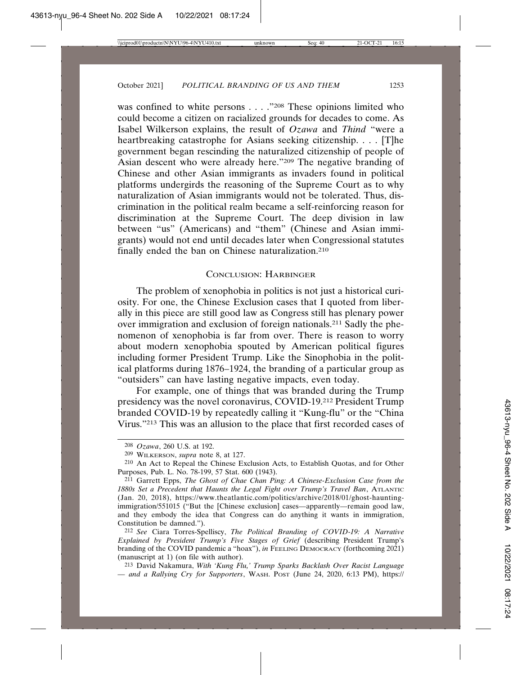was confined to white persons . . . . "<sup>208</sup> These opinions limited who could become a citizen on racialized grounds for decades to come. As Isabel Wilkerson explains, the result of *Ozawa* and *Thind* "were a heartbreaking catastrophe for Asians seeking citizenship. . . . [T]he government began rescinding the naturalized citizenship of people of Asian descent who were already here."209 The negative branding of Chinese and other Asian immigrants as invaders found in political platforms undergirds the reasoning of the Supreme Court as to why naturalization of Asian immigrants would not be tolerated. Thus, discrimination in the political realm became a self-reinforcing reason for discrimination at the Supreme Court. The deep division in law between "us" (Americans) and "them" (Chinese and Asian immigrants) would not end until decades later when Congressional statutes finally ended the ban on Chinese naturalization.210

#### CONCLUSION: HARBINGER

The problem of xenophobia in politics is not just a historical curiosity. For one, the Chinese Exclusion cases that I quoted from liberally in this piece are still good law as Congress still has plenary power over immigration and exclusion of foreign nationals.211 Sadly the phenomenon of xenophobia is far from over. There is reason to worry about modern xenophobia spouted by American political figures including former President Trump. Like the Sinophobia in the political platforms during 1876–1924, the branding of a particular group as "outsiders" can have lasting negative impacts, even today.

For example, one of things that was branded during the Trump presidency was the novel coronavirus, COVID-19.212 President Trump branded COVID-19 by repeatedly calling it "Kung-flu" or the "China Virus."213 This was an allusion to the place that first recorded cases of

213 David Nakamura, *With 'Kung Flu,' Trump Sparks Backlash Over Racist Language — and a Rallying Cry for Supporters*, WASH. POST (June 24, 2020, 6:13 PM), https://

<sup>208</sup> *Ozawa*, 260 U.S. at 192.

<sup>209</sup> WILKERSON, *supra* note 8, at 127.

<sup>210</sup> An Act to Repeal the Chinese Exclusion Acts, to Establish Quotas, and for Other Purposes, Pub. L. No. 78-199, 57 Stat. 600 (1943).

<sup>211</sup> Garrett Epps, *The Ghost of Chae Chan Ping: A Chinese-Exclusion Case from the 1880s Set a Precedent that Haunts the Legal Fight over Trump's Travel Ban*, ATLANTIC (Jan. 20, 2018), https://www.theatlantic.com/politics/archive/2018/01/ghost-hauntingimmigration/551015 ("But the [Chinese exclusion] cases—apparently—remain good law, and they embody the idea that Congress can do anything it wants in immigration, Constitution be damned.").

<sup>212</sup> *See* Ciara Torres-Spelliscy, *The Political Branding of COVID-19: A Narrative Explained by President Trump's Five Stages of Grief* (describing President Trump's branding of the COVID pandemic a "hoax"), *in* FEELING DEMOCRACY (forthcoming 2021) (manuscript at 1) (on file with author).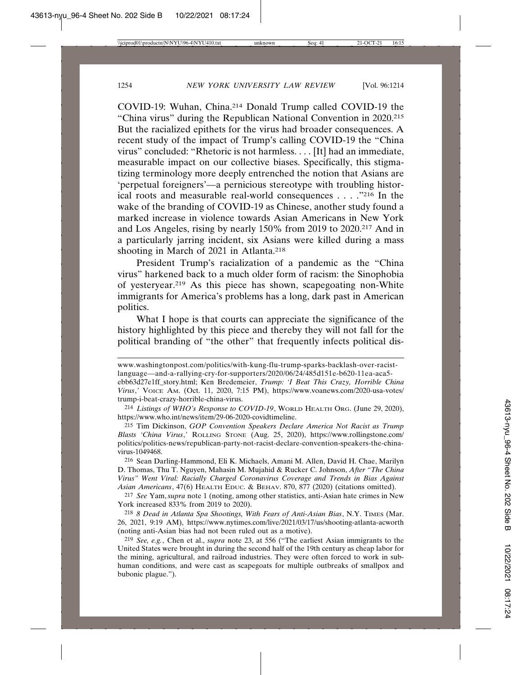COVID-19: Wuhan, China.214 Donald Trump called COVID-19 the "China virus" during the Republican National Convention in 2020.215 But the racialized epithets for the virus had broader consequences. A recent study of the impact of Trump's calling COVID-19 the "China virus" concluded: "Rhetoric is not harmless. . . . [It] had an immediate, measurable impact on our collective biases. Specifically, this stigmatizing terminology more deeply entrenched the notion that Asians are 'perpetual foreigners'—a pernicious stereotype with troubling historical roots and measurable real-world consequences . . . ."216 In the wake of the branding of COVID-19 as Chinese, another study found a marked increase in violence towards Asian Americans in New York and Los Angeles, rising by nearly 150% from 2019 to 2020.217 And in a particularly jarring incident, six Asians were killed during a mass shooting in March of 2021 in Atlanta.<sup>218</sup>

President Trump's racialization of a pandemic as the "China virus" harkened back to a much older form of racism: the Sinophobia of yesteryear.219 As this piece has shown, scapegoating non-White immigrants for America's problems has a long, dark past in American politics.

What I hope is that courts can appreciate the significance of the history highlighted by this piece and thereby they will not fall for the political branding of "the other" that frequently infects political dis-

www.washingtonpost.com/politics/with-kung-flu-trump-sparks-backlash-over-racistlanguage—and-a-rallying-cry-for-supporters/2020/06/24/485d151e-b620-11ea-aca5 ebb63d27e1ff\_story.html; Ken Bredemeier, *Trump: 'I Beat This Crazy, Horrible China Virus*,*'* VOICE AM. (Oct. 11, 2020, 7:15 PM), https://www.voanews.com/2020-usa-votes/ trump-i-beat-crazy-horrible-china-virus.

<sup>214</sup> *Listings of WHO's Response to COVID-19*, WORLD HEALTH ORG. (June 29, 2020), https://www.who.int/news/item/29-06-2020-covidtimeline.

<sup>215</sup> Tim Dickinson, *GOP Convention Speakers Declare America Not Racist as Trump Blasts 'China Virus*,*'* ROLLING STONE (Aug. 25, 2020), https://www.rollingstone.com/ politics/politics-news/republican-party-not-racist-declare-convention-speakers-the-chinavirus-1049468.

<sup>216</sup> Sean Darling-Hammond, Eli K. Michaels, Amani M. Allen, David H. Chae, Marilyn D. Thomas, Thu T. Nguyen, Mahasin M. Mujahid & Rucker C. Johnson, *After "The China Virus" Went Viral: Racially Charged Coronavirus Coverage and Trends in Bias Against Asian Americans*, 47(6) HEALTH EDUC. & BEHAV. 870, 877 (2020) (citations omitted).

<sup>217</sup> *See* Yam,*supra* note 1 (noting, among other statistics, anti-Asian hate crimes in New York increased 833% from 2019 to 2020).

<sup>218</sup> *8 Dead in Atlanta Spa Shootings, With Fears of Anti-Asian Bias*, N.Y. TIMES (Mar. 26, 2021, 9:19 AM), https://www.nytimes.com/live/2021/03/17/us/shooting-atlanta-acworth (noting anti-Asian bias had not been ruled out as a motive).

<sup>219</sup> *See, e.g.*, Chen et al., *supra* note 23, at 556 ("The earliest Asian immigrants to the United States were brought in during the second half of the 19th century as cheap labor for the mining, agricultural, and railroad industries. They were often forced to work in subhuman conditions, and were cast as scapegoats for multiple outbreaks of smallpox and bubonic plague.").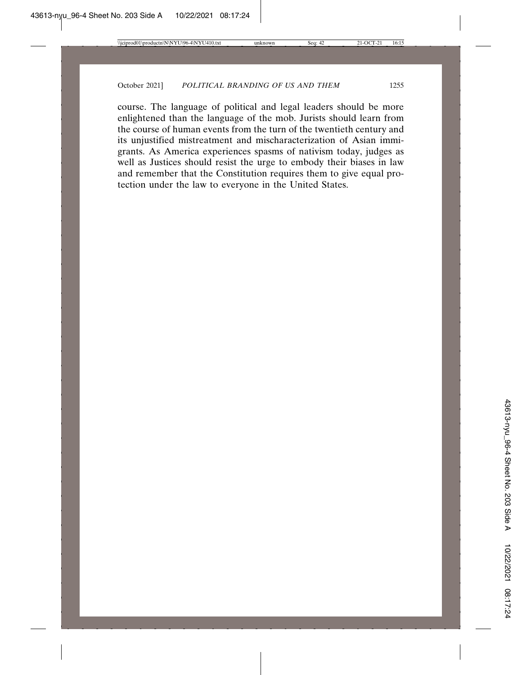course. The language of political and legal leaders should be more enlightened than the language of the mob. Jurists should learn from the course of human events from the turn of the twentieth century and its unjustified mistreatment and mischaracterization of Asian immigrants. As America experiences spasms of nativism today, judges as well as Justices should resist the urge to embody their biases in law and remember that the Constitution requires them to give equal protection under the law to everyone in the United States.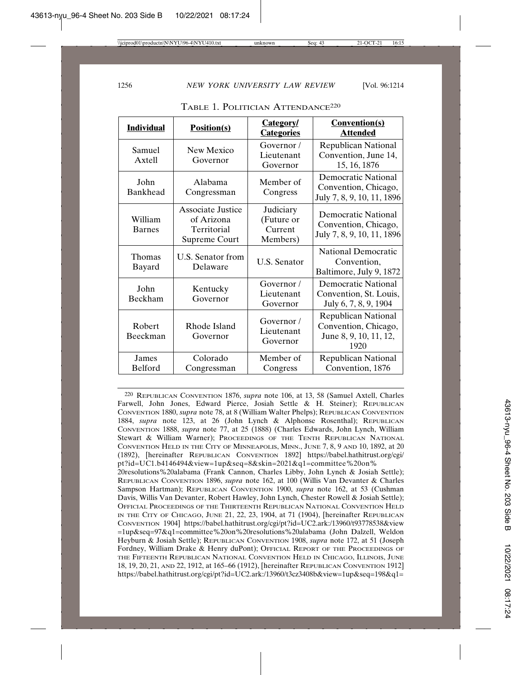| <b>Individual</b>        | <b>Position(s)</b>                                                     | <b>Category</b><br><b>Categories</b>           | <b>Convention(s)</b><br><b>Attended</b>                                       |
|--------------------------|------------------------------------------------------------------------|------------------------------------------------|-------------------------------------------------------------------------------|
| Samuel<br>Axtell         | New Mexico<br>Governor                                                 | Governor/<br>Lieutenant<br>Governor            | Republican National<br>Convention, June 14,<br>15, 16, 1876                   |
| John<br>Bankhead         | Alabama<br>Congressman                                                 | Member of<br>Congress                          | Democratic National<br>Convention, Chicago,<br>July 7, 8, 9, 10, 11, 1896     |
| William<br><b>Barnes</b> | <b>Associate Justice</b><br>of Arizona<br>Territorial<br>Supreme Court | Judiciary<br>(Future or<br>Current<br>Members) | Democratic National<br>Convention, Chicago,<br>July 7, 8, 9, 10, 11, 1896     |
| Thomas<br>Bayard         | U.S. Senator from<br>Delaware                                          | <b>U.S. Senator</b>                            | <b>National Democratic</b><br>Convention,<br>Baltimore, July 9, 1872          |
| John<br>Beckham          | Kentucky<br>Governor                                                   | Governor /<br>Lieutenant<br>Governor           | <b>Democratic National</b><br>Convention, St. Louis,<br>July 6, 7, 8, 9, 1904 |
| Robert<br>Beeckman       | Rhode Island<br>Governor                                               | Governor /<br>Lieutenant<br>Governor           | Republican National<br>Convention, Chicago,<br>June 8, 9, 10, 11, 12,<br>1920 |
| James<br>Belford         | Colorado<br>Congressman                                                | Member of<br>Congress                          | Republican National<br>Convention, 1876                                       |

| TABLE 1. POLITICIAN ATTENDANCE <sup>220</sup> |  |
|-----------------------------------------------|--|
|                                               |  |

220 REPUBLICAN CONVENTION 1876, *supra* note 106, at 13, 58 (Samuel Axtell, Charles Farwell, John Jones, Edward Pierce, Josiah Settle & H. Steiner); REPUBLICAN CONVENTION 1880, *supra* note 78, at 8 (William Walter Phelps); REPUBLICAN CONVENTION 1884, *supra* note 123, at 26 (John Lynch & Alphonse Rosenthal); REPUBLICAN CONVENTION 1888, *supra* note 77, at 25 (1888) (Charles Edwards, John Lynch, William Stewart & William Warner); PROCEEDINGS OF THE TENTH REPUBLICAN NATIONAL CONVENTION HELD IN THE CITY OF MINNEAPOLIS, MINN., JUNE 7, 8, 9 AND 10, 1892, at 20 (1892), [hereinafter REPUBLICAN CONVENTION 1892] https://babel.hathitrust.org/cgi/ pt?id=UC1.b4146494&view=1up&seq=8&skin=2021&q1=committee%20on%

20resolutions%20alabama (Frank Cannon, Charles Libby, John Lynch & Josiah Settle); REPUBLICAN CONVENTION 1896, *supra* note 162, at 100 (Willis Van Devanter & Charles Sampson Hartman); REPUBLICAN CONVENTION 1900, *supra* note 162, at 53 (Cushman Davis, Willis Van Devanter, Robert Hawley, John Lynch, Chester Rowell & Josiah Settle); OFFICIAL PROCEEDINGS OF THE THIRTEENTH REPUBLICAN NATIONAL CONVENTION HELD IN THE CITY OF CHICAGO, JUNE 21, 22, 23, 1904, at 71 (1904), [hereinafter REPUBLICAN CONVENTION 1904] https://babel.hathitrust.org/cgi/pt?id=UC2.ark:/13960/t93778538&view =1up&seq=97&q1=committee%20on%20resolutions%20alabama (John Dalzell, Weldon Heyburn & Josiah Settle); REPUBLICAN CONVENTION 1908, *supra* note 172, at 51 (Joseph Fordney, William Drake & Henry duPont); OFFICIAL REPORT OF THE PROCEEDINGS OF THE FIFTEENTH REPUBLICAN NATIONAL CONVENTION HELD IN CHICAGO, ILLINOIS, JUNE 18, 19, 20, 21, AND 22, 1912, at 165–66 (1912), [hereinafter REPUBLICAN CONVENTION 1912] https://babel.hathitrust.org/cgi/pt?id=UC2.ark:/13960/t3cz3408b&view=1up&seq=198&q1=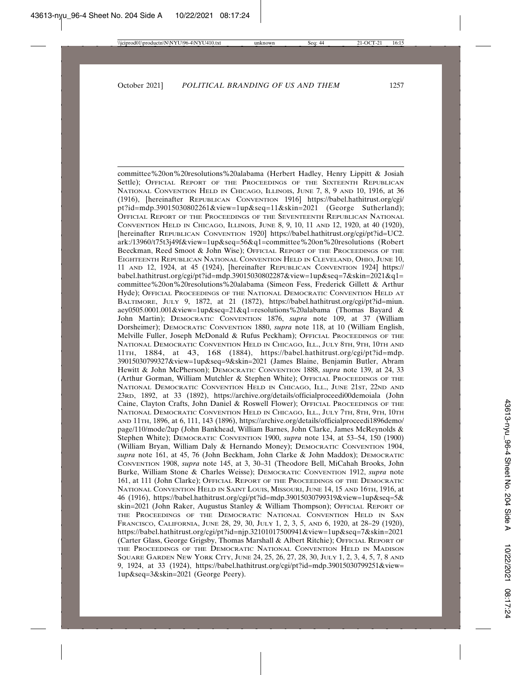committee%20on%20resolutions%20alabama (Herbert Hadley, Henry Lippitt & Josiah Settle); OFFICIAL REPORT OF THE PROCEEDINGS OF THE SIXTEENTH REPUBLICAN NATIONAL CONVENTION HELD IN CHICAGO, ILLINOIS, JUNE 7, 8, 9 AND 10, 1916, at 36 (1916), [hereinafter REPUBLICAN CONVENTION 1916] https://babel.hathitrust.org/cgi/ pt?id=mdp.39015030802261&view=1up&seq=11&skin=2021 (George Sutherland); OFFICIAL REPORT OF THE PROCEEDINGS OF THE SEVENTEENTH REPUBLICAN NATIONAL CONVENTION HELD IN CHICAGO, ILLINOIS, JUNE 8, 9, 10, 11 AND 12, 1920, at 40 (1920), [hereinafter REPUBLICAN CONVENTION 1920] https://babel.hathitrust.org/cgi/pt?id=UC2. ark:/13960/t75t3j49f&view=1up&seq=56&q1=committee%20on%20resolutions (Robert Beeckman, Reed Smoot & John Wise); OFFICIAL REPORT OF THE PROCEEDINGS OF THE EIGHTEENTH REPUBLICAN NATIONAL CONVENTION HELD IN CLEVELAND, OHIO, JUNE 10, 11 AND 12, 1924, at 45 (1924), [hereinafter REPUBLICAN CONVENTION 1924] https:// babel.hathitrust.org/cgi/pt?id=mdp.39015030802287&view=1up&seq=7&skin=2021&q1= committee%20on%20resolutions%20alabama (Simeon Fess, Frederick Gillett & Arthur Hyde); OFFICIAL PROCEEDINGS OF THE NATIONAL DEMOCRATIC CONVENTION HELD AT BALTIMORE, JULY 9, 1872, at 21 (1872), https://babel.hathitrust.org/cgi/pt?id=miun. aey0505.0001.001&view=1up&seq=21&q1=resolutions%20alabama (Thomas Bayard & John Martin); DEMOCRATIC CONVENTION 1876, *supra* note 109, at 37 (William Dorsheimer); DEMOCRATIC CONVENTION 1880, *supra* note 118, at 10 (William English, Melville Fuller, Joseph McDonald & Rufus Peckham); OFFICIAL PROCEEDINGS OF THE NATIONAL DEMOCRATIC CONVENTION HELD IN CHICAGO, ILL., JULY 8TH, 9TH, 10TH AND 11TH, 1884, at 43, 168 (1884), https://babel.hathitrust.org/cgi/pt?id=mdp. 39015030799327&view=1up&seq=9&skin=2021 (James Blaine, Benjamin Butler, Abram Hewitt & John McPherson); DEMOCRATIC CONVENTION 1888, *supra* note 139, at 24, 33 (Arthur Gorman, William Mutchler & Stephen White); OFFICIAL PROCEEDINGS OF THE NATIONAL DEMOCRATIC CONVENTION HELD IN CHICAGO, ILL., JUNE 21ST, 22ND AND 23RD, 1892, at 33 (1892), https://archive.org/details/officialproceedi00demoiala (John Caine, Clayton Crafts, John Daniel & Roswell Flower); OFFICIAL PROCEEDINGS OF THE NATIONAL DEMOCRATIC CONVENTION HELD IN CHICAGO, ILL., JULY 7TH, 8TH, 9TH, 10TH AND 11TH, 1896, at 6, 111, 143 (1896), https://archive.org/details/officialproceedi1896demo/ page/110/mode/2up (John Bankhead, William Barnes, John Clarke, James McReynolds & Stephen White); DEMOCRATIC CONVENTION 1900, *supra* note 134, at 53–54, 150 (1900) (William Bryan, William Daly & Hernando Money); DEMOCRATIC CONVENTION 1904, *supra* note 161, at 45, 76 (John Beckham, John Clarke & John Maddox); DEMOCRATIC CONVENTION 1908, *supra* note 145, at 3, 30–31 (Theodore Bell, MiCahah Brooks, John Burke, William Stone & Charles Weisse); DEMOCRATIC CONVENTION 1912, *supra* note 161, at 111 (John Clarke); OFFICIAL REPORT OF THE PROCEEDINGS OF THE DEMOCRATIC NATIONAL CONVENTION HELD IN SAINT LOUIS, MISSOURI, JUNE 14, 15 AND 16TH, 1916, at 46 (1916), https://babel.hathitrust.org/cgi/pt?id=mdp.39015030799319&view=1up&seq=5& skin=2021 (John Raker, Augustus Stanley & William Thompson); OFFICIAL REPORT OF THE PROCEEDINGS OF THE DEMOCRATIC NATIONAL CONVENTION HELD IN SAN FRANCISCO, CALIFORNIA, JUNE 28, 29, 30, JULY 1, 2, 3, 5, AND 6, 1920, at 28–29 (1920), https://babel.hathitrust.org/cgi/pt?id=njp.32101017500941&view=1up&seq=7&skin=2021 (Carter Glass, George Grigsby, Thomas Marshall & Albert Ritchie); OFFICIAL REPORT OF THE PROCEEDINGS OF THE DEMOCRATIC NATIONAL CONVENTION HELD IN MADISON SQUARE GARDEN NEW YORK CITY, JUNE 24, 25, 26, 27, 28, 30, JULY 1, 2, 3, 4, 5, 7, 8 AND 9, 1924, at 33 (1924), https://babel.hathitrust.org/cgi/pt?id=mdp.39015030799251&view= 1up&seq=3&skin=2021 (George Peery).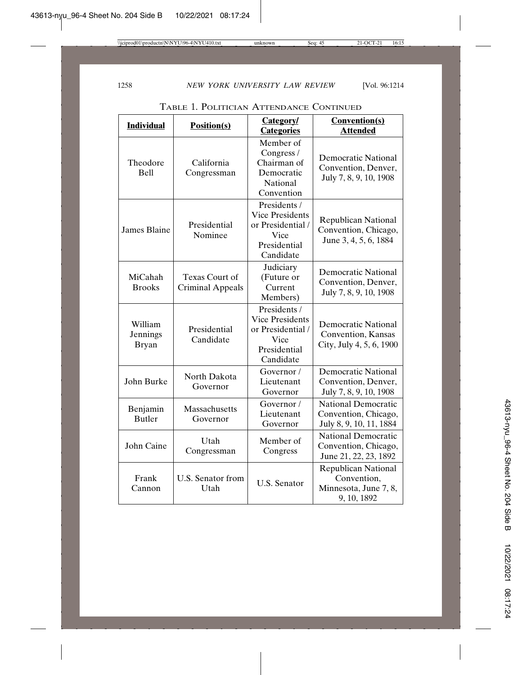| <b>Individual</b>                   | Position(s)                               | <b>Category/</b><br><b>Categories</b>                                                            | <b>Convention(s)</b><br><b>Attended</b>                                           |
|-------------------------------------|-------------------------------------------|--------------------------------------------------------------------------------------------------|-----------------------------------------------------------------------------------|
| Theodore<br><b>Bell</b>             | California<br>Congressman                 | Member of<br>Congress /<br>Chairman of<br>Democratic<br>National<br>Convention                   | <b>Democratic National</b><br>Convention, Denver,<br>July 7, 8, 9, 10, 1908       |
| <b>James Blaine</b>                 | Presidential<br>Nominee                   | Presidents /<br><b>Vice Presidents</b><br>or Presidential /<br>Vice<br>Presidential<br>Candidate | <b>Republican National</b><br>Convention, Chicago,<br>June 3, 4, 5, 6, 1884       |
| MiCahah<br><b>Brooks</b>            | Texas Court of<br><b>Criminal Appeals</b> | Judiciary<br>(Future or<br>Current<br>Members)                                                   | Democratic National<br>Convention, Denver,<br>July 7, 8, 9, 10, 1908              |
| William<br>Jennings<br><b>Bryan</b> | Presidential<br>Candidate                 | Presidents /<br><b>Vice Presidents</b><br>or Presidential /<br>Vice<br>Presidential<br>Candidate | <b>Democratic National</b><br>Convention, Kansas<br>City, July 4, 5, 6, 1900      |
| John Burke                          | North Dakota<br>Governor                  | Governor/<br>Lieutenant<br>Governor                                                              | <b>Democratic National</b><br>Convention, Denver,<br>July 7, 8, 9, 10, 1908       |
| Benjamin<br><b>Butler</b>           | Massachusetts<br>Governor                 | Governor /<br>Lieutenant<br>Governor                                                             | <b>National Democratic</b><br>Convention, Chicago,<br>July 8, 9, 10, 11, 1884     |
| John Caine                          | Utah<br>Congressman                       | Member of<br>Congress                                                                            | <b>National Democratic</b><br>Convention, Chicago,<br>June 21, 22, 23, 1892       |
| Frank<br>Cannon                     | U.S. Senator from<br>Utah                 | <b>U.S. Senator</b>                                                                              | <b>Republican National</b><br>Convention,<br>Minnesota, June 7, 8,<br>9, 10, 1892 |

TABLE 1. POLITICIAN ATTENDANCE CONTINUED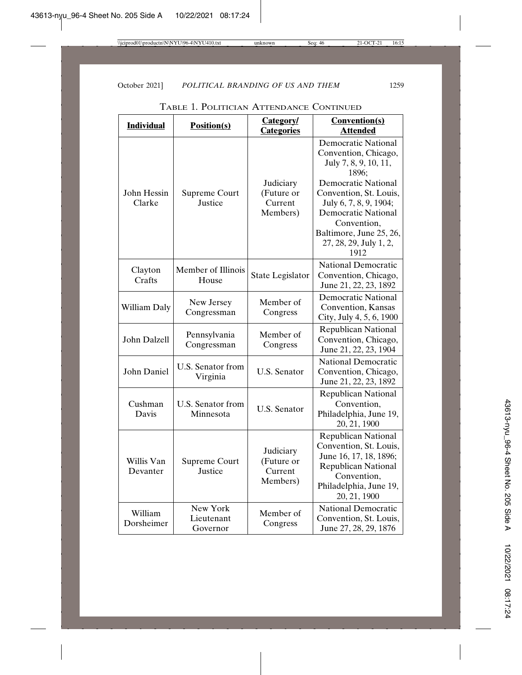| <b>Individual</b>      | <b>Position(s)</b>                 | <b>Category</b><br><b>Categories</b>           | <b>Convention(s)</b><br><b>Attended</b>                                                                                                                                                                                                                                          |
|------------------------|------------------------------------|------------------------------------------------|----------------------------------------------------------------------------------------------------------------------------------------------------------------------------------------------------------------------------------------------------------------------------------|
| John Hessin<br>Clarke  | Supreme Court<br>Justice           | Judiciary<br>(Future or<br>Current<br>Members) | <b>Democratic National</b><br>Convention, Chicago,<br>July 7, 8, 9, 10, 11,<br>1896:<br><b>Democratic National</b><br>Convention, St. Louis,<br>July 6, 7, 8, 9, 1904;<br><b>Democratic National</b><br>Convention,<br>Baltimore, June 25, 26,<br>27, 28, 29, July 1, 2,<br>1912 |
| Clayton<br>Crafts      | Member of Illinois<br>House        | State Legislator                               | <b>National Democratic</b><br>Convention, Chicago,<br>June 21, 22, 23, 1892                                                                                                                                                                                                      |
| William Daly           | New Jersey<br>Congressman          | Member of<br>Congress                          | <b>Democratic National</b><br>Convention, Kansas<br>City, July 4, 5, 6, 1900                                                                                                                                                                                                     |
| John Dalzell           | Pennsylvania<br>Congressman        | Member of<br>Congress                          | <b>Republican National</b><br>Convention, Chicago,<br>June 21, 22, 23, 1904                                                                                                                                                                                                      |
| John Daniel            | U.S. Senator from<br>Virginia      | <b>U.S. Senator</b>                            | <b>National Democratic</b><br>Convention, Chicago,<br>June 21, 22, 23, 1892                                                                                                                                                                                                      |
| Cushman<br>Davis       | U.S. Senator from<br>Minnesota     | <b>U.S. Senator</b>                            | <b>Republican National</b><br>Convention,<br>Philadelphia, June 19,<br>20, 21, 1900                                                                                                                                                                                              |
| Willis Van<br>Devanter | Supreme Court<br>Justice           | Judiciary<br>(Future or<br>Current<br>Members) | <b>Republican National</b><br>Convention, St. Louis,<br>June 16, 17, 18, 1896;<br><b>Republican National</b><br>Convention,<br>Philadelphia, June 19,<br>20, 21, 1900                                                                                                            |
| William<br>Dorsheimer  | New York<br>Lieutenant<br>Governor | Member of<br>Congress                          | <b>National Democratic</b><br>Convention, St. Louis,<br>June 27, 28, 29, 1876                                                                                                                                                                                                    |

TABLE 1. POLITICIAN ATTENDANCE CONTINUED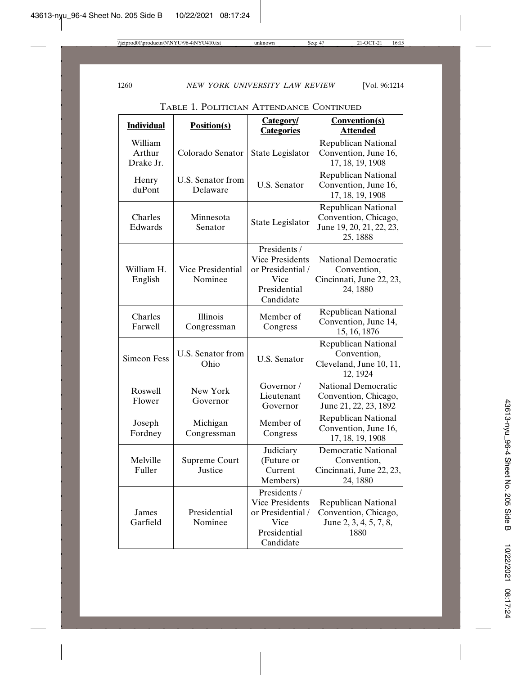TABLE 1. POLITICIAN ATTENDANCE CONTINUED

| <b>Individual</b>              | <b>Position(s)</b>            | Category/<br><b>Categories</b>                                                                   | <b>Convention(s)</b><br><b>Attended</b>                                                    |
|--------------------------------|-------------------------------|--------------------------------------------------------------------------------------------------|--------------------------------------------------------------------------------------------|
| William<br>Arthur<br>Drake Jr. | Colorado Senator              | State Legislator                                                                                 | <b>Republican National</b><br>Convention, June 16,<br>17, 18, 19, 1908                     |
| Henry<br>duPont                | U.S. Senator from<br>Delaware | <b>U.S. Senator</b>                                                                              | <b>Republican National</b><br>Convention, June 16,<br>17, 18, 19, 1908                     |
| Charles<br>Edwards             | Minnesota<br>Senator          | State Legislator                                                                                 | <b>Republican National</b><br>Convention, Chicago,<br>June 19, 20, 21, 22, 23,<br>25, 1888 |
| William H.<br>English          | Vice Presidential<br>Nominee  | Presidents /<br><b>Vice Presidents</b><br>or Presidential /<br>Vice<br>Presidential<br>Candidate | <b>National Democratic</b><br>Convention,<br>Cincinnati, June 22, 23,<br>24, 1880          |
| Charles<br>Farwell             | Illinois<br>Congressman       | Member of<br>Congress                                                                            | <b>Republican National</b><br>Convention, June 14,<br>15, 16, 1876                         |
| <b>Simeon Fess</b>             | U.S. Senator from<br>Ohio     | <b>U.S. Senator</b>                                                                              | <b>Republican National</b><br>Convention,<br>Cleveland, June 10, 11,<br>12, 1924           |
| Roswell<br>Flower              | New York<br>Governor          | Governor/<br>Lieutenant<br>Governor                                                              | <b>National Democratic</b><br>Convention, Chicago,<br>June 21, 22, 23, 1892                |
| Joseph<br>Fordney              | Michigan<br>Congressman       | Member of<br>Congress                                                                            | <b>Republican National</b><br>Convention, June 16,<br>17, 18, 19, 1908                     |
| Melville<br>Fuller             | Supreme Court<br>Justice      | Judiciary<br>(Future or<br>Current<br>Members)                                                   | <b>Democratic National</b><br>Convention,<br>Cincinnati, June 22, 23,<br>24, 1880          |
| James<br>Garfield              | Presidential<br>Nominee       | Presidents /<br><b>Vice Presidents</b><br>or Presidential /<br>Vice<br>Presidential<br>Candidate | <b>Republican National</b><br>Convention, Chicago,<br>June 2, 3, 4, 5, 7, 8,<br>1880       |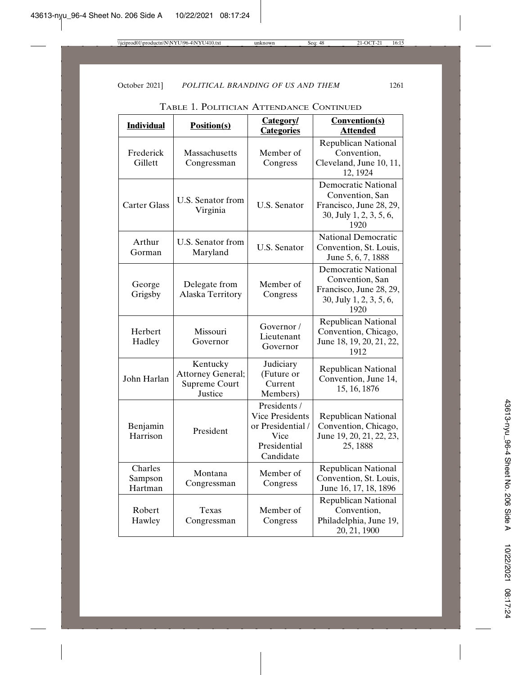TABLE 1. POLITICIAN ATTENDANCE CONTINUED

| <b>Individual</b>             | <b>Position(s)</b>                                               | Category/<br><b>Categories</b>                                                                   | <b>Convention(s)</b><br><b>Attended</b>                                                                     |
|-------------------------------|------------------------------------------------------------------|--------------------------------------------------------------------------------------------------|-------------------------------------------------------------------------------------------------------------|
| Frederick<br>Gillett          | Massachusetts<br>Congressman                                     | Member of<br>Congress                                                                            | <b>Republican National</b><br>Convention,<br>Cleveland, June 10, 11,<br>12, 1924                            |
| <b>Carter Glass</b>           | U.S. Senator from<br>Virginia                                    | <b>U.S. Senator</b>                                                                              | <b>Democratic National</b><br>Convention, San<br>Francisco, June 28, 29,<br>30, July 1, 2, 3, 5, 6,<br>1920 |
| Arthur<br>Gorman              | U.S. Senator from<br>Maryland                                    | <b>U.S. Senator</b>                                                                              | <b>National Democratic</b><br>Convention, St. Louis,<br>June 5, 6, 7, 1888                                  |
| George<br>Grigsby             | Delegate from<br>Alaska Territory                                | Member of<br>Congress                                                                            | <b>Democratic National</b><br>Convention, San<br>Francisco, June 28, 29,<br>30, July 1, 2, 3, 5, 6,<br>1920 |
| Herbert<br>Hadley             | Missouri<br>Governor                                             | Governor/<br>Lieutenant<br>Governor                                                              | <b>Republican National</b><br>Convention, Chicago,<br>June 18, 19, 20, 21, 22,<br>1912                      |
| John Harlan                   | Kentucky<br><b>Attorney General;</b><br>Supreme Court<br>Justice | Judiciary<br>(Future or<br>Current<br>Members)                                                   | <b>Republican National</b><br>Convention, June 14,<br>15, 16, 1876                                          |
| Benjamin<br>Harrison          | President                                                        | Presidents /<br><b>Vice Presidents</b><br>or Presidential /<br>Vice<br>Presidential<br>Candidate | <b>Republican National</b><br>Convention, Chicago,<br>June 19, 20, 21, 22, 23,<br>25, 1888                  |
| Charles<br>Sampson<br>Hartman | Montana<br>Congressman                                           | Member of<br>Congress                                                                            | <b>Republican National</b><br>Convention, St. Louis,<br>June 16, 17, 18, 1896                               |
| Robert<br>Hawley              | Texas<br>Congressman                                             | Member of<br>Congress                                                                            | <b>Republican National</b><br>Convention,<br>Philadelphia, June 19,<br>20, 21, 1900                         |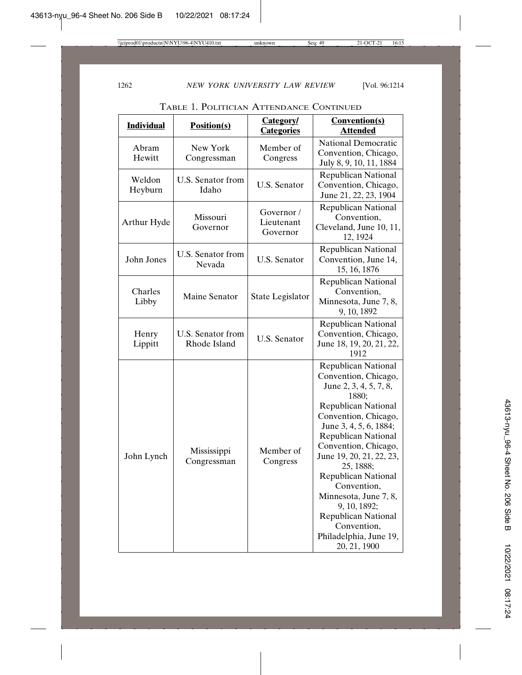TABLE 1. POLITICIAN ATTENDANCE CONTINUED

| <b>Individual</b> | Position(s)                       | <b>Category/</b><br><b>Categories</b> | <b>Convention(s)</b><br><b>Attended</b>                                                                                                                                                                                                                                                                                                                                                                                                    |
|-------------------|-----------------------------------|---------------------------------------|--------------------------------------------------------------------------------------------------------------------------------------------------------------------------------------------------------------------------------------------------------------------------------------------------------------------------------------------------------------------------------------------------------------------------------------------|
| Abram<br>Hewitt   | New York<br>Congressman           | Member of<br>Congress                 | <b>National Democratic</b><br>Convention, Chicago,<br>July 8, 9, 10, 11, 1884                                                                                                                                                                                                                                                                                                                                                              |
| Weldon<br>Heyburn | U.S. Senator from<br>Idaho        | <b>U.S. Senator</b>                   | <b>Republican National</b><br>Convention, Chicago,<br>June 21, 22, 23, 1904                                                                                                                                                                                                                                                                                                                                                                |
| Arthur Hyde       | Missouri<br>Governor              | Governor/<br>Lieutenant<br>Governor   | <b>Republican National</b><br>Convention,<br>Cleveland, June 10, 11,<br>12, 1924                                                                                                                                                                                                                                                                                                                                                           |
| John Jones        | U.S. Senator from<br>Nevada       | <b>U.S. Senator</b>                   | Republican National<br>Convention, June 14,<br>15, 16, 1876                                                                                                                                                                                                                                                                                                                                                                                |
| Charles<br>Libby  | Maine Senator                     | State Legislator                      | <b>Republican National</b><br>Convention,<br>Minnesota, June 7, 8,<br>9, 10, 1892                                                                                                                                                                                                                                                                                                                                                          |
| Henry<br>Lippitt  | U.S. Senator from<br>Rhode Island | <b>U.S. Senator</b>                   | <b>Republican National</b><br>Convention, Chicago,<br>June 18, 19, 20, 21, 22,<br>1912                                                                                                                                                                                                                                                                                                                                                     |
| John Lynch        | Mississippi<br>Congressman        | Member of<br>Congress                 | <b>Republican National</b><br>Convention, Chicago,<br>June 2, 3, 4, 5, 7, 8,<br>1880;<br><b>Republican National</b><br>Convention, Chicago,<br>June 3, 4, 5, 6, 1884;<br>Republican National<br>Convention, Chicago,<br>June 19, 20, 21, 22, 23,<br>25, 1888;<br><b>Republican National</b><br>Convention,<br>Minnesota, June 7, 8,<br>9, 10, 1892;<br><b>Republican National</b><br>Convention,<br>Philadelphia, June 19,<br>20, 21, 1900 |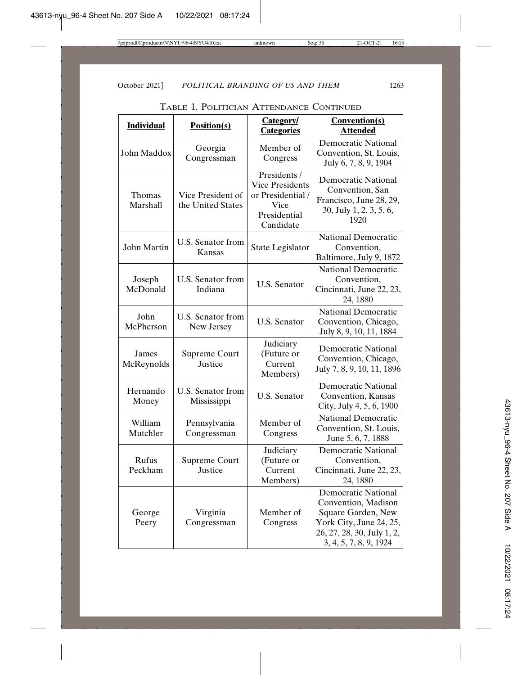| <b>Individual</b>   | <b>Position(s)</b>                     | <b>Category/</b><br><b>Categories</b>                                                            | <b>Convention(s)</b><br><b>Attended</b>                                                                                                                    |
|---------------------|----------------------------------------|--------------------------------------------------------------------------------------------------|------------------------------------------------------------------------------------------------------------------------------------------------------------|
| John Maddox         | Georgia<br>Congressman                 | Member of<br>Congress                                                                            | <b>Democratic National</b><br>Convention, St. Louis,<br>July 6, 7, 8, 9, 1904                                                                              |
| Thomas<br>Marshall  | Vice President of<br>the United States | Presidents /<br><b>Vice Presidents</b><br>or Presidential /<br>Vice<br>Presidential<br>Candidate | <b>Democratic National</b><br>Convention, San<br>Francisco, June 28, 29,<br>30, July 1, 2, 3, 5, 6,<br>1920                                                |
| John Martin         | U.S. Senator from<br>Kansas            | State Legislator                                                                                 | <b>National Democratic</b><br>Convention,<br>Baltimore, July 9, 1872                                                                                       |
| Joseph<br>McDonald  | U.S. Senator from<br>Indiana           | U.S. Senator                                                                                     | <b>National Democratic</b><br>Convention.<br>Cincinnati, June 22, 23,<br>24, 1880                                                                          |
| John<br>McPherson   | U.S. Senator from<br>New Jersey        | <b>U.S. Senator</b>                                                                              | National Democratic<br>Convention, Chicago,<br>July 8, 9, 10, 11, 1884                                                                                     |
| James<br>McReynolds | Supreme Court<br>Justice               | Judiciary<br>(Future or<br>Current<br>Members)                                                   | <b>Democratic National</b><br>Convention, Chicago,<br>July 7, 8, 9, 10, 11, 1896                                                                           |
| Hernando<br>Money   | U.S. Senator from<br>Mississippi       | <b>U.S. Senator</b>                                                                              | <b>Democratic National</b><br>Convention, Kansas<br>City, July 4, 5, 6, 1900                                                                               |
| William<br>Mutchler | Pennsylvania<br>Congressman            | Member of<br>Congress                                                                            | <b>National Democratic</b><br>Convention, St. Louis,<br>June 5, 6, 7, 1888                                                                                 |
| Rufus<br>Peckham    | Supreme Court<br>Justice               | Judiciary<br>(Future or<br>Current<br>Members)                                                   | Democratic National<br>Convention,<br>Cincinnati, June 22, 23,<br>24, 1880                                                                                 |
| George<br>Peery     | Virginia<br>Congressman                | Member of<br>Congress                                                                            | <b>Democratic National</b><br>Convention, Madison<br>Square Garden, New<br>York City, June 24, 25,<br>26, 27, 28, 30, July 1, 2,<br>3, 4, 5, 7, 8, 9, 1924 |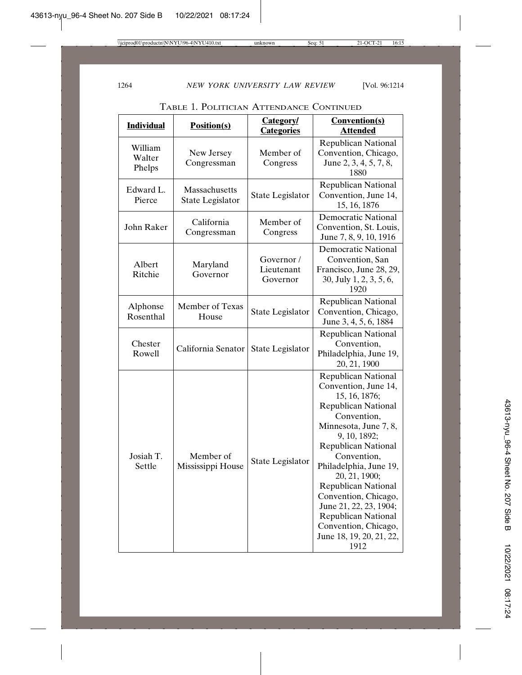TABLE 1. POLITICIAN ATTENDANCE CONTINUED

| <b>Individual</b>           | <b>Position(s)</b>                | Category/<br><b>Categories</b>       | <b>Convention(s)</b><br><b>Attended</b>                                                                                                                                                                                                                                                                                                                                                                                     |
|-----------------------------|-----------------------------------|--------------------------------------|-----------------------------------------------------------------------------------------------------------------------------------------------------------------------------------------------------------------------------------------------------------------------------------------------------------------------------------------------------------------------------------------------------------------------------|
| William<br>Walter<br>Phelps | New Jersey<br>Congressman         | Member of<br>Congress                | <b>Republican National</b><br>Convention, Chicago,<br>June 2, 3, 4, 5, 7, 8,<br>1880                                                                                                                                                                                                                                                                                                                                        |
| Edward L.<br>Pierce         | Massachusetts<br>State Legislator | State Legislator                     | <b>Republican National</b><br>Convention, June 14,<br>15, 16, 1876                                                                                                                                                                                                                                                                                                                                                          |
| John Raker                  | California<br>Congressman         | Member of<br>Congress                | Democratic National<br>Convention, St. Louis,<br>June 7, 8, 9, 10, 1916                                                                                                                                                                                                                                                                                                                                                     |
| Albert<br>Ritchie           | Maryland<br>Governor              | Governor /<br>Lieutenant<br>Governor | <b>Democratic National</b><br>Convention, San<br>Francisco, June 28, 29,<br>30, July 1, 2, 3, 5, 6,<br>1920                                                                                                                                                                                                                                                                                                                 |
| Alphonse<br>Rosenthal       | Member of Texas<br>House          | State Legislator                     | <b>Republican National</b><br>Convention, Chicago,<br>June 3, 4, 5, 6, 1884                                                                                                                                                                                                                                                                                                                                                 |
| Chester<br>Rowell           | California Senator                | State Legislator                     | <b>Republican National</b><br>Convention,<br>Philadelphia, June 19,<br>20, 21, 1900                                                                                                                                                                                                                                                                                                                                         |
| Josiah T.<br>Settle         | Member of<br>Mississippi House    | State Legislator                     | <b>Republican National</b><br>Convention, June 14,<br>15, 16, 1876;<br><b>Republican National</b><br>Convention,<br>Minnesota, June 7, 8,<br>9, 10, 1892;<br><b>Republican National</b><br>Convention,<br>Philadelphia, June 19,<br>20, 21, 1900;<br><b>Republican National</b><br>Convention, Chicago,<br>June 21, 22, 23, 1904;<br><b>Republican National</b><br>Convention, Chicago,<br>June 18, 19, 20, 21, 22,<br>1912 |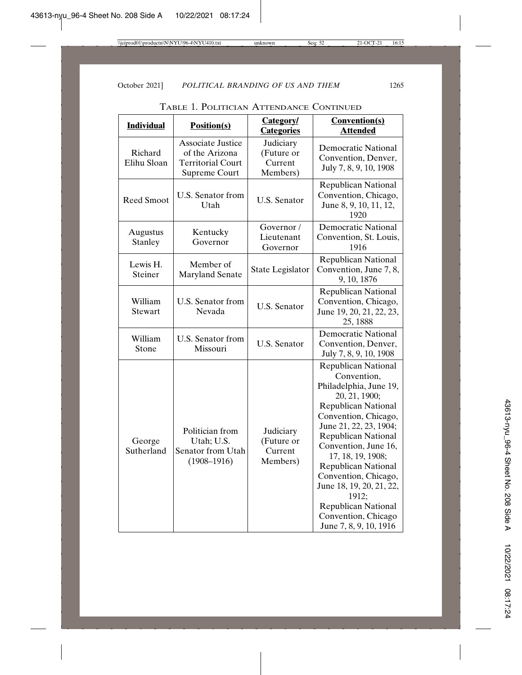| <b>Individual</b>      | <b>Position(s)</b>                                                                      | Category/<br><b>Categories</b>                 | <b>Convention(s)</b><br><b>Attended</b>                                                                                                                                                                                                                                                                                                                                                                                   |
|------------------------|-----------------------------------------------------------------------------------------|------------------------------------------------|---------------------------------------------------------------------------------------------------------------------------------------------------------------------------------------------------------------------------------------------------------------------------------------------------------------------------------------------------------------------------------------------------------------------------|
| Richard<br>Elihu Sloan | <b>Associate Justice</b><br>of the Arizona<br><b>Territorial Court</b><br>Supreme Court | Judiciary<br>(Future or<br>Current<br>Members) | <b>Democratic National</b><br>Convention, Denver,<br>July 7, 8, 9, 10, 1908                                                                                                                                                                                                                                                                                                                                               |
| <b>Reed Smoot</b>      | U.S. Senator from<br>Utah                                                               | <b>U.S. Senator</b>                            | <b>Republican National</b><br>Convention, Chicago,<br>June 8, 9, 10, 11, 12,<br>1920                                                                                                                                                                                                                                                                                                                                      |
| Augustus<br>Stanley    | Kentucky<br>Governor                                                                    | Governor /<br>Lieutenant<br>Governor           | <b>Democratic National</b><br>Convention, St. Louis,<br>1916                                                                                                                                                                                                                                                                                                                                                              |
| Lewis H.<br>Steiner    | Member of<br><b>Maryland Senate</b>                                                     | State Legislator                               | <b>Republican National</b><br>Convention, June 7, 8,<br>9, 10, 1876                                                                                                                                                                                                                                                                                                                                                       |
| William<br>Stewart     | U.S. Senator from<br>Nevada                                                             | <b>U.S. Senator</b>                            | <b>Republican National</b><br>Convention, Chicago,<br>June 19, 20, 21, 22, 23,<br>25, 1888                                                                                                                                                                                                                                                                                                                                |
| William<br>Stone       | U.S. Senator from<br>Missouri                                                           | <b>U.S. Senator</b>                            | <b>Democratic National</b><br>Convention, Denver,<br>July 7, 8, 9, 10, 1908                                                                                                                                                                                                                                                                                                                                               |
| George<br>Sutherland   | Politician from<br>Utah; U.S.<br>Senator from Utah<br>$(1908 - 1916)$                   | Judiciary<br>(Future or<br>Current<br>Members) | <b>Republican National</b><br>Convention,<br>Philadelphia, June 19,<br>20, 21, 1900;<br><b>Republican National</b><br>Convention, Chicago,<br>June 21, 22, 23, 1904;<br><b>Republican National</b><br>Convention, June 16,<br>17, 18, 19, 1908;<br><b>Republican National</b><br>Convention, Chicago,<br>June 18, 19, 20, 21, 22,<br>1912;<br><b>Republican National</b><br>Convention, Chicago<br>June 7, 8, 9, 10, 1916 |

TABLE 1. POLITICIAN ATTENDANCE CONTINUED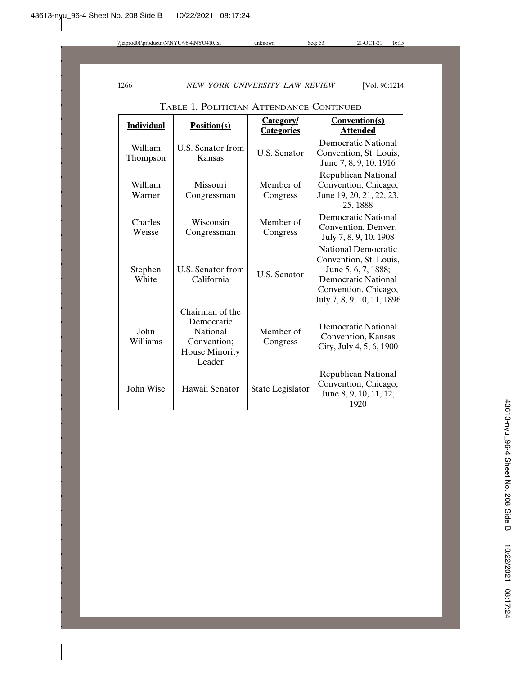| <b>Individual</b>   | <b>Position(s)</b>                                                                                 | <b>Category</b><br><b>Categories</b> | <b>Convention(s)</b><br><b>Attended</b>                                                                                                                  |
|---------------------|----------------------------------------------------------------------------------------------------|--------------------------------------|----------------------------------------------------------------------------------------------------------------------------------------------------------|
| William<br>Thompson | U.S. Senator from<br>Kansas                                                                        | <b>U.S. Senator</b>                  | <b>Democratic National</b><br>Convention, St. Louis,<br>June 7, 8, 9, 10, 1916                                                                           |
| William<br>Warner   | Missouri<br>Congressman                                                                            | Member of<br>Congress                | <b>Republican National</b><br>Convention, Chicago,<br>June 19, 20, 21, 22, 23,<br>25, 1888                                                               |
| Charles<br>Weisse   | Wisconsin<br>Congressman                                                                           | Member of<br>Congress                | Democratic National<br>Convention, Denver,<br>July 7, 8, 9, 10, 1908                                                                                     |
| Stephen<br>White    | U.S. Senator from<br>California                                                                    | <b>U.S. Senator</b>                  | <b>National Democratic</b><br>Convention, St. Louis,<br>June 5, 6, 7, 1888;<br>Democratic National<br>Convention, Chicago,<br>July 7, 8, 9, 10, 11, 1896 |
| John<br>Williams    | Chairman of the<br>Democratic<br><b>National</b><br>Convention;<br><b>House Minority</b><br>Leader | Member of<br>Congress                | Democratic National<br>Convention, Kansas<br>City, July 4, 5, 6, 1900                                                                                    |
| John Wise           | Hawaii Senator                                                                                     | State Legislator                     | Republican National<br>Convention, Chicago,<br>June 8, 9, 10, 11, 12,<br>1920                                                                            |

TABLE 1. POLITICIAN ATTENDANCE CONTINUED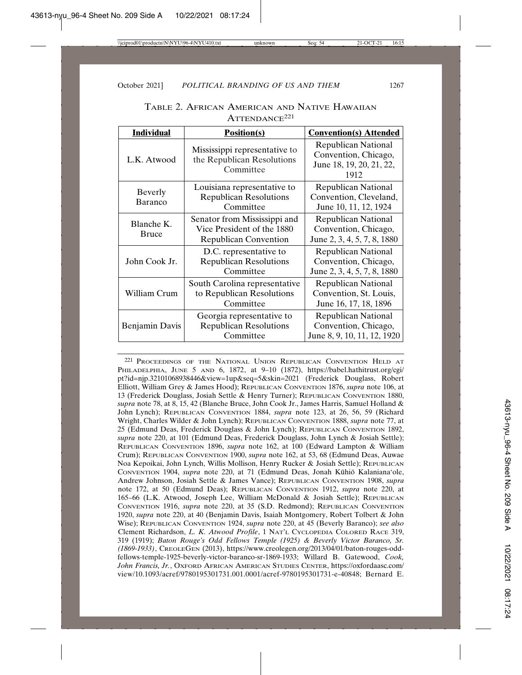| <b>Individual</b>          | <b>Position(s)</b>                                                                         | <b>Convention(s) Attended</b>                                                          |  |
|----------------------------|--------------------------------------------------------------------------------------------|----------------------------------------------------------------------------------------|--|
| L.K. Atwood                | Mississippi representative to<br>the Republican Resolutions<br>Committee                   | <b>Republican National</b><br>Convention, Chicago,<br>June 18, 19, 20, 21, 22,<br>1912 |  |
| Beverly<br>Baranco         | Louisiana representative to<br><b>Republican Resolutions</b><br>Committee                  | <b>Republican National</b><br>Convention, Cleveland,<br>June 10, 11, 12, 1924          |  |
| Blanche K.<br><b>Bruce</b> | Senator from Mississippi and<br>Vice President of the 1880<br><b>Republican Convention</b> | <b>Republican National</b><br>Convention, Chicago,<br>June 2, 3, 4, 5, 7, 8, 1880      |  |
| John Cook Jr.              | D.C. representative to<br><b>Republican Resolutions</b><br>Committee                       | <b>Republican National</b><br>Convention, Chicago,<br>June 2, 3, 4, 5, 7, 8, 1880      |  |
| William Crum               | South Carolina representative<br>to Republican Resolutions<br>Committee                    | <b>Republican National</b><br>Convention, St. Louis,<br>June 16, 17, 18, 1896          |  |
| Benjamin Davis             | Georgia representative to<br><b>Republican Resolutions</b><br>Committee                    | <b>Republican National</b><br>Convention, Chicago,<br>June 8, 9, 10, 11, 12, 1920      |  |

TABLE 2. AFRICAN AMERICAN AND NATIVE HAWAIIAN ATTENDANCE221

221 PROCEEDINGS OF THE NATIONAL UNION REPUBLICAN CONVENTION HELD AT PHILADELPHIA, JUNE 5 AND 6, 1872, at 9-10 (1872), https://babel.hathitrust.org/cgi/ pt?id=njp.32101068938446&view=1up&seq=5&skin=2021 (Frederick Douglass, Robert Elliott, William Grey & James Hood); REPUBLICAN CONVENTION 1876, *supra* note 106, at 13 (Frederick Douglass, Josiah Settle & Henry Turner); REPUBLICAN CONVENTION 1880, *supra* note 78, at 8, 15, 42 (Blanche Bruce, John Cook Jr., James Harris, Samuel Holland & John Lynch); REPUBLICAN CONVENTION 1884, *supra* note 123, at 26, 56, 59 (Richard Wright, Charles Wilder & John Lynch); REPUBLICAN CONVENTION 1888, *supra* note 77, at 25 (Edmund Deas, Frederick Douglass & John Lynch); REPUBLICAN CONVENTION 1892, *supra* note 220, at 101 (Edmund Deas, Frederick Douglass, John Lynch & Josiah Settle); REPUBLICAN CONVENTION 1896, *supra* note 162, at 100 (Edward Lampton & William Crum); REPUBLICAN CONVENTION 1900, *supra* note 162, at 53, 68 (Edmund Deas, Auwae Noa Kepoikai, John Lynch, Willis Mollison, Henry Rucker & Josiah Settle); REPUBLICAN CONVENTION 1904, *supra* note 220, at 71 (Edmund Deas, Jonah Kūhiō Kalaniana'ole, Andrew Johnson, Josiah Settle & James Vance); REPUBLICAN CONVENTION 1908, *supra* note 172, at 50 (Edmund Deas); REPUBLICAN CONVENTION 1912, *supra* note 220, at 165–66 (L.K. Atwood, Joseph Lee, William McDonald & Josiah Settle); REPUBLICAN CONVENTION 1916, *supra* note 220, at 35 (S.D. Redmond); REPUBLICAN CONVENTION 1920, *supra* note 220, at 40 (Benjamin Davis, Isaiah Montgomery, Robert Tolbert & John Wise); REPUBLICAN CONVENTION 1924, *supra* note 220, at 45 (Beverly Baranco); *see also* Clement Richardson, *L. K. Atwood Profile*, 1 NAT'L CYCLOPEDIA COLORED RACE 319, 319 (1919); *Baton Rouge's Odd Fellows Temple (1925) & Beverly Victor Baranco, Sr. (1869-1933)*, CREOLEGEN (2013), https://www.creolegen.org/2013/04/01/baton-rouges-oddfellows-temple-1925-beverly-victor-baranco-sr-1869-1933; Willard B. Gatewood, *Cook, John Francis, Jr.*, OXFORD AFRICAN AMERICAN STUDIES CENTER, https://oxfordaasc.com/ view/10.1093/acref/9780195301731.001.0001/acref-9780195301731-e-40848; Bernard E.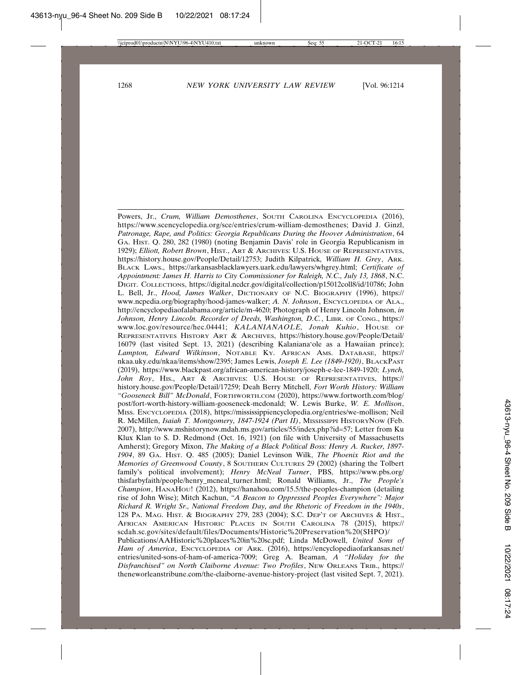Powers, Jr., *Crum, William Demosthenes*, SOUTH CAROLINA ENCYCLOPEDIA (2016), https://www.scencyclopedia.org/sce/entries/crum-william-demosthenes; David J. Ginzl, *Patronage, Rape, and Politics: Georgia Republicans During the Hoover Administration*, 64 GA. HIST. Q. 280, 282 (1980) (noting Benjamin Davis' role in Georgia Republicanism in 1929); *Elliott, Robert Brown*, HIST., ART & ARCHIVES: U.S. HOUSE OF REPRESENTATIVES, https://history.house.gov/People/Detail/12753; Judith Kilpatrick*, William H. Grey*, ARK. BLACK LAWS., https://arkansasblacklawyers.uark.edu/lawyers/whgrey.html; *Certificate of Appointment: James H. Harris to City Commissioner for Raleigh, N.C., July 13, 1868*, N.C. DIGIT. COLLECTIONS, https://digital.ncdcr.gov/digital/collection/p15012coll8/id/10786; John L. Bell, Jr., *Hood, James Walker*, DICTIONARY OF N.C. BIOGRAPHY (1996), https:// www.ncpedia.org/biography/hood-james-walker; *A. N. Johnson*, ENCYCLOPEDIA OF ALA., http://encyclopediaofalabama.org/article/m-4620; Photograph of Henry Lincoln Johnson, *in Johnson, Henry Lincoln. Recorder of Deeds, Washington, D.C.*, LIBR. OF CONG., https:// www.loc.gov/resource/hec.04441; *KALANIANAOLE, Jonah Kuhio*, HOUSE OF REPRESENTATIVES HISTORY ART & ARCHIVES, https://history.house.gov/People/Detail/ 16079 (last visited Sept. 13, 2021) (describing Kalaniana'ole as a Hawaiian prince); *Lampton, Edward Wilkinson*, NOTABLE KY. AFRICAN AMS. DATABASE, https:// nkaa.uky.edu/nkaa/items/show/2395; James Lewis, *Joseph E. Lee (1849-1920)*, BLACKPAST (2019), https://www.blackpast.org/african-american-history/joseph-e-lee-1849-1920; *Lynch, John Roy*, HIS., ART & ARCHIVES: U.S. HOUSE OF REPRESENTATIVES, https:// history.house.gov/People/Detail/17259; Deah Berry Mitchell, *Fort Worth History: William "Gooseneck Bill" McDonald*, FORTHWORTH.COM (2020), https://www.fortworth.com/blog/ post/fort-worth-history-william-gooseneck-mcdonald; W. Lewis Burke, *W. E. Mollison*, MISS. ENCYCLOPEDIA (2018), https://mississippiencyclopedia.org/entries/we-mollison; Neil R. McMillen, *Isaiah T. Montgomery, 1847-1924 (Part II)*, MISSISSIPPI HISTORYNOW (Feb. 2007), http://www.mshistorynow.mdah.ms.gov/articles/55/index.php?id=57; Letter from Ku Klux Klan to S. D. Redmond (Oct. 16, 1921) (on file with University of Massachusetts Amherst); Gregory Mixon, *The Making of a Black Political Boss: Henry A. Rucker, 1897- 1904*, 89 GA. HIST. Q. 485 (2005); Daniel Levinson Wilk, *The Phoenix Riot and the Memories of Greenwood County*, 8 SOUTHERN CULTURES 29 (2002) (sharing the Tolbert family's political involvement); *Henry McNeal Turner*, PBS, https://www.pbs.org/ thisfarbyfaith/people/henry\_mcneal\_turner.html; Ronald Williams, Jr., *The People's Champion*, HANAHOU! (2012), https://hanahou.com/15.5/the-peoples-champion (detailing rise of John Wise); Mitch Kachun, *"A Beacon to Oppressed Peoples Everywhere": Major Richard R. Wright Sr., National Freedom Day, and the Rhetoric of Freedom in the 1940s*, 128 PA. MAG. HIST. & BIOGRAPHY 279, 283 (2004); S.C. DEP'T OF ARCHIVES & HIST., AFRICAN AMERICAN HISTORIC PLACES IN SOUTH CAROLINA 78 (2015), https:// scdah.sc.gov/sites/default/files/Documents/Historic%20Preservation%20(SHPO)/ Publications/AAHistoric%20places%20in%20sc.pdf; Linda McDowell, *United Sons of* Ham of America, ENCYCLOPEDIA OF ARK. (2016), https://encyclopediaofarkansas.net/ entries/united-sons-of-ham-of-america-7009; Greg A. Beaman, *A "Holiday for the Disfranchised" on North Claiborne Avenue: Two Profiles*, NEW ORLEANS TRIB., https:// theneworleanstribune.com/the-claiborne-avenue-history-project (last visited Sept. 7, 2021).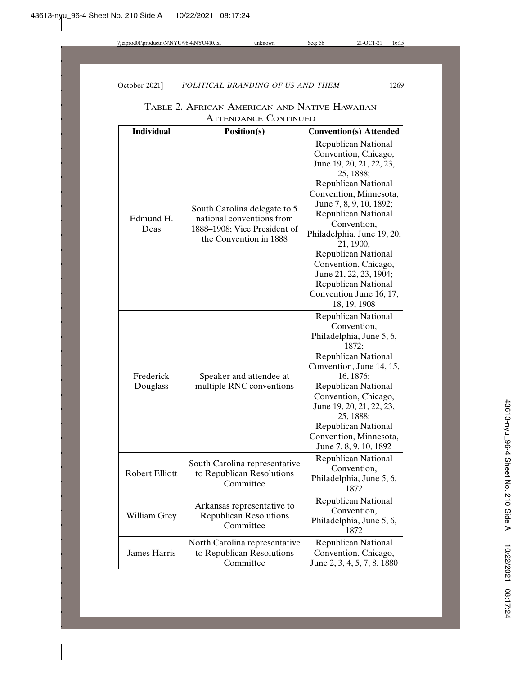| <b>Individual</b>     | <b>Position(s)</b><br><b>Convention(s) Attended</b>                                                                 |                                                                                                                                                                                                                                                                                                                                                                                                                                 |  |
|-----------------------|---------------------------------------------------------------------------------------------------------------------|---------------------------------------------------------------------------------------------------------------------------------------------------------------------------------------------------------------------------------------------------------------------------------------------------------------------------------------------------------------------------------------------------------------------------------|--|
|                       |                                                                                                                     |                                                                                                                                                                                                                                                                                                                                                                                                                                 |  |
| Edmund H.<br>Deas     | South Carolina delegate to 5<br>national conventions from<br>1888-1908; Vice President of<br>the Convention in 1888 | <b>Republican National</b><br>Convention, Chicago,<br>June 19, 20, 21, 22, 23,<br>25, 1888;<br><b>Republican National</b><br>Convention, Minnesota,<br>June 7, 8, 9, 10, 1892;<br><b>Republican National</b><br>Convention,<br>Philadelphia, June 19, 20,<br>21, 1900;<br><b>Republican National</b><br>Convention, Chicago,<br>June 21, 22, 23, 1904;<br><b>Republican National</b><br>Convention June 16, 17,<br>18, 19, 1908 |  |
| Frederick<br>Douglass | Speaker and attendee at<br>multiple RNC conventions                                                                 | <b>Republican National</b><br>Convention,<br>Philadelphia, June 5, 6,<br>1872;<br><b>Republican National</b><br>Convention, June 14, 15,<br>16, 1876;<br>Republican National<br>Convention, Chicago,<br>June 19, 20, 21, 22, 23,<br>25, 1888;<br><b>Republican National</b><br>Convention, Minnesota,<br>June 7, 8, 9, 10, 1892                                                                                                 |  |
| <b>Robert Elliott</b> | South Carolina representative<br>to Republican Resolutions<br>Committee                                             | <b>Republican National</b><br>Convention,<br>Philadelphia, June 5, 6,<br>1872                                                                                                                                                                                                                                                                                                                                                   |  |
| William Grey          | Arkansas representative to<br><b>Republican Resolutions</b><br>Committee                                            | <b>Republican National</b><br>Convention,<br>Philadelphia, June 5, 6,<br>1872                                                                                                                                                                                                                                                                                                                                                   |  |
| <b>James Harris</b>   | North Carolina representative<br>to Republican Resolutions<br>Committee                                             | <b>Republican National</b><br>Convention, Chicago,<br>June 2, 3, 4, 5, 7, 8, 1880                                                                                                                                                                                                                                                                                                                                               |  |

TABLE 2. AFRICAN AMERICAN AND NATIVE HAWAIIAN ATTENDANCE CONTINUED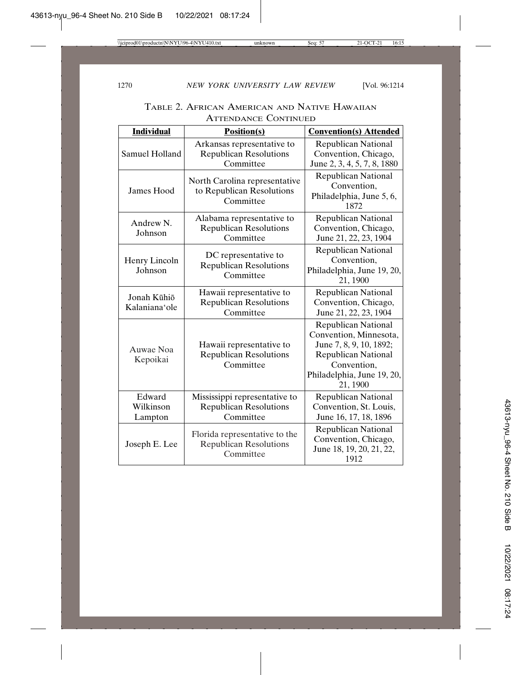| <b>Individual</b>              | <b>Position(s)</b>                                                          | <b>Convention(s) Attended</b>                                                                                                                                          |
|--------------------------------|-----------------------------------------------------------------------------|------------------------------------------------------------------------------------------------------------------------------------------------------------------------|
| Samuel Holland                 | Arkansas representative to<br><b>Republican Resolutions</b><br>Committee    | <b>Republican National</b><br>Convention, Chicago,<br>June 2, 3, 4, 5, 7, 8, 1880                                                                                      |
| James Hood                     | North Carolina representative<br>to Republican Resolutions<br>Committee     | <b>Republican National</b><br>Convention,<br>Philadelphia, June 5, 6,<br>1872                                                                                          |
| Andrew N.<br>Johnson           | Alabama representative to<br><b>Republican Resolutions</b><br>Committee     | <b>Republican National</b><br>Convention, Chicago,<br>June 21, 22, 23, 1904                                                                                            |
| Henry Lincoln<br>Johnson       | DC representative to<br><b>Republican Resolutions</b><br>Committee          | <b>Republican National</b><br>Convention,<br>Philadelphia, June 19, 20,<br>21, 1900                                                                                    |
| Jonah Kūhiō<br>Kalaniana'ole   | Hawaii representative to<br><b>Republican Resolutions</b><br>Committee      | <b>Republican National</b><br>Convention, Chicago,<br>June 21, 22, 23, 1904                                                                                            |
| Auwae Noa<br>Kepoikai          | Hawaii representative to<br><b>Republican Resolutions</b><br>Committee      | <b>Republican National</b><br>Convention, Minnesota,<br>June 7, 8, 9, 10, 1892;<br><b>Republican National</b><br>Convention,<br>Philadelphia, June 19, 20,<br>21, 1900 |
| Edward<br>Wilkinson<br>Lampton | Mississippi representative to<br><b>Republican Resolutions</b><br>Committee | <b>Republican National</b><br>Convention, St. Louis,<br>June 16, 17, 18, 1896                                                                                          |
| Joseph E. Lee                  | Florida representative to the<br><b>Republican Resolutions</b><br>Committee | <b>Republican National</b><br>Convention, Chicago,<br>June 18, 19, 20, 21, 22,<br>1912                                                                                 |

TABLE 2. AFRICAN AMERICAN AND NATIVE HAWAIIAN ATTENDANCE CONTINUED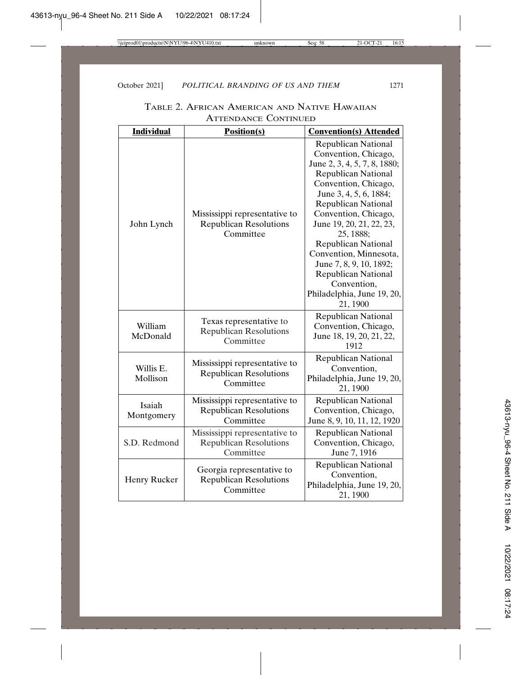| <b>Individual</b>     | <b>Position(s)</b>                                                          | <b>Convention(s) Attended</b>                                                                                                                                                                                                                                                                                                                                                                                                               |
|-----------------------|-----------------------------------------------------------------------------|---------------------------------------------------------------------------------------------------------------------------------------------------------------------------------------------------------------------------------------------------------------------------------------------------------------------------------------------------------------------------------------------------------------------------------------------|
| John Lynch            | Mississippi representative to<br><b>Republican Resolutions</b><br>Committee | <b>Republican National</b><br>Convention, Chicago,<br>June 2, 3, 4, 5, 7, 8, 1880;<br><b>Republican National</b><br>Convention, Chicago,<br>June 3, 4, 5, 6, 1884;<br><b>Republican National</b><br>Convention, Chicago,<br>June 19, 20, 21, 22, 23,<br>25, 1888;<br><b>Republican National</b><br>Convention, Minnesota,<br>June 7, 8, 9, 10, 1892;<br><b>Republican National</b><br>Convention,<br>Philadelphia, June 19, 20,<br>21, 1900 |
| William<br>McDonald   | Texas representative to<br><b>Republican Resolutions</b><br>Committee       | <b>Republican National</b><br>Convention, Chicago,<br>June 18, 19, 20, 21, 22,<br>1912                                                                                                                                                                                                                                                                                                                                                      |
| Willis E.<br>Mollison | Mississippi representative to<br><b>Republican Resolutions</b><br>Committee | <b>Republican National</b><br>Convention,<br>Philadelphia, June 19, 20,<br>21, 1900                                                                                                                                                                                                                                                                                                                                                         |
| Isaiah<br>Montgomery  | Mississippi representative to<br><b>Republican Resolutions</b><br>Committee | <b>Republican National</b><br>Convention, Chicago,<br>June 8, 9, 10, 11, 12, 1920                                                                                                                                                                                                                                                                                                                                                           |
| S.D. Redmond          | Mississippi representative to<br><b>Republican Resolutions</b><br>Committee | <b>Republican National</b><br>Convention, Chicago,<br>June 7, 1916                                                                                                                                                                                                                                                                                                                                                                          |
| Henry Rucker          | Georgia representative to<br><b>Republican Resolutions</b><br>Committee     | <b>Republican National</b><br>Convention,<br>Philadelphia, June 19, 20,<br>21, 1900                                                                                                                                                                                                                                                                                                                                                         |

| TABLE 2. AFRICAN AMERICAN AND NATIVE HAWAIIAN |                             |  |
|-----------------------------------------------|-----------------------------|--|
|                                               | <b>ATTENDANCE CONTINUED</b> |  |